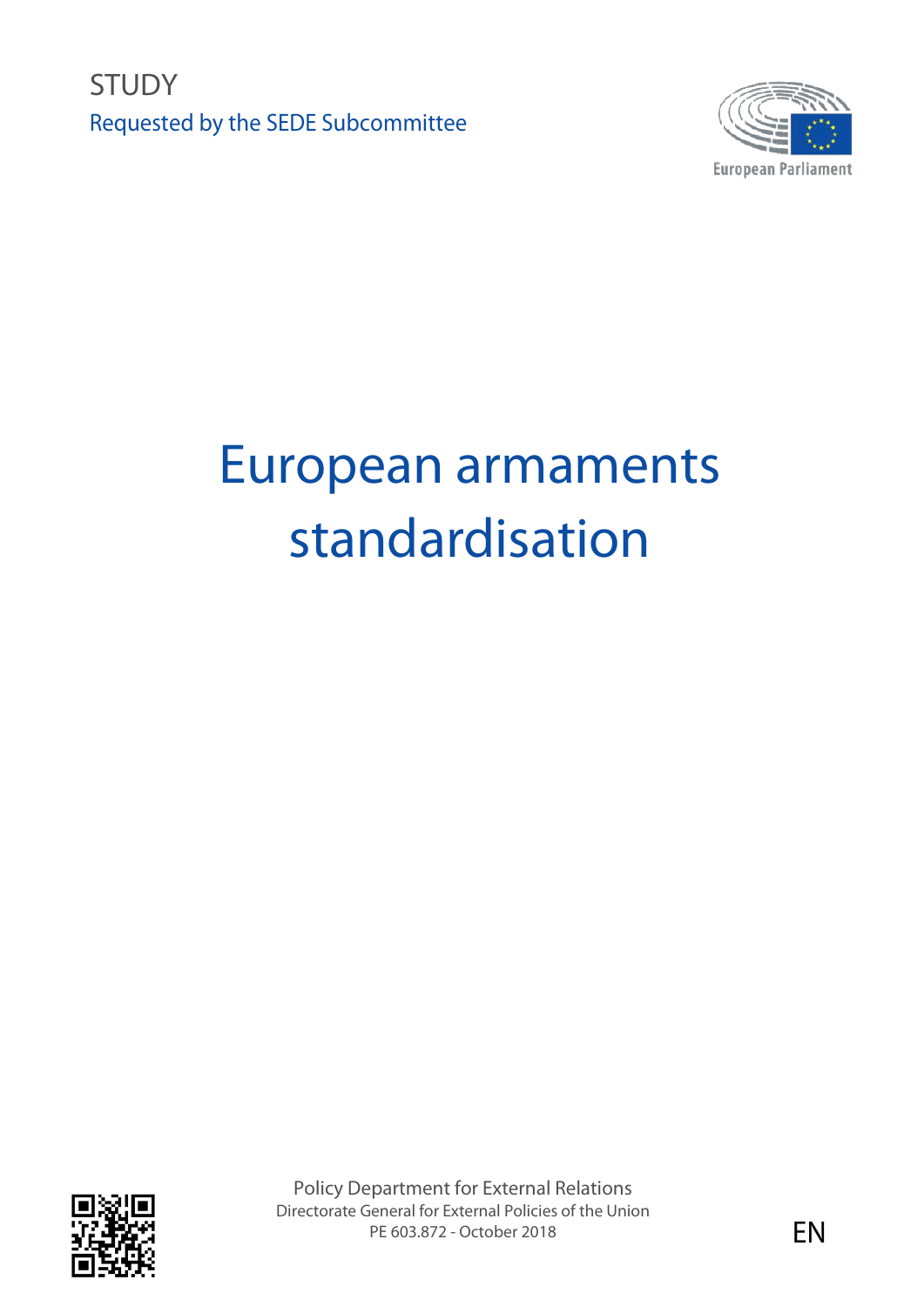**STUDY** Requested by the SEDE Subcommittee



# European armaments standardisation



Policy Department for External Relations Directorate General for External Policies of the Union PE 603.872 - October 2018 **EN**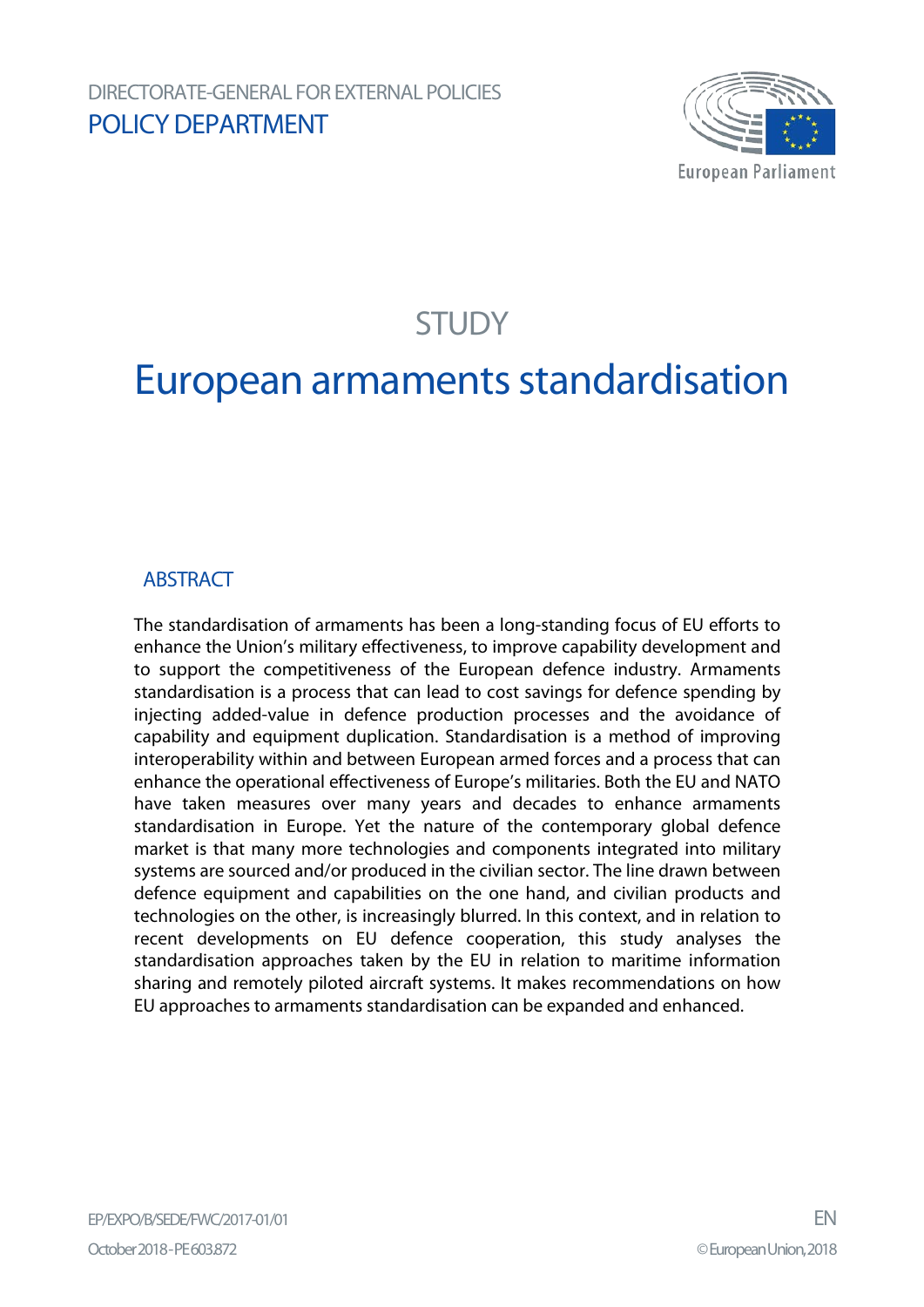

## **STUDY**

## European armaments standardisation

## **ABSTRACT**

The standardisation of armaments has been a long-standing focus of EU efforts to enhance the Union's military effectiveness, to improve capability development and to support the competitiveness of the European defence industry. Armaments standardisation is a process that can lead to cost savings for defence spending by injecting added-value in defence production processes and the avoidance of capability and equipment duplication. Standardisation is a method of improving interoperability within and between European armed forces and a process that can enhance the operational effectiveness of Europe's militaries. Both the EU and NATO have taken measures over many years and decades to enhance armaments standardisation in Europe. Yet the nature of the contemporary global defence market is that many more technologies and components integrated into military systems are sourced and/or produced in the civilian sector. The line drawn between defence equipment and capabilities on the one hand, and civilian products and technologies on the other, is increasingly blurred. In this context, and in relation to recent developments on EU defence cooperation, this study analyses the standardisation approaches taken by the EU in relation to maritime information sharing and remotely piloted aircraft systems. It makes recommendations on how EU approaches to armaments standardisation can be expanded and enhanced.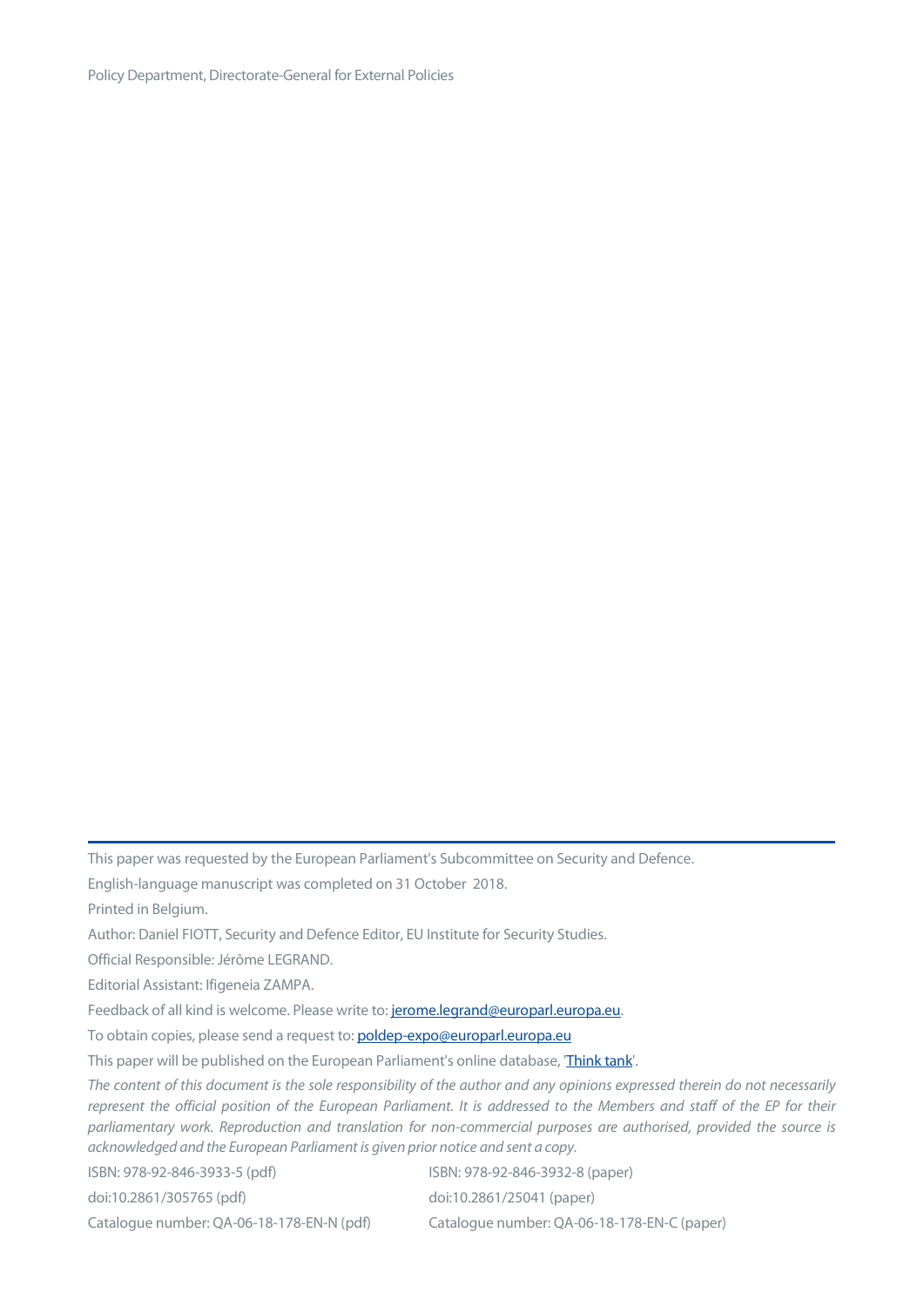Policy Department, Directorate-General for External Policies

This paper was requested by the European Parliament's Subcommittee on Security and Defence.

English-language manuscript was completed on 31 October 2018.

Printed in Belgium.

Author: Daniel FIOTT, Security and Defence Editor, EU Institute for Security Studies.

Official Responsible: Jérôme LEGRAND.

Editorial Assistant: Ifigeneia ZAMPA.

Feedback of all kind is welcome. Please write to: jerome.legrand@europarl.europa.eu.

To obtain copies, please send a request to: poldep-expo@europarl.europa.eu

This paper will be published on the European Parliament's online database, ['Think tank'.](http://www.europarl.europa.eu/thinktank/en/home.html)

*The content of this document is the sole responsibility of the author and any opinions expressed therein do not necessarily represent the official position of the European Parliament. It is addressed to the Members and staff of the EP for their parliamentary work. Reproduction and translation for non-commercial purposes are authorised, provided the source is acknowledged and the European Parliament is given prior notice and sent a copy.*

ISBN: 978-92-846-3933-5 (pdf) ISBN: 978-92-846-3932-8 (paper) doi:10.2861/305765 (pdf) doi:10.2861/25041 (paper) Catalogue number: QA-06-18-178-EN-N (pdf) Catalogue number: QA-06-18-178-EN-C (paper)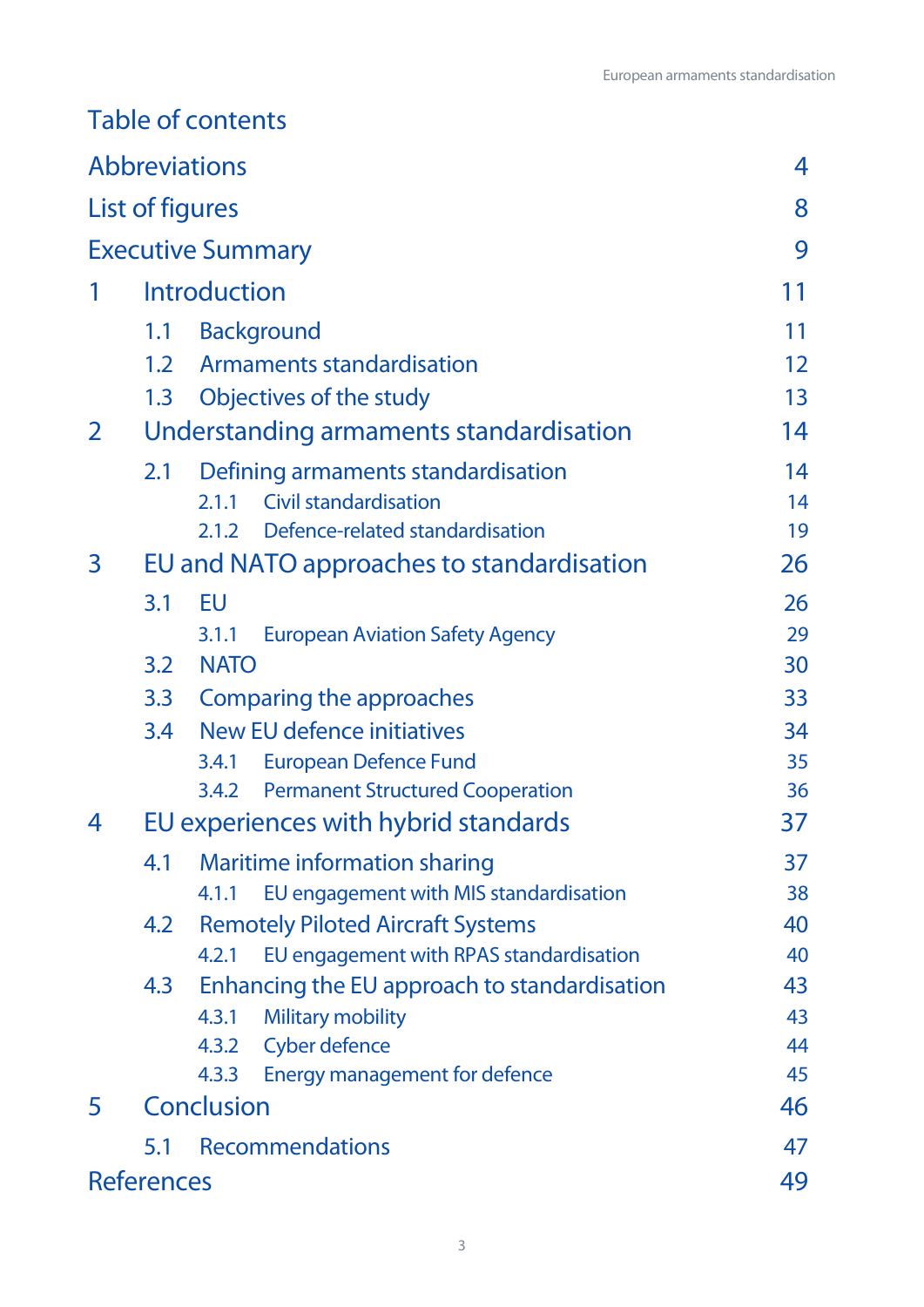## Table of contents

|                          |                     | <b>Abbreviations</b>                             | 4                 |
|--------------------------|---------------------|--------------------------------------------------|-------------------|
|                          | List of figures     |                                                  | 8                 |
| <b>Executive Summary</b> |                     |                                                  | 9                 |
|                          | <b>Introduction</b> |                                                  |                   |
|                          | 1.1                 | <b>Background</b>                                | 11                |
|                          | 1.2                 | <b>Armaments standardisation</b>                 | $12 \overline{ }$ |
|                          | 1.3                 | Objectives of the study                          | 13                |
| 2                        |                     | Understanding armaments standardisation          | 14                |
|                          | 2.1                 | Defining armaments standardisation               | 14                |
|                          |                     | <b>Civil standardisation</b><br>2.1.1            | 14                |
|                          |                     | 2.1.2 Defence-related standardisation            | 19                |
| 3                        |                     | EU and NATO approaches to standardisation        | 26                |
|                          | 3.1                 | EU                                               | 26                |
|                          |                     | <b>European Aviation Safety Agency</b><br>3.1.1  | 29                |
|                          | 3.2                 | <b>NATO</b>                                      | 30                |
|                          | 3.3                 | Comparing the approaches                         | 33                |
|                          | 3.4                 | New EU defence initiatives                       | 34                |
|                          |                     | <b>European Defence Fund</b><br>3.4.1            | 35                |
|                          |                     | <b>Permanent Structured Cooperation</b><br>3.4.2 | 36                |
| 4                        |                     | EU experiences with hybrid standards             | 37                |
|                          | 4.1                 | Maritime information sharing                     | 37                |
|                          |                     | EU engagement with MIS standardisation<br>4.1.1  | 38                |
|                          | 4.2                 | <b>Remotely Piloted Aircraft Systems</b>         | 40                |
|                          |                     | EU engagement with RPAS standardisation<br>4.2.1 | 40                |
|                          | 4.3                 | Enhancing the EU approach to standardisation     | 43                |
|                          |                     | <b>Military mobility</b><br>4.3.1                | 43                |
|                          |                     | <b>Cyber defence</b><br>4.3.2                    | 44                |
|                          |                     | <b>Energy management for defence</b><br>4.3.3    | 45                |
| 5                        |                     | <b>Conclusion</b>                                | 46                |
|                          | 5.1                 | <b>Recommendations</b>                           | 47                |
|                          | <b>References</b>   |                                                  | 49                |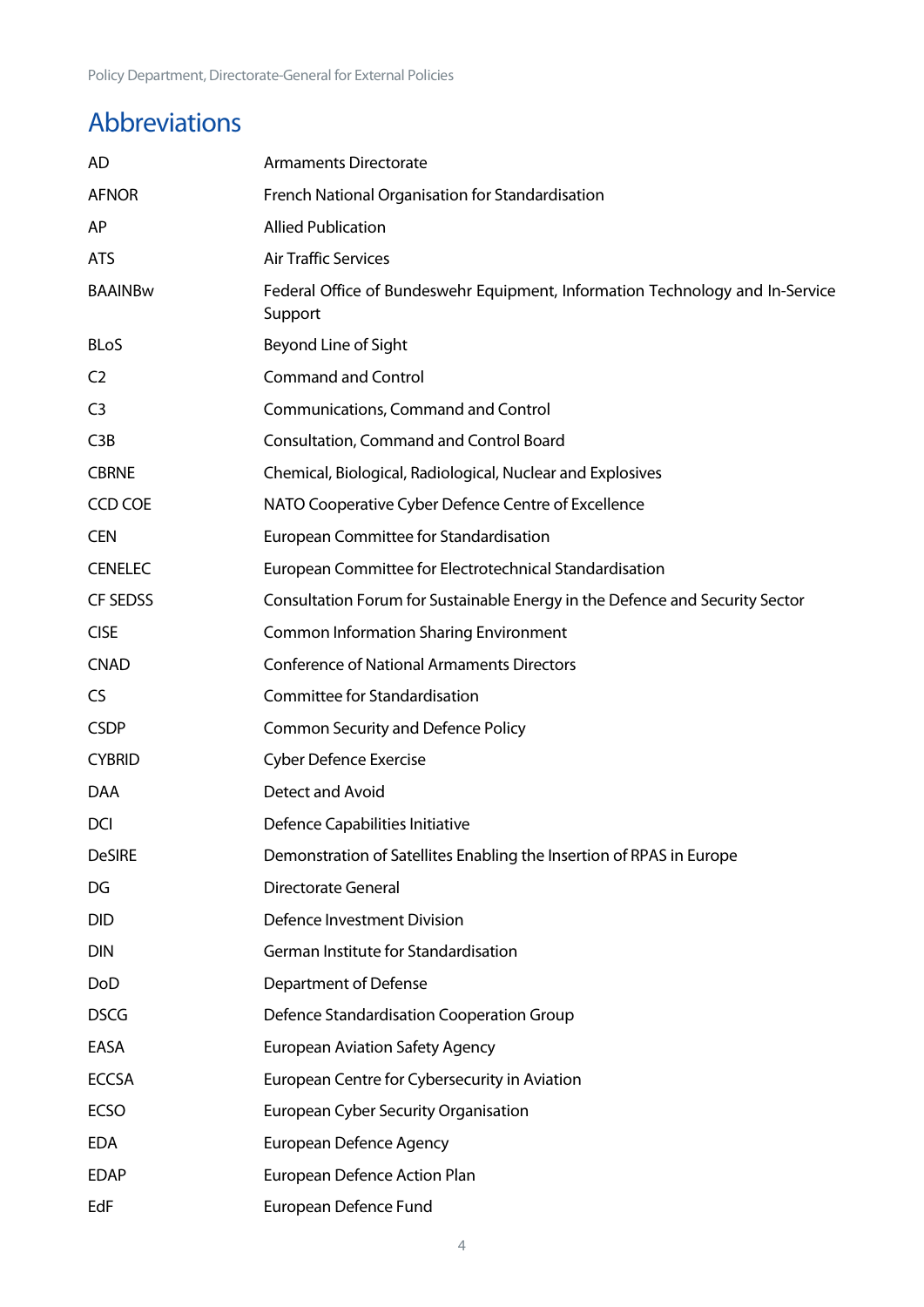## <span id="page-4-0"></span>Abbreviations

| AD              | <b>Armaments Directorate</b>                                                             |
|-----------------|------------------------------------------------------------------------------------------|
| <b>AFNOR</b>    | French National Organisation for Standardisation                                         |
| AP              | <b>Allied Publication</b>                                                                |
| <b>ATS</b>      | <b>Air Traffic Services</b>                                                              |
| <b>BAAINBw</b>  | Federal Office of Bundeswehr Equipment, Information Technology and In-Service<br>Support |
| <b>BLoS</b>     | Beyond Line of Sight                                                                     |
| C <sub>2</sub>  | <b>Command and Control</b>                                                               |
| C <sub>3</sub>  | Communications, Command and Control                                                      |
| C3B             | <b>Consultation, Command and Control Board</b>                                           |
| <b>CBRNE</b>    | Chemical, Biological, Radiological, Nuclear and Explosives                               |
| <b>CCD COE</b>  | NATO Cooperative Cyber Defence Centre of Excellence                                      |
| <b>CEN</b>      | European Committee for Standardisation                                                   |
| <b>CENELEC</b>  | European Committee for Electrotechnical Standardisation                                  |
| <b>CF SEDSS</b> | Consultation Forum for Sustainable Energy in the Defence and Security Sector             |
| <b>CISE</b>     | <b>Common Information Sharing Environment</b>                                            |
| <b>CNAD</b>     | <b>Conference of National Armaments Directors</b>                                        |
| <b>CS</b>       | Committee for Standardisation                                                            |
| <b>CSDP</b>     | <b>Common Security and Defence Policy</b>                                                |
| <b>CYBRID</b>   | <b>Cyber Defence Exercise</b>                                                            |
| DAA             | Detect and Avoid                                                                         |
| <b>DCI</b>      | Defence Capabilities Initiative                                                          |
| <b>DeSIRE</b>   | Demonstration of Satellites Enabling the Insertion of RPAS in Europe                     |
| DG              | <b>Directorate General</b>                                                               |
| <b>DID</b>      | Defence Investment Division                                                              |
| <b>DIN</b>      | German Institute for Standardisation                                                     |
| DoD             | Department of Defense                                                                    |
| <b>DSCG</b>     | Defence Standardisation Cooperation Group                                                |
| EASA            | <b>European Aviation Safety Agency</b>                                                   |
| <b>ECCSA</b>    | European Centre for Cybersecurity in Aviation                                            |
| <b>ECSO</b>     | <b>European Cyber Security Organisation</b>                                              |
| <b>EDA</b>      | <b>European Defence Agency</b>                                                           |
| <b>EDAP</b>     | European Defence Action Plan                                                             |
| EdF             | European Defence Fund                                                                    |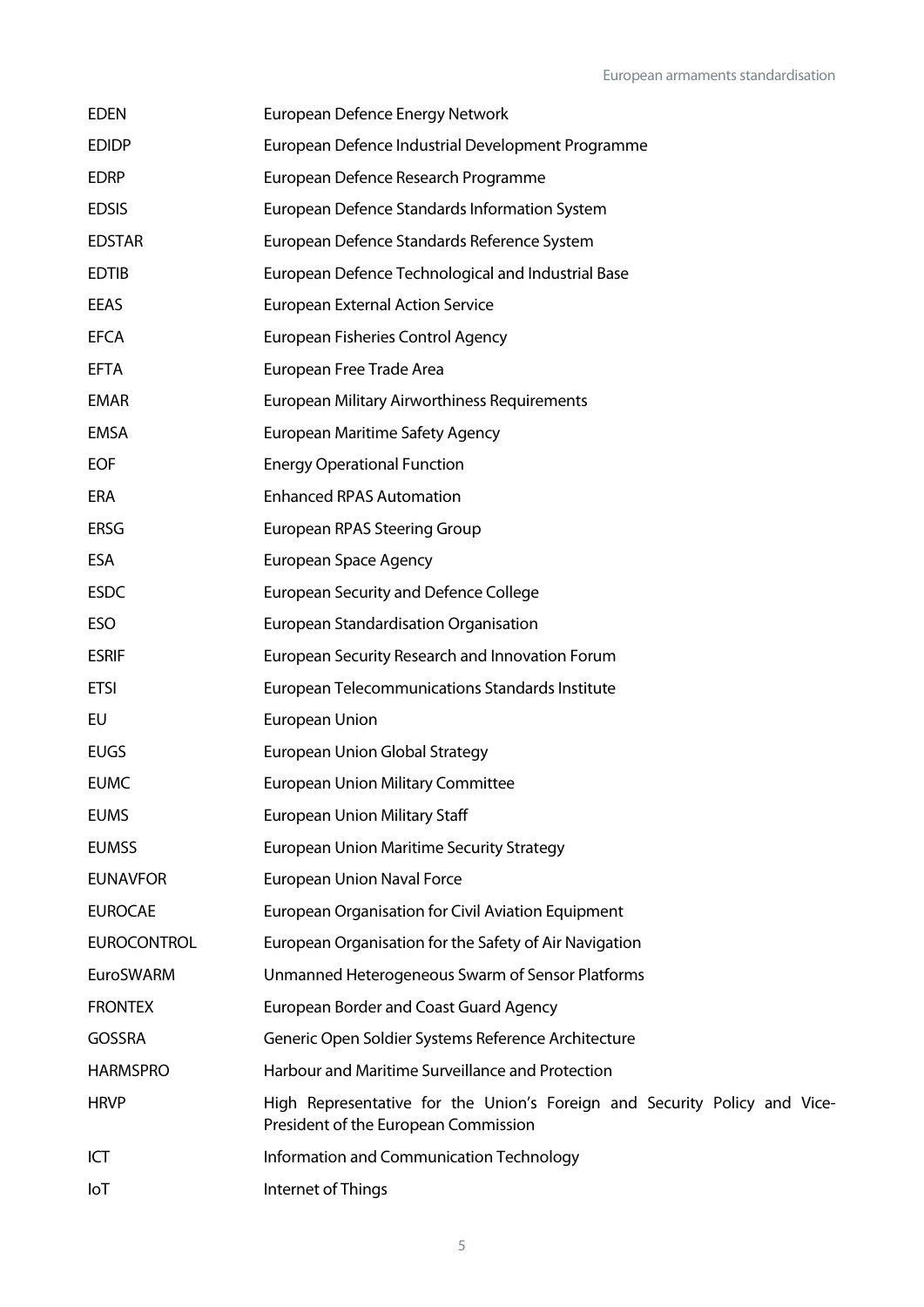| <b>EDEN</b>        | European Defence Energy Network                                                                                   |
|--------------------|-------------------------------------------------------------------------------------------------------------------|
| <b>EDIDP</b>       | European Defence Industrial Development Programme                                                                 |
| <b>EDRP</b>        | European Defence Research Programme                                                                               |
| <b>EDSIS</b>       | European Defence Standards Information System                                                                     |
| <b>EDSTAR</b>      | European Defence Standards Reference System                                                                       |
| <b>EDTIB</b>       | European Defence Technological and Industrial Base                                                                |
| EEAS               | <b>European External Action Service</b>                                                                           |
| <b>EFCA</b>        | <b>European Fisheries Control Agency</b>                                                                          |
| <b>EFTA</b>        | European Free Trade Area                                                                                          |
| <b>EMAR</b>        | European Military Airworthiness Requirements                                                                      |
| EMSA               | <b>European Maritime Safety Agency</b>                                                                            |
| <b>EOF</b>         | <b>Energy Operational Function</b>                                                                                |
| ERA                | <b>Enhanced RPAS Automation</b>                                                                                   |
| <b>ERSG</b>        | <b>European RPAS Steering Group</b>                                                                               |
| ESA                | <b>European Space Agency</b>                                                                                      |
| <b>ESDC</b>        | <b>European Security and Defence College</b>                                                                      |
| <b>ESO</b>         | European Standardisation Organisation                                                                             |
| <b>ESRIF</b>       | European Security Research and Innovation Forum                                                                   |
| <b>ETSI</b>        | European Telecommunications Standards Institute                                                                   |
| EU                 | European Union                                                                                                    |
| <b>EUGS</b>        | <b>European Union Global Strategy</b>                                                                             |
| <b>EUMC</b>        | <b>European Union Military Committee</b>                                                                          |
| <b>EUMS</b>        | <b>European Union Military Staff</b>                                                                              |
| <b>EUMSS</b>       | <b>European Union Maritime Security Strategy</b>                                                                  |
| <b>EUNAVFOR</b>    | <b>European Union Naval Force</b>                                                                                 |
| <b>EUROCAE</b>     | <b>European Organisation for Civil Aviation Equipment</b>                                                         |
| <b>EUROCONTROL</b> | European Organisation for the Safety of Air Navigation                                                            |
| <b>EuroSWARM</b>   | Unmanned Heterogeneous Swarm of Sensor Platforms                                                                  |
| <b>FRONTEX</b>     | <b>European Border and Coast Guard Agency</b>                                                                     |
| <b>GOSSRA</b>      | Generic Open Soldier Systems Reference Architecture                                                               |
| <b>HARMSPRO</b>    | Harbour and Maritime Surveillance and Protection                                                                  |
| <b>HRVP</b>        | High Representative for the Union's Foreign and Security Policy and Vice-<br>President of the European Commission |
| ICT                | Information and Communication Technology                                                                          |
| loT                | Internet of Things                                                                                                |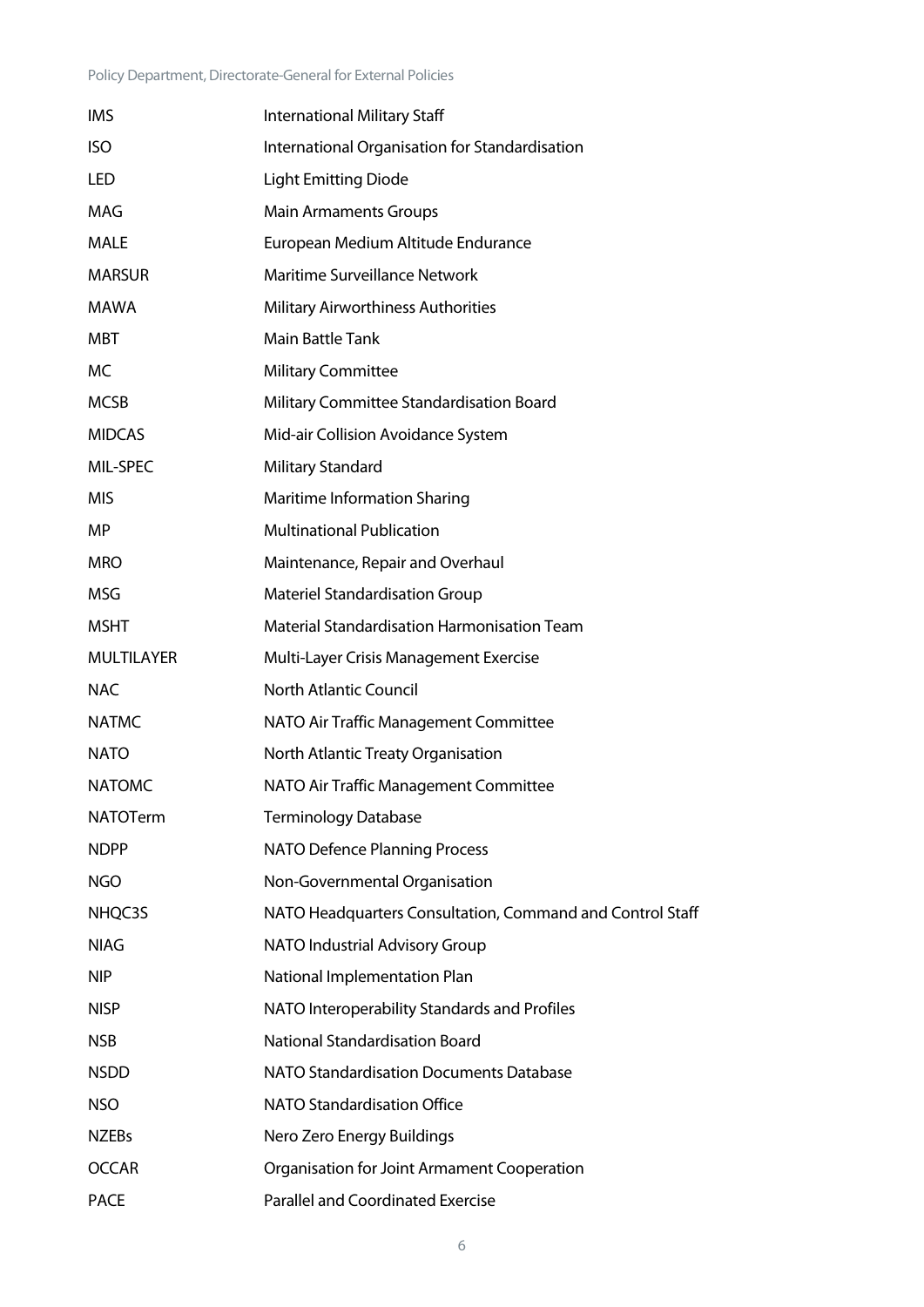| <b>IMS</b>        | International Military Staff                              |
|-------------------|-----------------------------------------------------------|
| <b>ISO</b>        | International Organisation for Standardisation            |
| LED               | <b>Light Emitting Diode</b>                               |
| <b>MAG</b>        | <b>Main Armaments Groups</b>                              |
| MALE              | European Medium Altitude Endurance                        |
| <b>MARSUR</b>     | Maritime Surveillance Network                             |
| <b>MAWA</b>       | <b>Military Airworthiness Authorities</b>                 |
| <b>MBT</b>        | <b>Main Battle Tank</b>                                   |
| МC                | <b>Military Committee</b>                                 |
| <b>MCSB</b>       | Military Committee Standardisation Board                  |
| <b>MIDCAS</b>     | Mid-air Collision Avoidance System                        |
| MIL-SPEC          | <b>Military Standard</b>                                  |
| <b>MIS</b>        | Maritime Information Sharing                              |
| MP.               | <b>Multinational Publication</b>                          |
| <b>MRO</b>        | Maintenance, Repair and Overhaul                          |
| MSG               | <b>Materiel Standardisation Group</b>                     |
| <b>MSHT</b>       | Material Standardisation Harmonisation Team               |
| <b>MULTILAYER</b> | Multi-Layer Crisis Management Exercise                    |
| <b>NAC</b>        | <b>North Atlantic Council</b>                             |
| <b>NATMC</b>      | NATO Air Traffic Management Committee                     |
| <b>NATO</b>       | North Atlantic Treaty Organisation                        |
| <b>NATOMC</b>     | NATO Air Traffic Management Committee                     |
| <b>NATOTerm</b>   | <b>Terminology Database</b>                               |
| <b>NDPP</b>       | <b>NATO Defence Planning Process</b>                      |
| <b>NGO</b>        | Non-Governmental Organisation                             |
| NHQC3S            | NATO Headquarters Consultation, Command and Control Staff |
| <b>NIAG</b>       | NATO Industrial Advisory Group                            |
| <b>NIP</b>        | National Implementation Plan                              |
| <b>NISP</b>       | NATO Interoperability Standards and Profiles              |
| <b>NSB</b>        | <b>National Standardisation Board</b>                     |
| <b>NSDD</b>       | <b>NATO Standardisation Documents Database</b>            |
| <b>NSO</b>        | NATO Standardisation Office                               |
| <b>NZEBs</b>      | Nero Zero Energy Buildings                                |
| <b>OCCAR</b>      | Organisation for Joint Armament Cooperation               |
| <b>PACE</b>       | <b>Parallel and Coordinated Exercise</b>                  |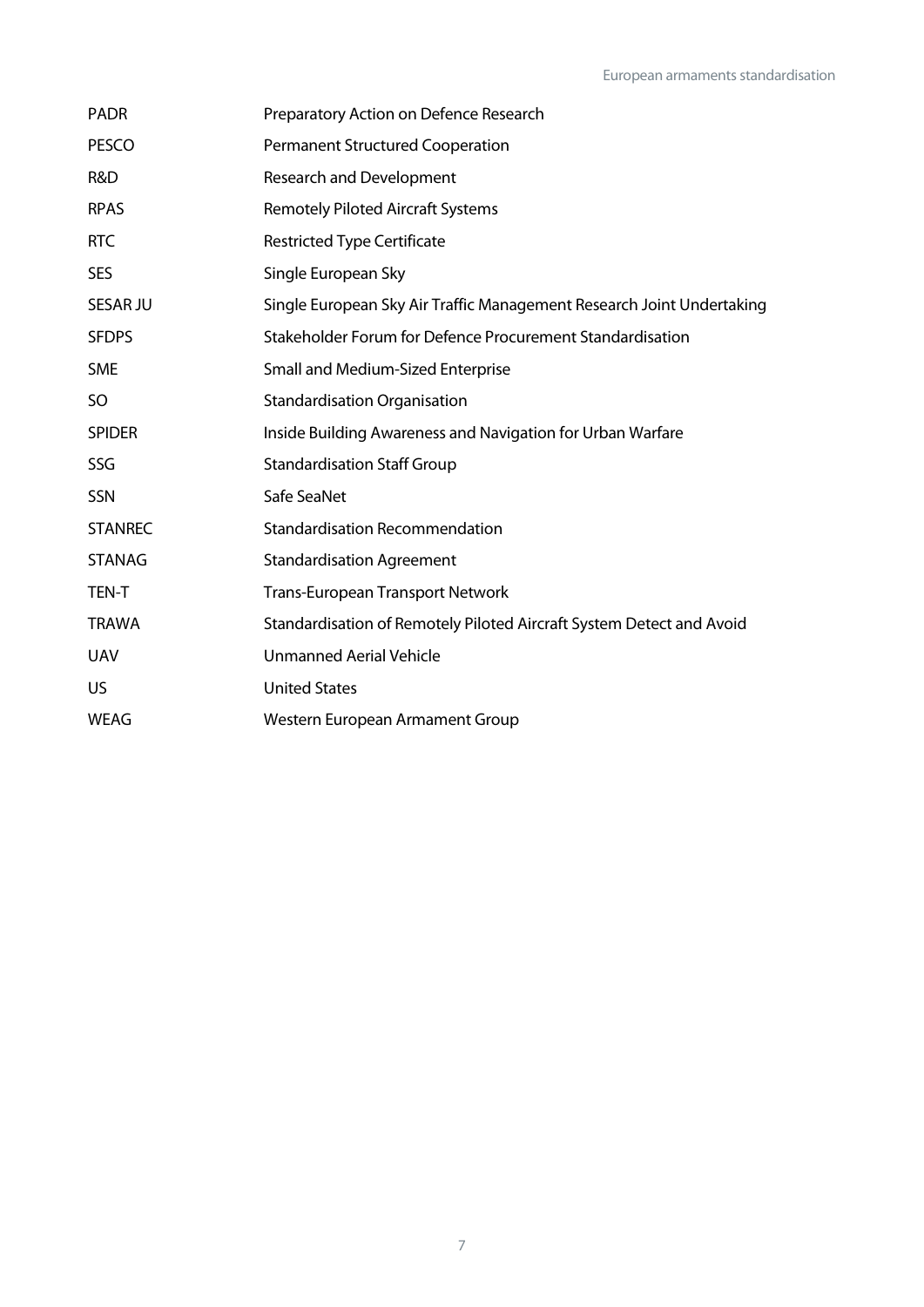| <b>PADR</b>     | Preparatory Action on Defence Research                                |
|-----------------|-----------------------------------------------------------------------|
| <b>PESCO</b>    | <b>Permanent Structured Cooperation</b>                               |
| R&D             | <b>Research and Development</b>                                       |
| <b>RPAS</b>     | <b>Remotely Piloted Aircraft Systems</b>                              |
| <b>RTC</b>      | <b>Restricted Type Certificate</b>                                    |
| <b>SES</b>      | Single European Sky                                                   |
| <b>SESAR JU</b> | Single European Sky Air Traffic Management Research Joint Undertaking |
| <b>SFDPS</b>    | Stakeholder Forum for Defence Procurement Standardisation             |
| <b>SME</b>      | Small and Medium-Sized Enterprise                                     |
| SO              | <b>Standardisation Organisation</b>                                   |
| <b>SPIDER</b>   | Inside Building Awareness and Navigation for Urban Warfare            |
| SSG             | <b>Standardisation Staff Group</b>                                    |
| SSN             | Safe SeaNet                                                           |
| <b>STANREC</b>  | <b>Standardisation Recommendation</b>                                 |
| <b>STANAG</b>   | <b>Standardisation Agreement</b>                                      |
| <b>TEN-T</b>    | <b>Trans-European Transport Network</b>                               |
| <b>TRAWA</b>    | Standardisation of Remotely Piloted Aircraft System Detect and Avoid  |
| <b>UAV</b>      | <b>Unmanned Aerial Vehicle</b>                                        |
| US.             | <b>United States</b>                                                  |
| <b>WEAG</b>     | Western European Armament Group                                       |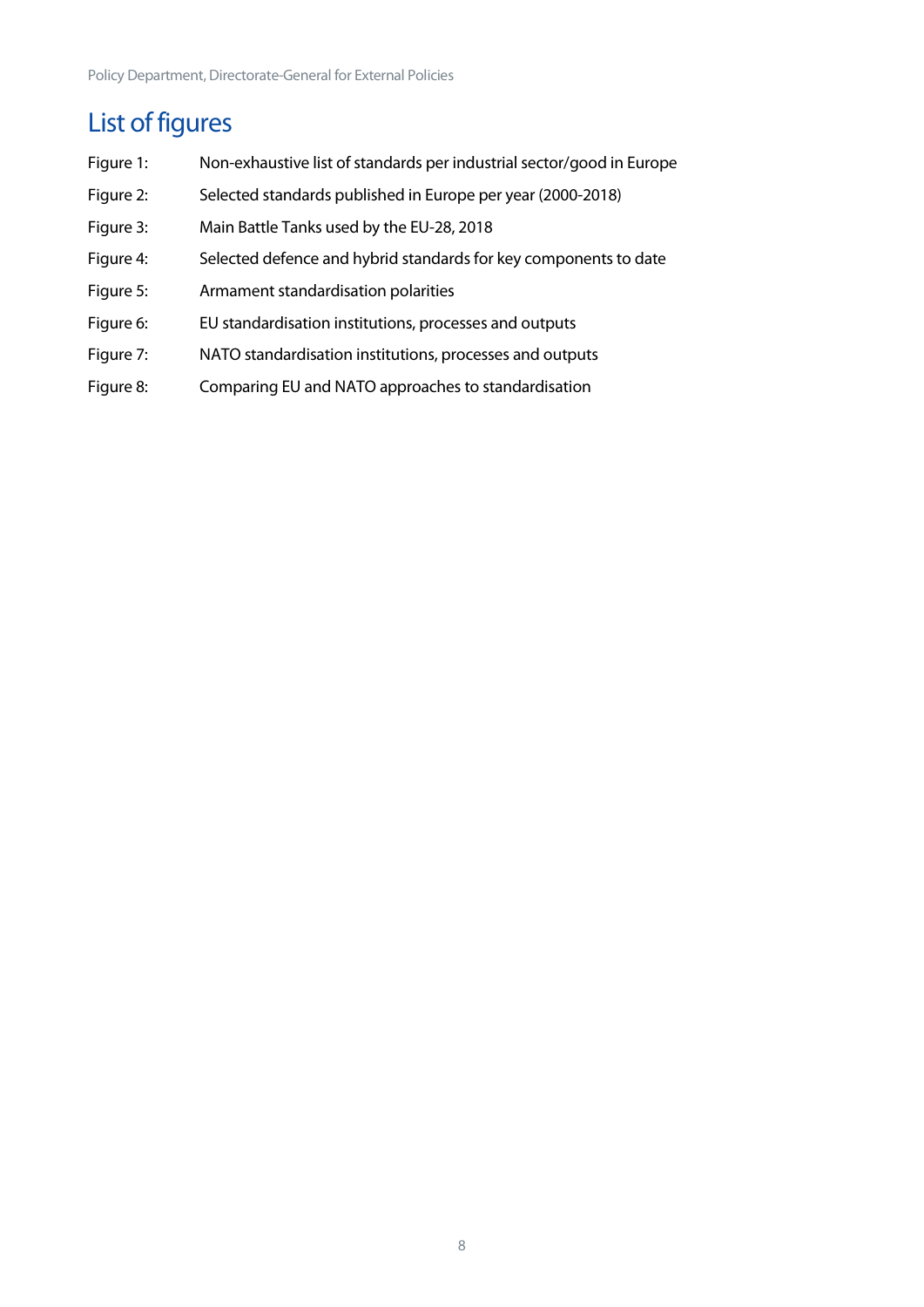## <span id="page-8-0"></span>List of figures

- Figure 1: Non-exhaustive list of standards per industrial sector/good in Europe
- Figure 2: Selected standards published in Europe per year (2000-2018)
- Figure 3: Main Battle Tanks used by the EU-28, 2018
- Figure 4: Selected defence and hybrid standards for key components to date
- Figure 5: Armament standardisation polarities
- Figure 6: EU standardisation institutions, processes and outputs
- Figure 7: NATO standardisation institutions, processes and outputs
- Figure 8: Comparing EU and NATO approaches to standardisation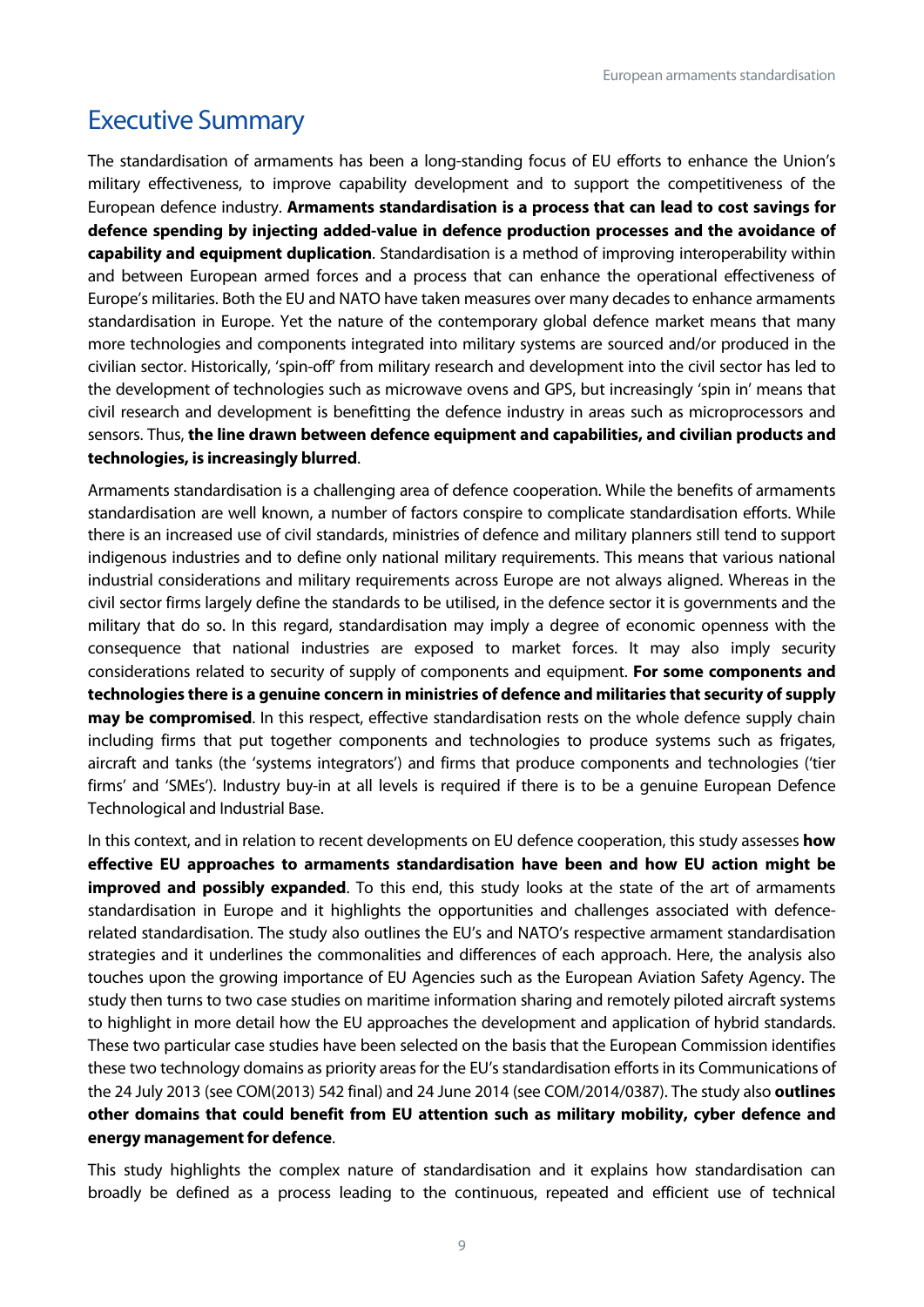## <span id="page-9-0"></span>Executive Summary

The standardisation of armaments has been a long-standing focus of EU efforts to enhance the Union's military effectiveness, to improve capability development and to support the competitiveness of the European defence industry. **Armaments standardisation is a process that can lead to cost savings for defence spending by injecting added-value in defence production processes and the avoidance of capability and equipment duplication**. Standardisation is a method of improving interoperability within and between European armed forces and a process that can enhance the operational effectiveness of Europe's militaries. Both the EU and NATO have taken measures over many decades to enhance armaments standardisation in Europe. Yet the nature of the contemporary global defence market means that many more technologies and components integrated into military systems are sourced and/or produced in the civilian sector. Historically, 'spin-off' from military research and development into the civil sector has led to the development of technologies such as microwave ovens and GPS, but increasingly 'spin in' means that civil research and development is benefitting the defence industry in areas such as microprocessors and sensors. Thus, **the line drawn between defence equipment and capabilities, and civilian products and technologies, is increasingly blurred**.

Armaments standardisation is a challenging area of defence cooperation. While the benefits of armaments standardisation are well known, a number of factors conspire to complicate standardisation efforts. While there is an increased use of civil standards, ministries of defence and military planners still tend to support indigenous industries and to define only national military requirements. This means that various national industrial considerations and military requirements across Europe are not always aligned. Whereas in the civil sector firms largely define the standards to be utilised, in the defence sector it is governments and the military that do so. In this regard, standardisation may imply a degree of economic openness with the consequence that national industries are exposed to market forces. It may also imply security considerations related to security of supply of components and equipment. **For some components and technologies there is a genuine concern in ministries of defence and militaries that security of supply may be compromised**. In this respect, effective standardisation rests on the whole defence supply chain including firms that put together components and technologies to produce systems such as frigates, aircraft and tanks (the 'systems integrators') and firms that produce components and technologies ('tier firms' and 'SMEs'). Industry buy-in at all levels is required if there is to be a genuine European Defence Technological and Industrial Base.

In this context, and in relation to recent developments on EU defence cooperation, this study assesses **how effective EU approaches to armaments standardisation have been and how EU action might be improved and possibly expanded**. To this end, this study looks at the state of the art of armaments standardisation in Europe and it highlights the opportunities and challenges associated with defencerelated standardisation. The study also outlines the EU's and NATO's respective armament standardisation strategies and it underlines the commonalities and differences of each approach. Here, the analysis also touches upon the growing importance of EU Agencies such as the European Aviation Safety Agency. The study then turns to two case studies on maritime information sharing and remotely piloted aircraft systems to highlight in more detail how the EU approaches the development and application of hybrid standards. These two particular case studies have been selected on the basis that the European Commission identifies these two technology domains as priority areas for the EU's standardisation efforts in its Communications of the 24 July 2013 (see COM(2013) 542 final) and 24 June 2014 (see COM/2014/0387). The study also **outlines other domains that could benefit from EU attention such as military mobility, cyber defence and energy management for defence**.

This study highlights the complex nature of standardisation and it explains how standardisation can broadly be defined as a process leading to the continuous, repeated and efficient use of technical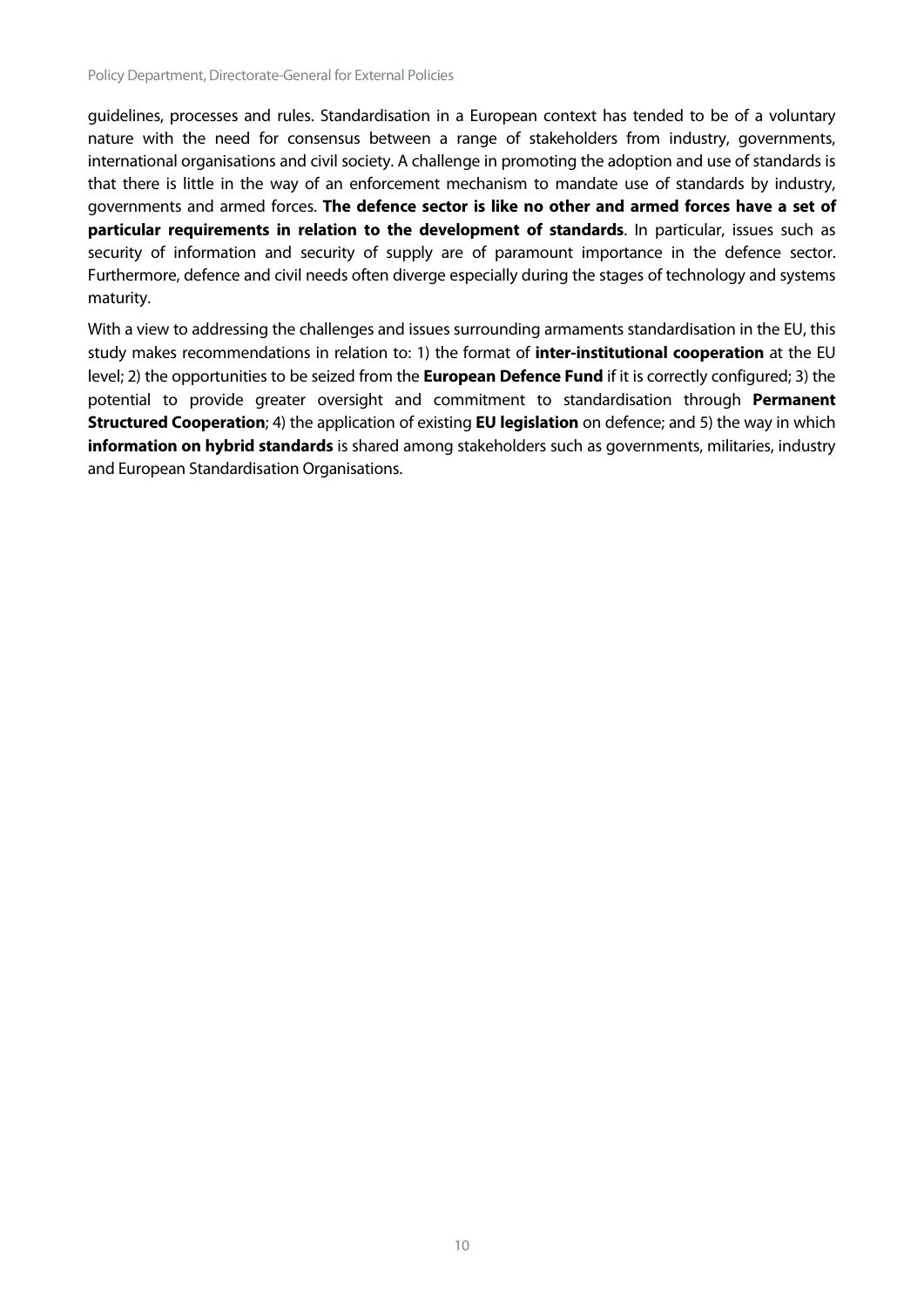guidelines, processes and rules. Standardisation in a European context has tended to be of a voluntary nature with the need for consensus between a range of stakeholders from industry, governments, international organisations and civil society. A challenge in promoting the adoption and use of standards is that there is little in the way of an enforcement mechanism to mandate use of standards by industry, governments and armed forces. **The defence sector is like no other and armed forces have a set of particular requirements in relation to the development of standards**. In particular, issues such as security of information and security of supply are of paramount importance in the defence sector. Furthermore, defence and civil needs often diverge especially during the stages of technology and systems maturity.

With a view to addressing the challenges and issues surrounding armaments standardisation in the EU, this study makes recommendations in relation to: 1) the format of **inter-institutional cooperation** at the EU level; 2) the opportunities to be seized from the **European Defence Fund** if it is correctly configured; 3) the potential to provide greater oversight and commitment to standardisation through **Permanent Structured Cooperation**; 4) the application of existing **EU legislation** on defence; and 5) the way in which **information on hybrid standards** is shared among stakeholders such as governments, militaries, industry and European Standardisation Organisations.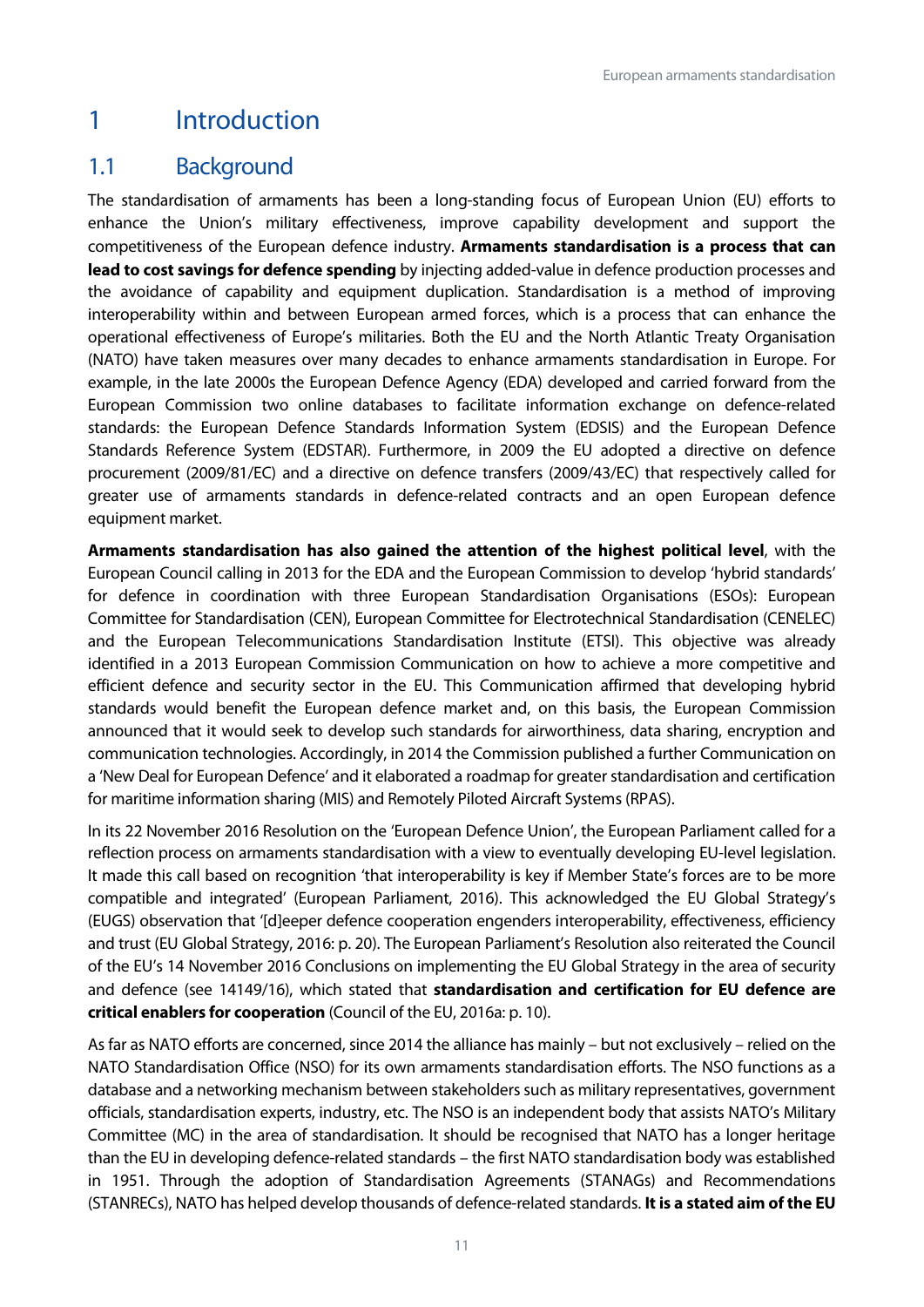## <span id="page-11-0"></span>1 Introduction

## <span id="page-11-1"></span>1.1 Background

The standardisation of armaments has been a long-standing focus of European Union (EU) efforts to enhance the Union's military effectiveness, improve capability development and support the competitiveness of the European defence industry. **Armaments standardisation is a process that can lead to cost savings for defence spending** by injecting added-value in defence production processes and the avoidance of capability and equipment duplication. Standardisation is a method of improving interoperability within and between European armed forces, which is a process that can enhance the operational effectiveness of Europe's militaries. Both the EU and the North Atlantic Treaty Organisation (NATO) have taken measures over many decades to enhance armaments standardisation in Europe. For example, in the late 2000s the European Defence Agency (EDA) developed and carried forward from the European Commission two online databases to facilitate information exchange on defence-related standards: the European Defence Standards Information System (EDSIS) and the European Defence Standards Reference System (EDSTAR). Furthermore, in 2009 the EU adopted a directive on defence procurement (2009/81/EC) and a directive on defence transfers (2009/43/EC) that respectively called for greater use of armaments standards in defence-related contracts and an open European defence equipment market.

**Armaments standardisation has also gained the attention of the highest political level**, with the European Council calling in 2013 for the EDA and the European Commission to develop 'hybrid standards' for defence in coordination with three European Standardisation Organisations (ESOs): European Committee for Standardisation (CEN), European Committee for Electrotechnical Standardisation (CENELEC) and the European Telecommunications Standardisation Institute (ETSI). This objective was already identified in a 2013 European Commission Communication on how to achieve a more competitive and efficient defence and security sector in the EU. This Communication affirmed that developing hybrid standards would benefit the European defence market and, on this basis, the European Commission announced that it would seek to develop such standards for airworthiness, data sharing, encryption and communication technologies. Accordingly, in 2014 the Commission published a further Communication on a 'New Deal for European Defence' and it elaborated a roadmap for greater standardisation and certification for maritime information sharing (MIS) and Remotely Piloted Aircraft Systems (RPAS).

In its 22 November 2016 Resolution on the 'European Defence Union', the European Parliament called for a reflection process on armaments standardisation with a view to eventually developing EU-level legislation. It made this call based on recognition 'that interoperability is key if Member State's forces are to be more compatible and integrated' (European Parliament, 2016). This acknowledged the EU Global Strategy's (EUGS) observation that '[d]eeper defence cooperation engenders interoperability, effectiveness, efficiency and trust (EU Global Strategy, 2016: p. 20). The European Parliament's Resolution also reiterated the Council of the EU's 14 November 2016 Conclusions on implementing the EU Global Strategy in the area of security and defence (see 14149/16), which stated that **standardisation and certification for EU defence are critical enablers for cooperation** (Council of the EU, 2016a: p. 10).

As far as NATO efforts are concerned, since 2014 the alliance has mainly – but not exclusively – relied on the NATO Standardisation Office (NSO) for its own armaments standardisation efforts. The NSO functions as a database and a networking mechanism between stakeholders such as military representatives, government officials, standardisation experts, industry, etc. The NSO is an independent body that assists NATO's Military Committee (MC) in the area of standardisation. It should be recognised that NATO has a longer heritage than the EU in developing defence-related standards – the first NATO standardisation body was established in 1951. Through the adoption of Standardisation Agreements (STANAGs) and Recommendations (STANRECs), NATO has helped develop thousands of defence-related standards. **It is a stated aim of the EU**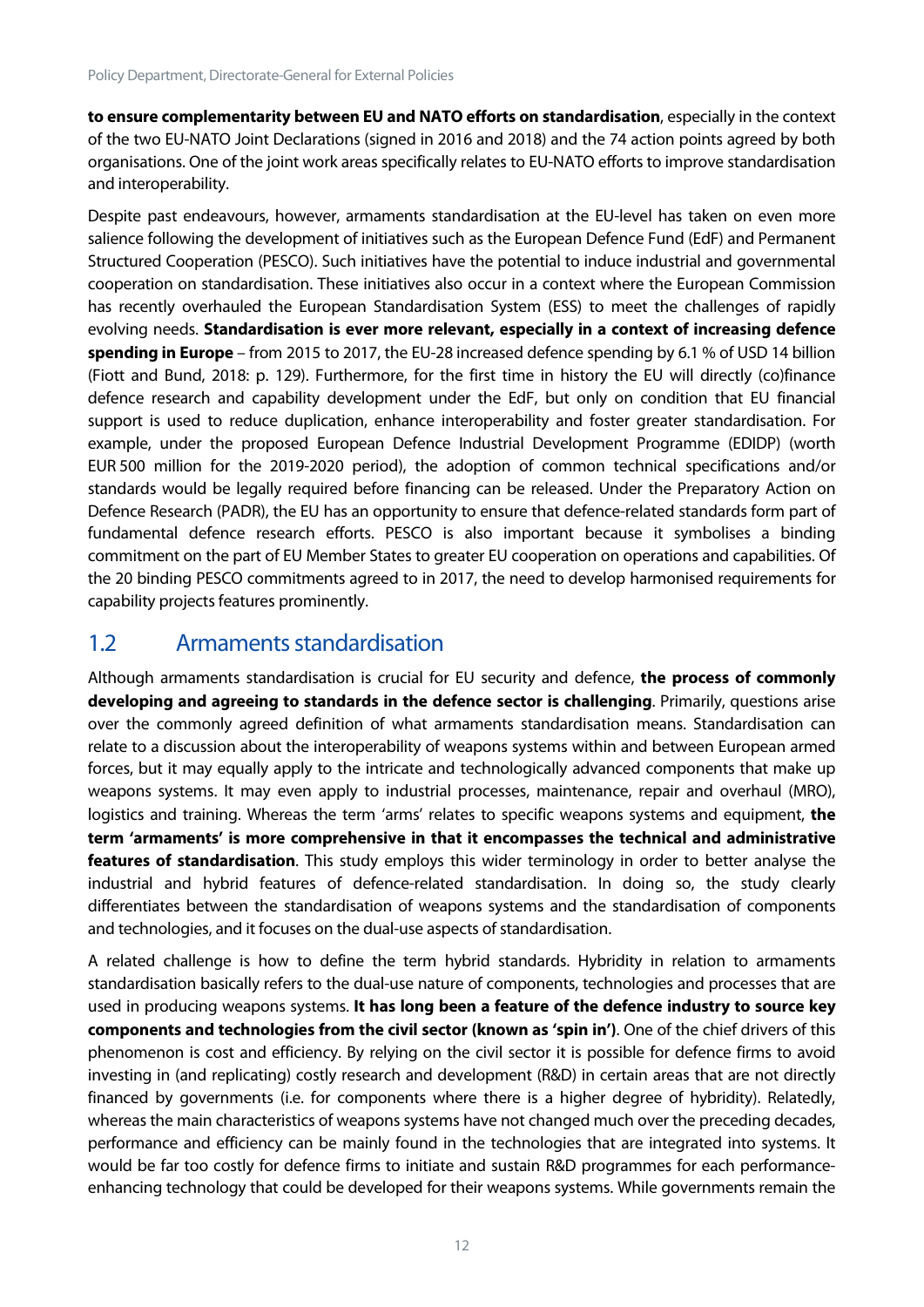**to ensure complementarity between EU and NATO efforts on standardisation**, especially in the context of the two EU-NATO Joint Declarations (signed in 2016 and 2018) and the 74 action points agreed by both organisations. One of the joint work areas specifically relates to EU-NATO efforts to improve standardisation and interoperability.

Despite past endeavours, however, armaments standardisation at the EU-level has taken on even more salience following the development of initiatives such as the European Defence Fund (EdF) and Permanent Structured Cooperation (PESCO). Such initiatives have the potential to induce industrial and governmental cooperation on standardisation. These initiatives also occur in a context where the European Commission has recently overhauled the European Standardisation System (ESS) to meet the challenges of rapidly evolving needs. **Standardisation is ever more relevant, especially in a context of increasing defence spending in Europe** – from 2015 to 2017, the EU-28 increased defence spending by 6.1 % of USD 14 billion (Fiott and Bund, 2018: p. 129). Furthermore, for the first time in history the EU will directly (co)finance defence research and capability development under the EdF, but only on condition that EU financial support is used to reduce duplication, enhance interoperability and foster greater standardisation. For example, under the proposed European Defence Industrial Development Programme (EDIDP) (worth EUR 500 million for the 2019-2020 period), the adoption of common technical specifications and/or standards would be legally required before financing can be released. Under the Preparatory Action on Defence Research (PADR), the EU has an opportunity to ensure that defence-related standards form part of fundamental defence research efforts. PESCO is also important because it symbolises a binding commitment on the part of EU Member States to greater EU cooperation on operations and capabilities. Of the 20 binding PESCO commitments agreed to in 2017, the need to develop harmonised requirements for capability projects features prominently.

## <span id="page-12-0"></span>1.2 Armaments standardisation

Although armaments standardisation is crucial for EU security and defence, **the process of commonly developing and agreeing to standards in the defence sector is challenging**. Primarily, questions arise over the commonly agreed definition of what armaments standardisation means. Standardisation can relate to a discussion about the interoperability of weapons systems within and between European armed forces, but it may equally apply to the intricate and technologically advanced components that make up weapons systems. It may even apply to industrial processes, maintenance, repair and overhaul (MRO), logistics and training. Whereas the term 'arms' relates to specific weapons systems and equipment, **the term 'armaments' is more comprehensive in that it encompasses the technical and administrative features of standardisation**. This study employs this wider terminology in order to better analyse the industrial and hybrid features of defence-related standardisation. In doing so, the study clearly differentiates between the standardisation of weapons systems and the standardisation of components and technologies, and it focuses on the dual-use aspects of standardisation.

A related challenge is how to define the term hybrid standards. Hybridity in relation to armaments standardisation basically refers to the dual-use nature of components, technologies and processes that are used in producing weapons systems. **It has long been a feature of the defence industry to source key components and technologies from the civil sector (known as 'spin in')**. One of the chief drivers of this phenomenon is cost and efficiency. By relying on the civil sector it is possible for defence firms to avoid investing in (and replicating) costly research and development (R&D) in certain areas that are not directly financed by governments (i.e. for components where there is a higher degree of hybridity). Relatedly, whereas the main characteristics of weapons systems have not changed much over the preceding decades, performance and efficiency can be mainly found in the technologies that are integrated into systems. It would be far too costly for defence firms to initiate and sustain R&D programmes for each performanceenhancing technology that could be developed for their weapons systems. While governments remain the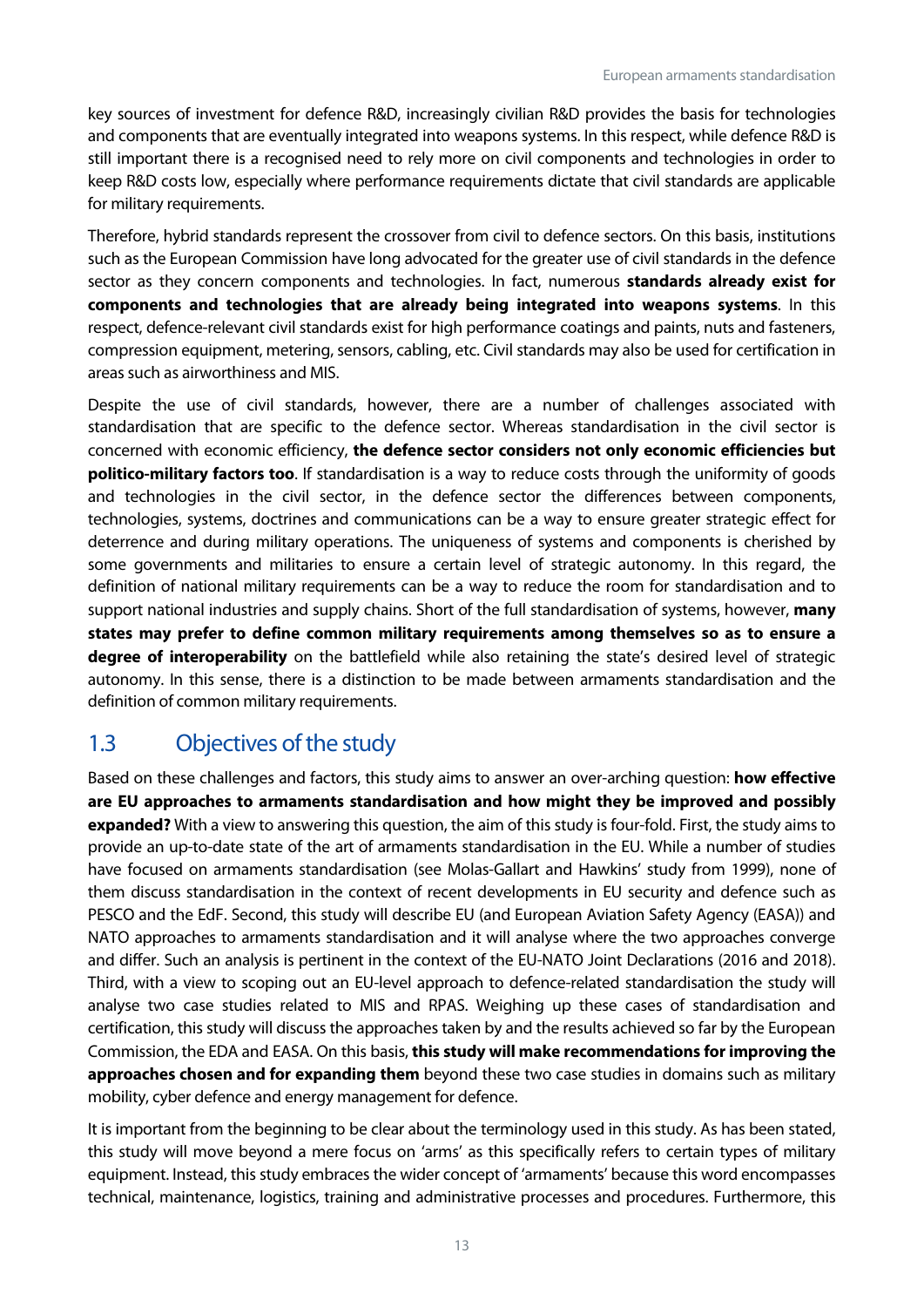key sources of investment for defence R&D, increasingly civilian R&D provides the basis for technologies and components that are eventually integrated into weapons systems. In this respect, while defence R&D is still important there is a recognised need to rely more on civil components and technologies in order to keep R&D costs low, especially where performance requirements dictate that civil standards are applicable for military requirements.

Therefore, hybrid standards represent the crossover from civil to defence sectors. On this basis, institutions such as the European Commission have long advocated for the greater use of civil standards in the defence sector as they concern components and technologies. In fact, numerous **standards already exist for components and technologies that are already being integrated into weapons systems**. In this respect, defence-relevant civil standards exist for high performance coatings and paints, nuts and fasteners, compression equipment, metering, sensors, cabling, etc. Civil standards may also be used for certification in areas such as airworthiness and MIS.

Despite the use of civil standards, however, there are a number of challenges associated with standardisation that are specific to the defence sector. Whereas standardisation in the civil sector is concerned with economic efficiency, **the defence sector considers not only economic efficiencies but politico-military factors too**. If standardisation is a way to reduce costs through the uniformity of goods and technologies in the civil sector, in the defence sector the differences between components, technologies, systems, doctrines and communications can be a way to ensure greater strategic effect for deterrence and during military operations. The uniqueness of systems and components is cherished by some governments and militaries to ensure a certain level of strategic autonomy. In this regard, the definition of national military requirements can be a way to reduce the room for standardisation and to support national industries and supply chains. Short of the full standardisation of systems, however, **many states may prefer to define common military requirements among themselves so as to ensure a degree of interoperability** on the battlefield while also retaining the state's desired level of strategic autonomy. In this sense, there is a distinction to be made between armaments standardisation and the definition of common military requirements.

## <span id="page-13-0"></span>1.3 Objectives of the study

Based on these challenges and factors, this study aims to answer an over-arching question: **how effective are EU approaches to armaments standardisation and how might they be improved and possibly expanded?** With a view to answering this question, the aim of this study is four-fold. First, the study aims to provide an up-to-date state of the art of armaments standardisation in the EU. While a number of studies have focused on armaments standardisation (see Molas-Gallart and Hawkins' study from 1999), none of them discuss standardisation in the context of recent developments in EU security and defence such as PESCO and the EdF. Second, this study will describe EU (and European Aviation Safety Agency (EASA)) and NATO approaches to armaments standardisation and it will analyse where the two approaches converge and differ. Such an analysis is pertinent in the context of the EU-NATO Joint Declarations (2016 and 2018). Third, with a view to scoping out an EU-level approach to defence-related standardisation the study will analyse two case studies related to MIS and RPAS. Weighing up these cases of standardisation and certification, this study will discuss the approaches taken by and the results achieved so far by the European Commission, the EDA and EASA. On this basis, **this study will make recommendations for improving the approaches chosen and for expanding them** beyond these two case studies in domains such as military mobility, cyber defence and energy management for defence.

It is important from the beginning to be clear about the terminology used in this study. As has been stated, this study will move beyond a mere focus on 'arms' as this specifically refers to certain types of military equipment. Instead, this study embraces the wider concept of 'armaments' because this word encompasses technical, maintenance, logistics, training and administrative processes and procedures. Furthermore, this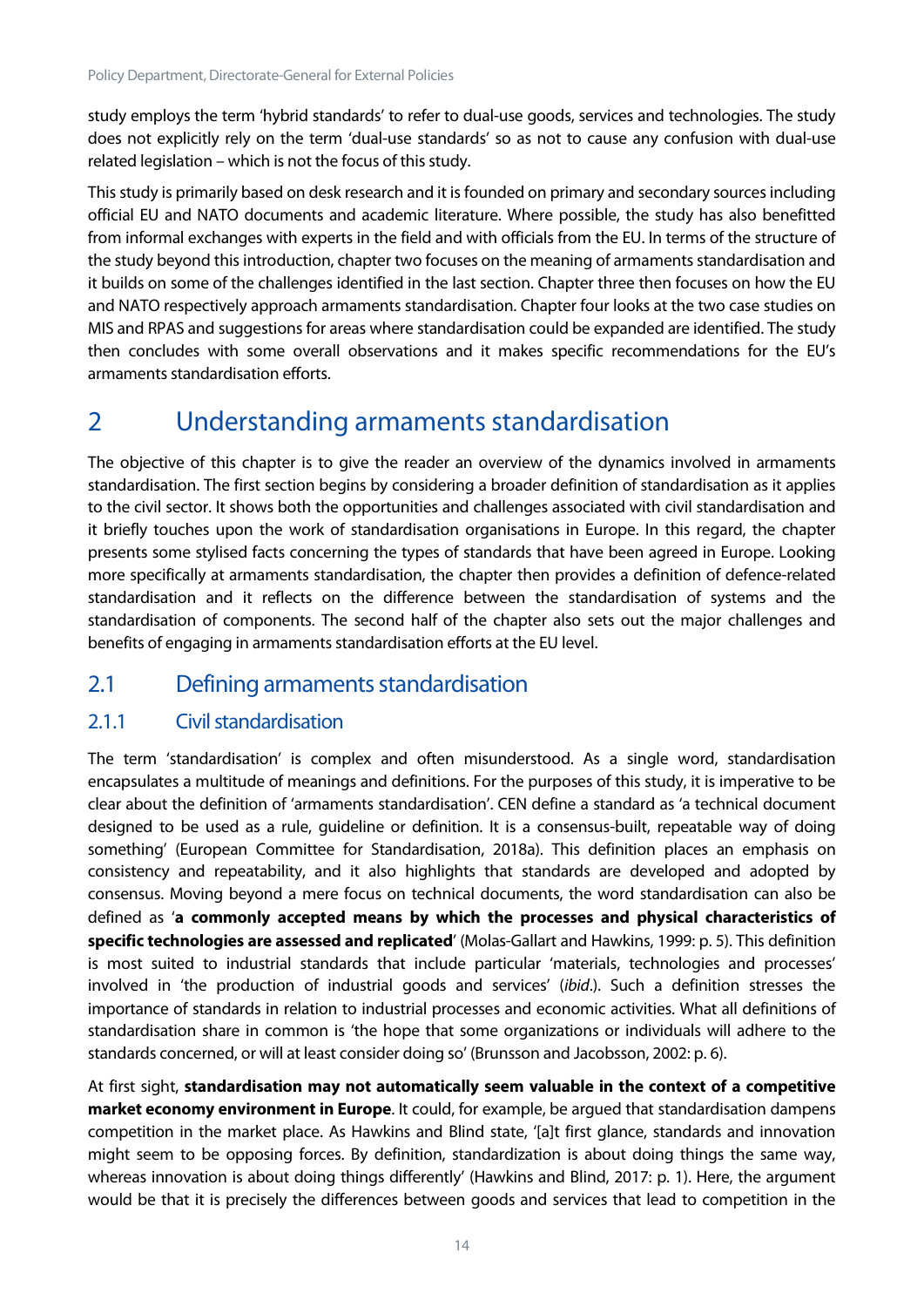study employs the term 'hybrid standards' to refer to dual-use goods, services and technologies. The study does not explicitly rely on the term 'dual-use standards' so as not to cause any confusion with dual-use related legislation – which is not the focus of this study.

This study is primarily based on desk research and it is founded on primary and secondary sources including official EU and NATO documents and academic literature. Where possible, the study has also benefitted from informal exchanges with experts in the field and with officials from the EU. In terms of the structure of the study beyond this introduction, chapter two focuses on the meaning of armaments standardisation and it builds on some of the challenges identified in the last section. Chapter three then focuses on how the EU and NATO respectively approach armaments standardisation. Chapter four looks at the two case studies on MIS and RPAS and suggestions for areas where standardisation could be expanded are identified. The study then concludes with some overall observations and it makes specific recommendations for the EU's armaments standardisation efforts.

## <span id="page-14-0"></span>2 Understanding armaments standardisation

The objective of this chapter is to give the reader an overview of the dynamics involved in armaments standardisation. The first section begins by considering a broader definition of standardisation as it applies to the civil sector. It shows both the opportunities and challenges associated with civil standardisation and it briefly touches upon the work of standardisation organisations in Europe. In this regard, the chapter presents some stylised facts concerning the types of standards that have been agreed in Europe. Looking more specifically at armaments standardisation, the chapter then provides a definition of defence-related standardisation and it reflects on the difference between the standardisation of systems and the standardisation of components. The second half of the chapter also sets out the major challenges and benefits of engaging in armaments standardisation efforts at the EU level.

## <span id="page-14-1"></span>2.1 Defining armaments standardisation

#### <span id="page-14-2"></span>2.1.1 Civil standardisation

The term 'standardisation' is complex and often misunderstood. As a single word, standardisation encapsulates a multitude of meanings and definitions. For the purposes of this study, it is imperative to be clear about the definition of 'armaments standardisation'. CEN define a standard as 'a technical document designed to be used as a rule, guideline or definition. It is a consensus-built, repeatable way of doing something' (European Committee for Standardisation, 2018a). This definition places an emphasis on consistency and repeatability, and it also highlights that standards are developed and adopted by consensus. Moving beyond a mere focus on technical documents, the word standardisation can also be defined as '**a commonly accepted means by which the processes and physical characteristics of specific technologies are assessed and replicated**' (Molas-Gallart and Hawkins, 1999: p. 5). This definition is most suited to industrial standards that include particular 'materials, technologies and processes' involved in 'the production of industrial goods and services' (*ibid*.). Such a definition stresses the importance of standards in relation to industrial processes and economic activities. What all definitions of standardisation share in common is 'the hope that some organizations or individuals will adhere to the standards concerned, or will at least consider doing so' (Brunsson and Jacobsson, 2002: p. 6).

At first sight, **standardisation may not automatically seem valuable in the context of a competitive market economy environment in Europe**. It could, for example, be argued that standardisation dampens competition in the market place. As Hawkins and Blind state, '[a]t first glance, standards and innovation might seem to be opposing forces. By definition, standardization is about doing things the same way, whereas innovation is about doing things differently' (Hawkins and Blind, 2017: p. 1). Here, the argument would be that it is precisely the differences between goods and services that lead to competition in the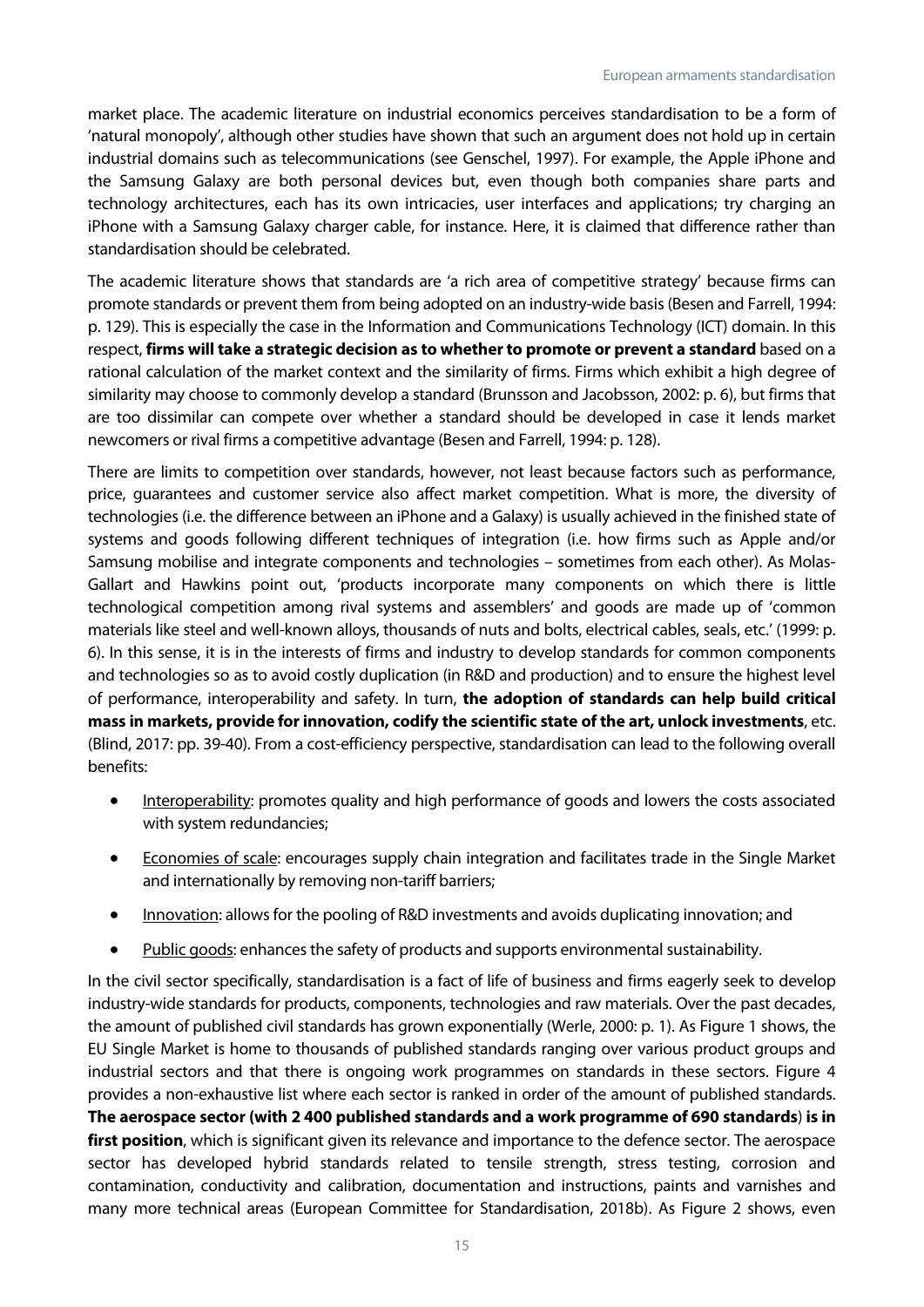market place. The academic literature on industrial economics perceives standardisation to be a form of 'natural monopoly', although other studies have shown that such an argument does not hold up in certain industrial domains such as telecommunications (see Genschel, 1997). For example, the Apple iPhone and the Samsung Galaxy are both personal devices but, even though both companies share parts and technology architectures, each has its own intricacies, user interfaces and applications; try charging an iPhone with a Samsung Galaxy charger cable, for instance. Here, it is claimed that difference rather than standardisation should be celebrated.

The academic literature shows that standards are 'a rich area of competitive strategy' because firms can promote standards or prevent them from being adopted on an industry-wide basis (Besen and Farrell, 1994: p. 129). This is especially the case in the Information and Communications Technology (ICT) domain. In this respect, **firms will take a strategic decision as to whether to promote or prevent a standard** based on a rational calculation of the market context and the similarity of firms. Firms which exhibit a high degree of similarity may choose to commonly develop a standard (Brunsson and Jacobsson, 2002: p. 6), but firms that are too dissimilar can compete over whether a standard should be developed in case it lends market newcomers or rival firms a competitive advantage (Besen and Farrell, 1994: p. 128).

There are limits to competition over standards, however, not least because factors such as performance, price, guarantees and customer service also affect market competition. What is more, the diversity of technologies (i.e. the difference between an iPhone and a Galaxy) is usually achieved in the finished state of systems and goods following different techniques of integration (i.e. how firms such as Apple and/or Samsung mobilise and integrate components and technologies – sometimes from each other). As Molas-Gallart and Hawkins point out, 'products incorporate many components on which there is little technological competition among rival systems and assemblers' and goods are made up of 'common materials like steel and well-known alloys, thousands of nuts and bolts, electrical cables, seals, etc.' (1999: p. 6). In this sense, it is in the interests of firms and industry to develop standards for common components and technologies so as to avoid costly duplication (in R&D and production) and to ensure the highest level of performance, interoperability and safety. In turn, **the adoption of standards can help build critical mass in markets, provide for innovation, codify the scientific state of the art, unlock investments**, etc. (Blind, 2017: pp. 39-40). From a cost-efficiency perspective, standardisation can lead to the following overall benefits:

- Interoperability: promotes quality and high performance of goods and lowers the costs associated with system redundancies;
- Economies of scale: encourages supply chain integration and facilitates trade in the Single Market and internationally by removing non-tariff barriers;
- Innovation: allows for the pooling of R&D investments and avoids duplicating innovation; and
- Public goods: enhances the safety of products and supports environmental sustainability.

In the civil sector specifically, standardisation is a fact of life of business and firms eagerly seek to develop industry-wide standards for products, components, technologies and raw materials. Over the past decades, the amount of published civil standards has grown exponentially (Werle, 2000: p. 1). As Figure 1 shows, the EU Single Market is home to thousands of published standards ranging over various product groups and industrial sectors and that there is ongoing work programmes on standards in these sectors. Figure 4 provides a non-exhaustive list where each sector is ranked in order of the amount of published standards. **The aerospace sector (with 2 400 published standards and a work programme of 690 standards**) **is in**  first position, which is significant given its relevance and importance to the defence sector. The aerospace sector has developed hybrid standards related to tensile strength, stress testing, corrosion and contamination, conductivity and calibration, documentation and instructions, paints and varnishes and many more technical areas (European Committee for Standardisation, 2018b). As Figure 2 shows, even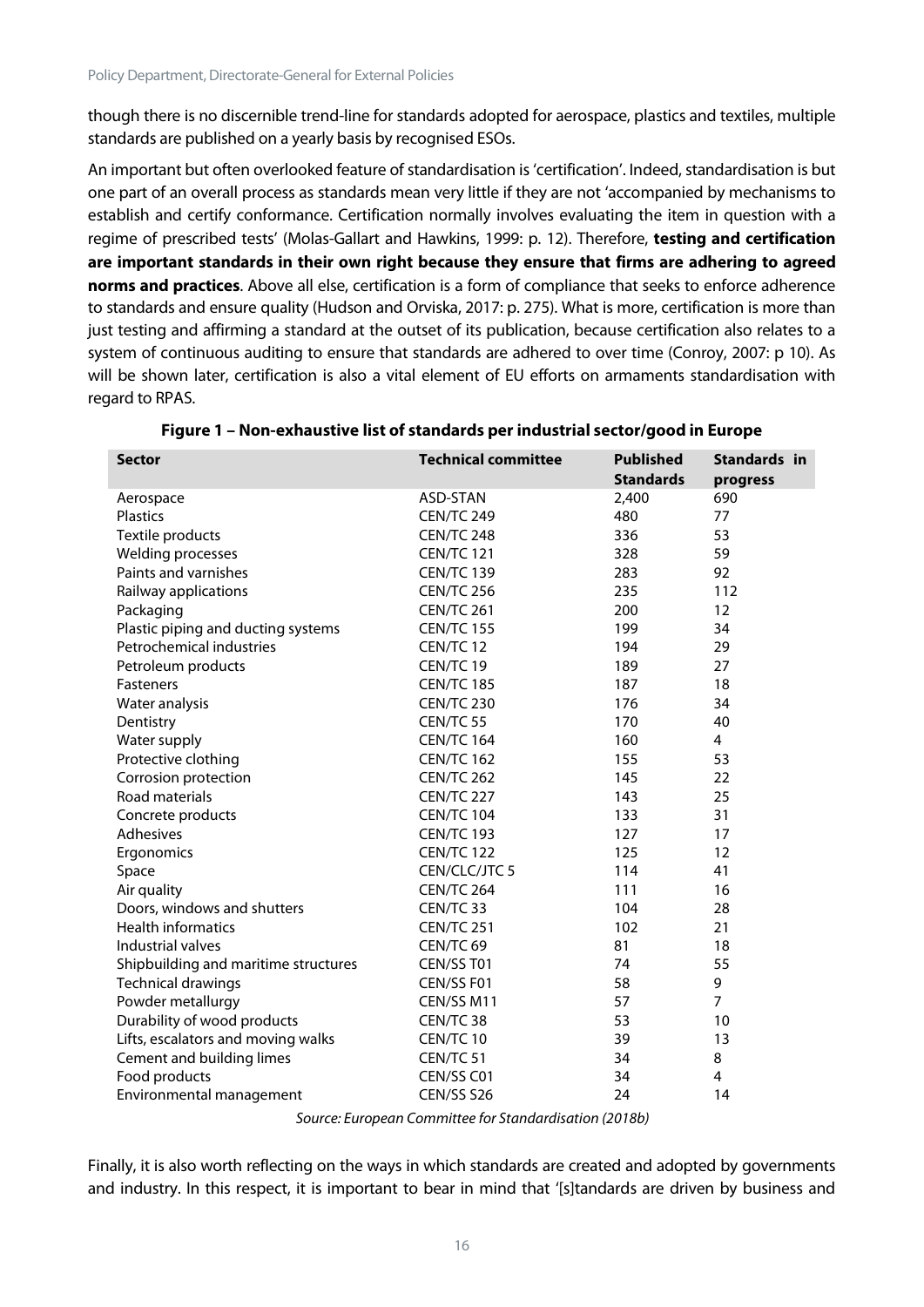though there is no discernible trend-line for standards adopted for aerospace, plastics and textiles, multiple standards are published on a yearly basis by recognised ESOs.

An important but often overlooked feature of standardisation is 'certification'. Indeed, standardisation is but one part of an overall process as standards mean very little if they are not 'accompanied by mechanisms to establish and certify conformance. Certification normally involves evaluating the item in question with a regime of prescribed tests' (Molas-Gallart and Hawkins, 1999: p. 12). Therefore, **testing and certification are important standards in their own right because they ensure that firms are adhering to agreed norms and practices**. Above all else, certification is a form of compliance that seeks to enforce adherence to standards and ensure quality (Hudson and Orviska, 2017: p. 275). What is more, certification is more than just testing and affirming a standard at the outset of its publication, because certification also relates to a system of continuous auditing to ensure that standards are adhered to over time (Conroy, 2007: p 10). As will be shown later, certification is also a vital element of EU efforts on armaments standardisation with regard to RPAS.

| <b>Sector</b>                        | <b>Technical committee</b> | <b>Published</b> | Standards in   |
|--------------------------------------|----------------------------|------------------|----------------|
|                                      |                            | <b>Standards</b> | progress       |
| Aerospace                            | ASD-STAN                   | 2,400            | 690            |
| <b>Plastics</b>                      | CEN/TC 249                 | 480              | 77             |
| Textile products                     | CEN/TC 248                 | 336              | 53             |
| Welding processes                    | <b>CEN/TC 121</b>          | 328              | 59             |
| Paints and varnishes                 | <b>CEN/TC 139</b>          | 283              | 92             |
| Railway applications                 | <b>CEN/TC 256</b>          | 235              | 112            |
| Packaging                            | <b>CEN/TC 261</b>          | 200              | 12             |
| Plastic piping and ducting systems   | <b>CEN/TC 155</b>          | 199              | 34             |
| Petrochemical industries             | CEN/TC 12                  | 194              | 29             |
| Petroleum products                   | CEN/TC 19                  | 189              | 27             |
| Fasteners                            | <b>CEN/TC 185</b>          | 187              | 18             |
| Water analysis                       | <b>CEN/TC 230</b>          | 176              | 34             |
| Dentistry                            | CEN/TC 55                  | 170              | 40             |
| Water supply                         | <b>CEN/TC 164</b>          | 160              | 4              |
| Protective clothing                  | <b>CEN/TC 162</b>          | 155              | 53             |
| Corrosion protection                 | CEN/TC 262                 | 145              | 22             |
| Road materials                       | CEN/TC 227                 | 143              | 25             |
| Concrete products                    | <b>CEN/TC 104</b>          | 133              | 31             |
| Adhesives                            | <b>CEN/TC 193</b>          | 127              | 17             |
| Ergonomics                           | <b>CEN/TC 122</b>          | 125              | 12             |
| Space                                | CEN/CLC/JTC 5              | 114              | 41             |
| Air quality                          | <b>CEN/TC 264</b>          | 111              | 16             |
| Doors, windows and shutters          | CEN/TC 33                  | 104              | 28             |
| <b>Health informatics</b>            | <b>CEN/TC 251</b>          | 102              | 21             |
| Industrial valves                    | CEN/TC <sub>69</sub>       | 81               | 18             |
| Shipbuilding and maritime structures | CEN/SS T01                 | 74               | 55             |
| <b>Technical drawings</b>            | CEN/SS F01                 | 58               | 9              |
| Powder metallurgy                    | CEN/SS M11                 | 57               | $\overline{7}$ |
| Durability of wood products          | CEN/TC 38                  | 53               | 10             |
| Lifts, escalators and moving walks   | CEN/TC 10                  | 39               | 13             |
| Cement and building limes            | CEN/TC 51                  | 34               | 8              |
| Food products                        | CEN/SS C01                 | 34               | 4              |
| Environmental management             | CEN/SS S26                 | 24               | 14             |

| Figure 1 – Non-exhaustive list of standards per industrial sector/good in Europe |  |  |  |
|----------------------------------------------------------------------------------|--|--|--|
|----------------------------------------------------------------------------------|--|--|--|

*Source: European Committee for Standardisation (2018b)*

Finally, it is also worth reflecting on the ways in which standards are created and adopted by governments and industry. In this respect, it is important to bear in mind that '[s]tandards are driven by business and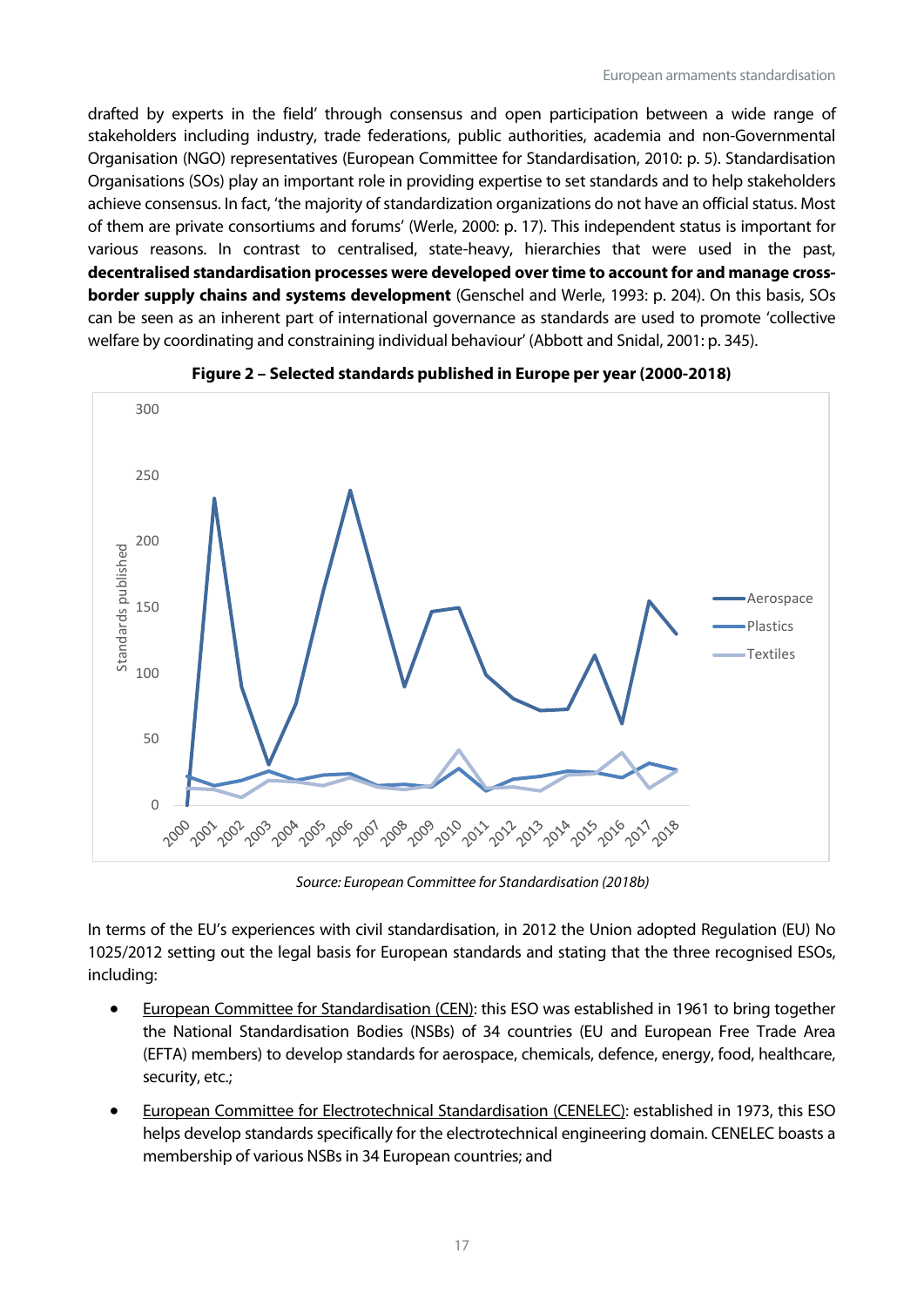drafted by experts in the field' through consensus and open participation between a wide range of stakeholders including industry, trade federations, public authorities, academia and non-Governmental Organisation (NGO) representatives (European Committee for Standardisation, 2010: p. 5). Standardisation Organisations (SOs) play an important role in providing expertise to set standards and to help stakeholders achieve consensus. In fact, 'the majority of standardization organizations do not have an official status. Most of them are private consortiums and forums' (Werle, 2000: p. 17). This independent status is important for various reasons. In contrast to centralised, state-heavy, hierarchies that were used in the past, **decentralised standardisation processes were developed over time to account for and manage crossborder supply chains and systems development** (Genschel and Werle, 1993: p. 204). On this basis, SOs can be seen as an inherent part of international governance as standards are used to promote 'collective welfare by coordinating and constraining individual behaviour' (Abbott and Snidal, 2001: p. 345).





*Source: European Committee for Standardisation (2018b)*

In terms of the EU's experiences with civil standardisation, in 2012 the Union adopted Regulation (EU) No 1025/2012 setting out the legal basis for European standards and stating that the three recognised ESOs, including:

- European Committee for Standardisation (CEN): this ESO was established in 1961 to bring together the National Standardisation Bodies (NSBs) of 34 countries (EU and European Free Trade Area (EFTA) members) to develop standards for aerospace, chemicals, defence, energy, food, healthcare, security, etc.;
- European Committee for Electrotechnical Standardisation (CENELEC): established in 1973, this ESO helps develop standards specifically for the electrotechnical engineering domain. CENELEC boasts a membership of various NSBs in 34 European countries; and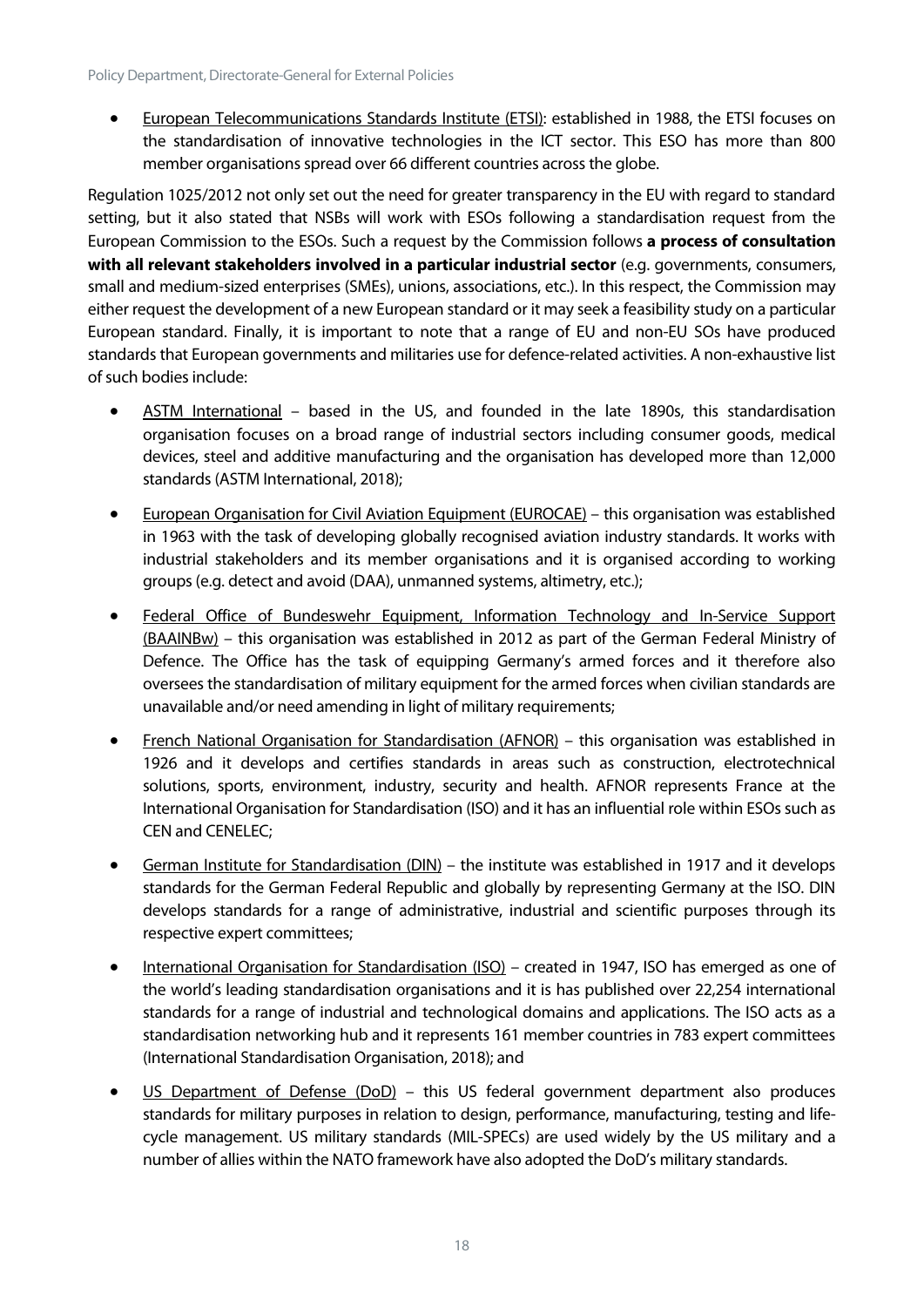• European Telecommunications Standards Institute (ETSI): established in 1988, the ETSI focuses on the standardisation of innovative technologies in the ICT sector. This ESO has more than 800 member organisations spread over 66 different countries across the globe.

Regulation 1025/2012 not only set out the need for greater transparency in the EU with regard to standard setting, but it also stated that NSBs will work with ESOs following a standardisation request from the European Commission to the ESOs. Such a request by the Commission follows **a process of consultation with all relevant stakeholders involved in a particular industrial sector** (e.g. governments, consumers, small and medium-sized enterprises (SMEs), unions, associations, etc.). In this respect, the Commission may either request the development of a new European standard or it may seek a feasibility study on a particular European standard. Finally, it is important to note that a range of EU and non-EU SOs have produced standards that European governments and militaries use for defence-related activities. A non-exhaustive list of such bodies include:

- ASTM International based in the US, and founded in the late 1890s, this standardisation organisation focuses on a broad range of industrial sectors including consumer goods, medical devices, steel and additive manufacturing and the organisation has developed more than 12,000 standards (ASTM International, 2018);
- European Organisation for Civil Aviation Equipment (EUROCAE) this organisation was established in 1963 with the task of developing globally recognised aviation industry standards. It works with industrial stakeholders and its member organisations and it is organised according to working groups (e.g. detect and avoid (DAA), unmanned systems, altimetry, etc.);
- Federal Office of Bundeswehr Equipment, Information Technology and In-Service Support (BAAINBw) – this organisation was established in 2012 as part of the German Federal Ministry of Defence. The Office has the task of equipping Germany's armed forces and it therefore also oversees the standardisation of military equipment for the armed forces when civilian standards are unavailable and/or need amending in light of military requirements;
- French National Organisation for Standardisation (AFNOR) this organisation was established in 1926 and it develops and certifies standards in areas such as construction, electrotechnical solutions, sports, environment, industry, security and health. AFNOR represents France at the International Organisation for Standardisation (ISO) and it has an influential role within ESOs such as CEN and CENELEC;
- German Institute for Standardisation (DIN) the institute was established in 1917 and it develops standards for the German Federal Republic and globally by representing Germany at the ISO. DIN develops standards for a range of administrative, industrial and scientific purposes through its respective expert committees;
- International Organisation for Standardisation (ISO) created in 1947, ISO has emerged as one of the world's leading standardisation organisations and it is has published over 22,254 international standards for a range of industrial and technological domains and applications. The ISO acts as a standardisation networking hub and it represents 161 member countries in 783 expert committees (International Standardisation Organisation, 2018); and
- <span id="page-18-0"></span>• US Department of Defense (DoD) – this US federal government department also produces standards for military purposes in relation to design, performance, manufacturing, testing and lifecycle management. US military standards (MIL-SPECs) are used widely by the US military and a number of allies within the NATO framework have also adopted the DoD's military standards.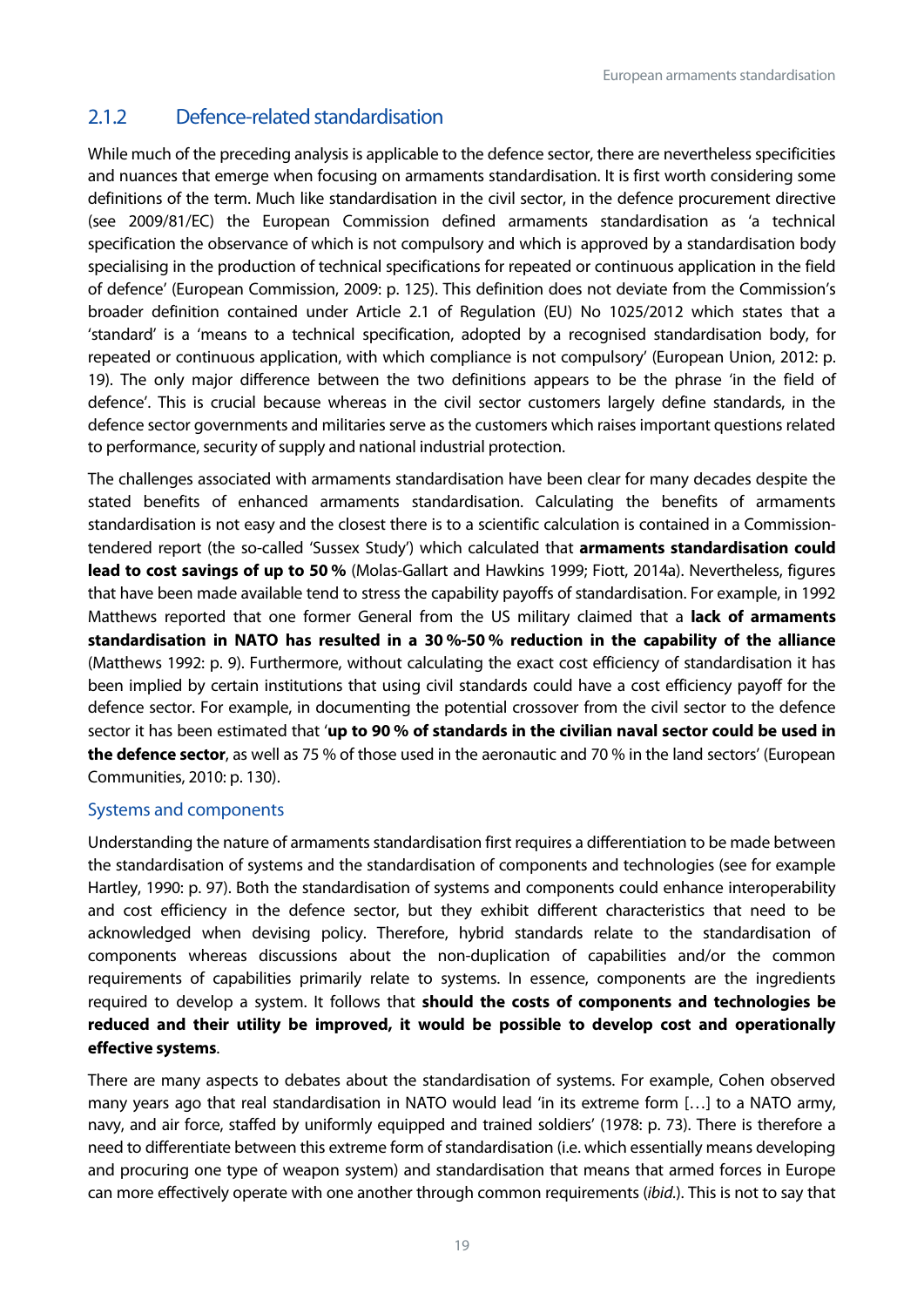## 2.1.2 Defence-related standardisation

While much of the preceding analysis is applicable to the defence sector, there are nevertheless specificities and nuances that emerge when focusing on armaments standardisation. It is first worth considering some definitions of the term. Much like standardisation in the civil sector, in the defence procurement directive (see 2009/81/EC) the European Commission defined armaments standardisation as 'a technical specification the observance of which is not compulsory and which is approved by a standardisation body specialising in the production of technical specifications for repeated or continuous application in the field of defence' (European Commission, 2009: p. 125). This definition does not deviate from the Commission's broader definition contained under Article 2.1 of Regulation (EU) No 1025/2012 which states that a 'standard' is a 'means to a technical specification, adopted by a recognised standardisation body, for repeated or continuous application, with which compliance is not compulsory' (European Union, 2012: p. 19). The only major difference between the two definitions appears to be the phrase 'in the field of defence'. This is crucial because whereas in the civil sector customers largely define standards, in the defence sector governments and militaries serve as the customers which raises important questions related to performance, security of supply and national industrial protection.

The challenges associated with armaments standardisation have been clear for many decades despite the stated benefits of enhanced armaments standardisation. Calculating the benefits of armaments standardisation is not easy and the closest there is to a scientific calculation is contained in a Commissiontendered report (the so-called 'Sussex Study') which calculated that **armaments standardisation could lead to cost savings of up to 50 %** (Molas-Gallart and Hawkins 1999; Fiott, 2014a). Nevertheless, figures that have been made available tend to stress the capability payoffs of standardisation. For example, in 1992 Matthews reported that one former General from the US military claimed that a **lack of armaments standardisation in NATO has resulted in a 30 %-50 % reduction in the capability of the alliance** (Matthews 1992: p. 9). Furthermore, without calculating the exact cost efficiency of standardisation it has been implied by certain institutions that using civil standards could have a cost efficiency payoff for the defence sector. For example, in documenting the potential crossover from the civil sector to the defence sector it has been estimated that '**up to 90 % of standards in the civilian naval sector could be used in the defence sector**, as well as 75 % of those used in the aeronautic and 70 % in the land sectors' (European Communities, 2010: p. 130).

#### Systems and components

Understanding the nature of armaments standardisation first requires a differentiation to be made between the standardisation of systems and the standardisation of components and technologies (see for example Hartley, 1990: p. 97). Both the standardisation of systems and components could enhance interoperability and cost efficiency in the defence sector, but they exhibit different characteristics that need to be acknowledged when devising policy. Therefore, hybrid standards relate to the standardisation of components whereas discussions about the non-duplication of capabilities and/or the common requirements of capabilities primarily relate to systems. In essence, components are the ingredients required to develop a system. It follows that **should the costs of components and technologies be reduced and their utility be improved, it would be possible to develop cost and operationally effective systems**.

There are many aspects to debates about the standardisation of systems. For example, Cohen observed many years ago that real standardisation in NATO would lead 'in its extreme form […] to a NATO army, navy, and air force, staffed by uniformly equipped and trained soldiers' (1978: p. 73). There is therefore a need to differentiate between this extreme form of standardisation (i.e. which essentially means developing and procuring one type of weapon system) and standardisation that means that armed forces in Europe can more effectively operate with one another through common requirements (*ibid.*). This is not to say that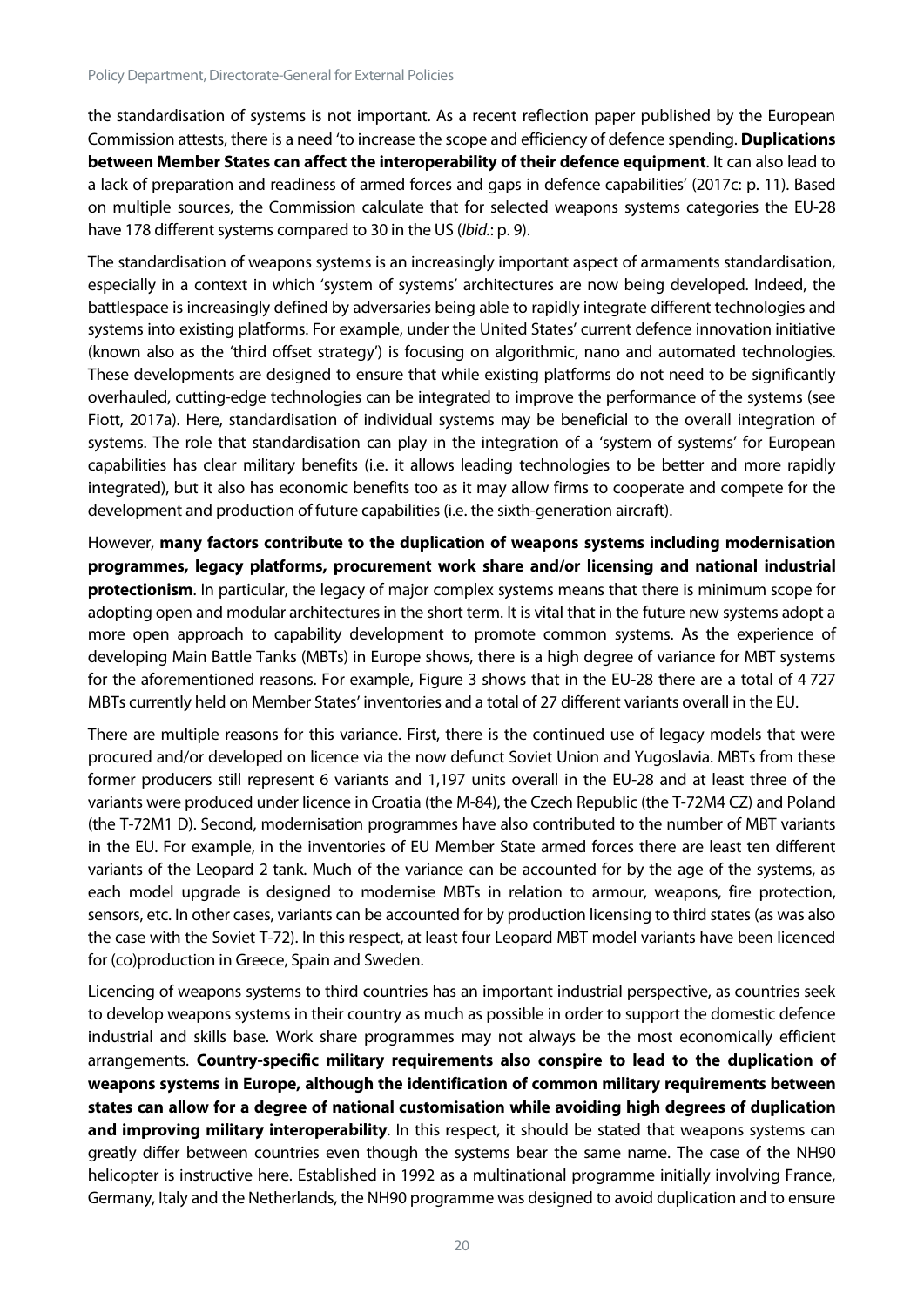the standardisation of systems is not important. As a recent reflection paper published by the European Commission attests, there is a need 'to increase the scope and efficiency of defence spending. **Duplications between Member States can affect the interoperability of their defence equipment**. It can also lead to a lack of preparation and readiness of armed forces and gaps in defence capabilities' (2017c: p. 11). Based on multiple sources, the Commission calculate that for selected weapons systems categories the EU-28 have 178 different systems compared to 30 in the US (*Ibid.*: p. 9).

The standardisation of weapons systems is an increasingly important aspect of armaments standardisation, especially in a context in which 'system of systems' architectures are now being developed. Indeed, the battlespace is increasingly defined by adversaries being able to rapidly integrate different technologies and systems into existing platforms. For example, under the United States' current defence innovation initiative (known also as the 'third offset strategy') is focusing on algorithmic, nano and automated technologies. These developments are designed to ensure that while existing platforms do not need to be significantly overhauled, cutting-edge technologies can be integrated to improve the performance of the systems (see Fiott, 2017a). Here, standardisation of individual systems may be beneficial to the overall integration of systems. The role that standardisation can play in the integration of a 'system of systems' for European capabilities has clear military benefits (i.e. it allows leading technologies to be better and more rapidly integrated), but it also has economic benefits too as it may allow firms to cooperate and compete for the development and production of future capabilities (i.e. the sixth-generation aircraft).

However, **many factors contribute to the duplication of weapons systems including modernisation programmes, legacy platforms, procurement work share and/or licensing and national industrial protectionism**. In particular, the legacy of major complex systems means that there is minimum scope for adopting open and modular architectures in the short term. It is vital that in the future new systems adopt a more open approach to capability development to promote common systems. As the experience of developing Main Battle Tanks (MBTs) in Europe shows, there is a high degree of variance for MBT systems for the aforementioned reasons. For example, Figure 3 shows that in the EU-28 there are a total of 4 727 MBTs currently held on Member States' inventories and a total of 27 different variants overall in the EU.

There are multiple reasons for this variance. First, there is the continued use of legacy models that were procured and/or developed on licence via the now defunct Soviet Union and Yugoslavia. MBTs from these former producers still represent 6 variants and 1,197 units overall in the EU-28 and at least three of the variants were produced under licence in Croatia (the M-84), the Czech Republic (the T-72M4 CZ) and Poland (the T-72M1 D). Second, modernisation programmes have also contributed to the number of MBT variants in the EU. For example, in the inventories of EU Member State armed forces there are least ten different variants of the Leopard 2 tank. Much of the variance can be accounted for by the age of the systems, as each model upgrade is designed to modernise MBTs in relation to armour, weapons, fire protection, sensors, etc. In other cases, variants can be accounted for by production licensing to third states (as was also the case with the Soviet T-72). In this respect, at least four Leopard MBT model variants have been licenced for (co)production in Greece, Spain and Sweden.

Licencing of weapons systems to third countries has an important industrial perspective, as countries seek to develop weapons systems in their country as much as possible in order to support the domestic defence industrial and skills base. Work share programmes may not always be the most economically efficient arrangements. **Country-specific military requirements also conspire to lead to the duplication of weapons systems in Europe, although the identification of common military requirements between states can allow for a degree of national customisation while avoiding high degrees of duplication and improving military interoperability**. In this respect, it should be stated that weapons systems can greatly differ between countries even though the systems bear the same name. The case of the NH90 helicopter is instructive here. Established in 1992 as a multinational programme initially involving France, Germany, Italy and the Netherlands, the NH90 programme was designed to avoid duplication and to ensure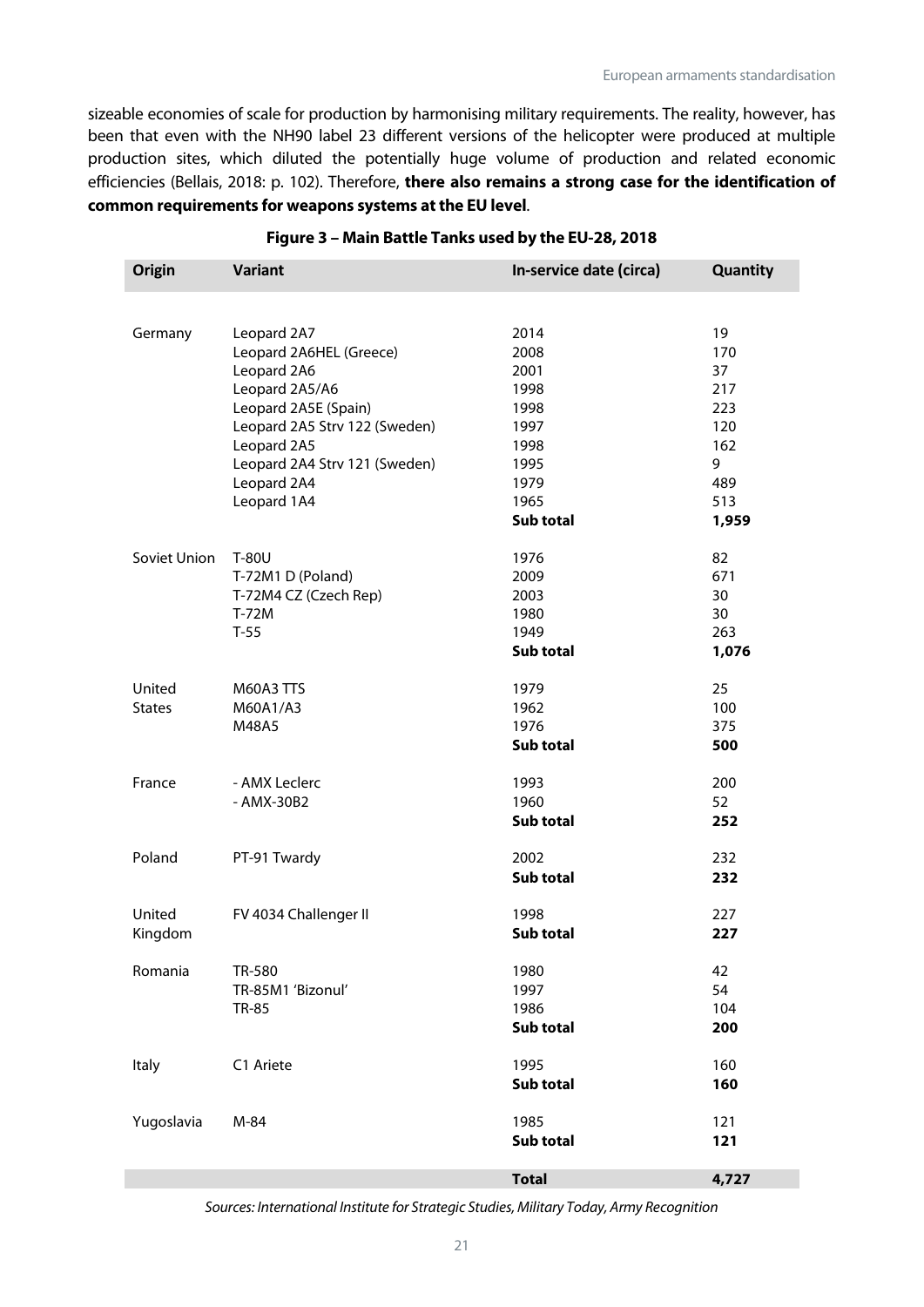sizeable economies of scale for production by harmonising military requirements. The reality, however, has been that even with the NH90 label 23 different versions of the helicopter were produced at multiple production sites, which diluted the potentially huge volume of production and related economic efficiencies (Bellais, 2018: p. 102). Therefore, **there also remains a strong case for the identification of common requirements for weapons systems at the EU level**.

| <b>Origin</b> | <b>Variant</b>                | In-service date (circa) | Quantity |
|---------------|-------------------------------|-------------------------|----------|
|               |                               |                         |          |
| Germany       | Leopard 2A7                   | 2014                    | 19       |
|               | Leopard 2A6HEL (Greece)       | 2008                    | 170      |
|               | Leopard 2A6                   | 2001                    | 37       |
|               | Leopard 2A5/A6                | 1998                    | 217      |
|               | Leopard 2A5E (Spain)          | 1998                    | 223      |
|               | Leopard 2A5 Strv 122 (Sweden) | 1997                    | 120      |
|               | Leopard 2A5                   | 1998                    | 162      |
|               | Leopard 2A4 Strv 121 (Sweden) | 1995                    | 9        |
|               | Leopard 2A4                   | 1979                    | 489      |
|               | Leopard 1A4                   | 1965                    | 513      |
|               |                               | Sub total               | 1,959    |
| Soviet Union  | T-80U                         | 1976                    | 82       |
|               | T-72M1 D (Poland)             | 2009                    | 671      |
|               | T-72M4 CZ (Czech Rep)         | 2003                    | 30       |
|               | $T-72M$                       | 1980                    | 30       |
|               | $T-55$                        | 1949                    | 263      |
|               |                               | Sub total               | 1,076    |
| United        | <b>M60A3 TTS</b>              | 1979                    | 25       |
| <b>States</b> | M60A1/A3                      | 1962                    | 100      |
|               | M48A5                         | 1976                    | 375      |
|               |                               | Sub total               | 500      |
| France        | - AMX Leclerc                 | 1993                    | 200      |
|               | - AMX-30B2                    | 1960                    | 52       |
|               |                               | Sub total               | 252      |
| Poland        | PT-91 Twardy                  | 2002                    | 232      |
|               |                               | Sub total               | 232      |
| United        | FV 4034 Challenger II         | 1998                    | 227      |
| Kingdom       |                               | Sub total               | 227      |
| Romania       | TR-580                        | 1980                    | 42       |
|               | TR-85M1 'Bizonul'             | 1997                    | 54       |
|               | <b>TR-85</b>                  | 1986                    | 104      |
|               |                               | Sub total               | 200      |
| <b>Italy</b>  | C1 Ariete                     | 1995                    | 160      |
|               |                               | Sub total               | 160      |
| Yugoslavia    | M-84                          | 1985                    | 121      |
|               |                               | Sub total               | 121      |
|               |                               | <b>Total</b>            | 4,727    |

#### **Figure 3 – Main Battle Tanks used by the EU-28, 2018**

*Sources: International Institute for Strategic Studies, Military Today, Army Recognition*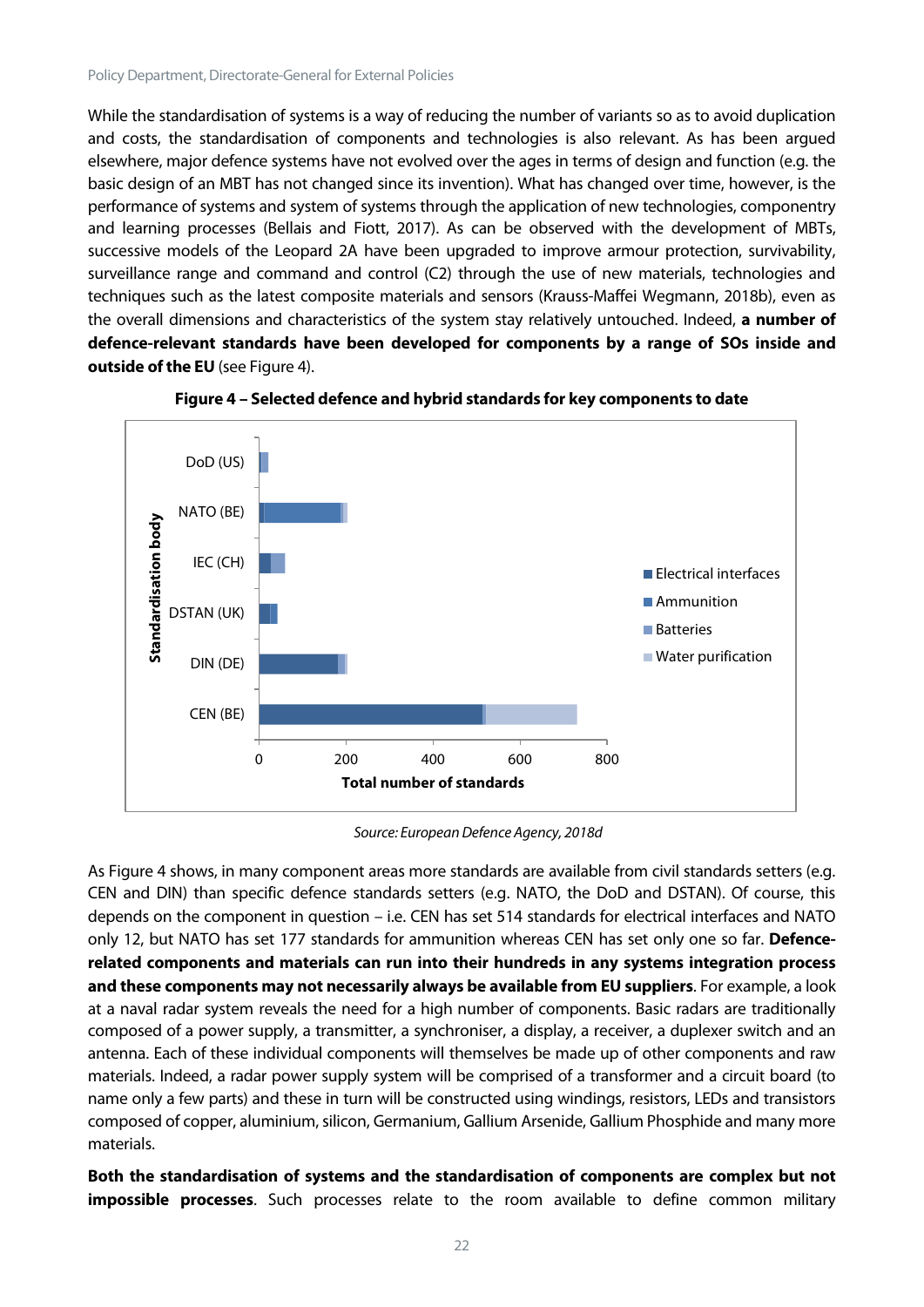While the standardisation of systems is a way of reducing the number of variants so as to avoid duplication and costs, the standardisation of components and technologies is also relevant. As has been argued elsewhere, major defence systems have not evolved over the ages in terms of design and function (e.g. the basic design of an MBT has not changed since its invention). What has changed over time, however, is the performance of systems and system of systems through the application of new technologies, componentry and learning processes (Bellais and Fiott, 2017). As can be observed with the development of MBTs, successive models of the Leopard 2A have been upgraded to improve armour protection, survivability, surveillance range and command and control (C2) through the use of new materials, technologies and techniques such as the latest composite materials and sensors (Krauss-Maffei Wegmann, 2018b), even as the overall dimensions and characteristics of the system stay relatively untouched. Indeed, **a number of defence-relevant standards have been developed for components by a range of SOs inside and outside of the EU** (see Figure 4).



**Figure 4 – Selected defence and hybrid standards for key components to date**

*Source: European Defence Agency, 2018d*

As Figure 4 shows, in many component areas more standards are available from civil standards setters (e.g. CEN and DIN) than specific defence standards setters (e.g. NATO, the DoD and DSTAN). Of course, this depends on the component in question – i.e. CEN has set 514 standards for electrical interfaces and NATO only 12, but NATO has set 177 standards for ammunition whereas CEN has set only one so far. **Defencerelated components and materials can run into their hundreds in any systems integration process and these components may not necessarily always be available from EU suppliers**. For example, a look at a naval radar system reveals the need for a high number of components. Basic radars are traditionally composed of a power supply, a transmitter, a synchroniser, a display, a receiver, a duplexer switch and an antenna. Each of these individual components will themselves be made up of other components and raw materials. Indeed, a radar power supply system will be comprised of a transformer and a circuit board (to name only a few parts) and these in turn will be constructed using windings, resistors, LEDs and transistors composed of copper, aluminium, silicon, Germanium, Gallium Arsenide, Gallium Phosphide and many more materials.

**Both the standardisation of systems and the standardisation of components are complex but not impossible processes**. Such processes relate to the room available to define common military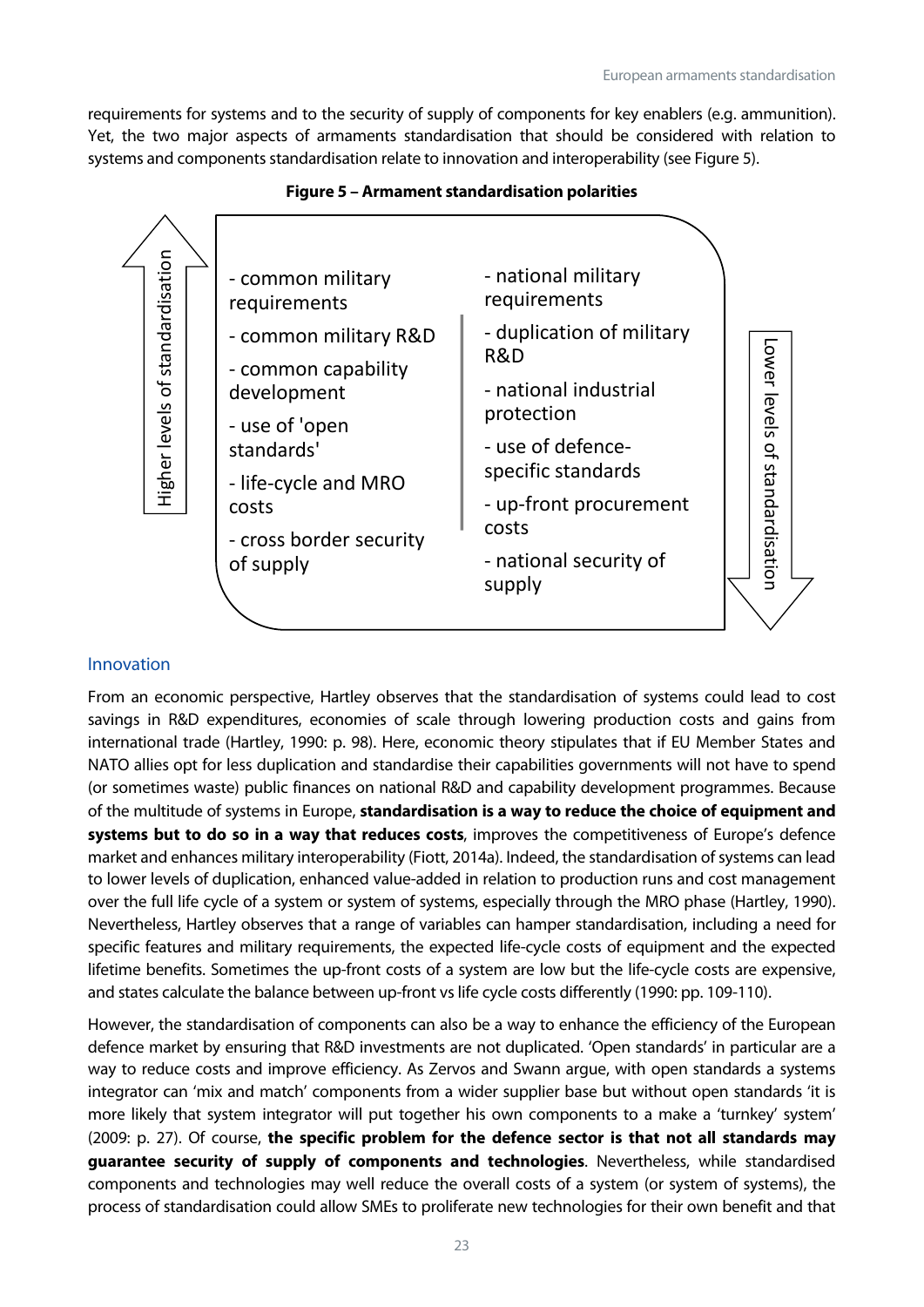requirements for systems and to the security of supply of components for key enablers (e.g. ammunition). Yet, the two major aspects of armaments standardisation that should be considered with relation to systems and components standardisation relate to innovation and interoperability (see Figure 5).



#### **Figure 5 – Armament standardisation polarities**

#### Innovation

From an economic perspective, Hartley observes that the standardisation of systems could lead to cost savings in R&D expenditures, economies of scale through lowering production costs and gains from international trade (Hartley, 1990: p. 98). Here, economic theory stipulates that if EU Member States and NATO allies opt for less duplication and standardise their capabilities governments will not have to spend (or sometimes waste) public finances on national R&D and capability development programmes. Because of the multitude of systems in Europe, **standardisation is a way to reduce the choice of equipment and systems but to do so in a way that reduces costs**, improves the competitiveness of Europe's defence market and enhances military interoperability (Fiott, 2014a). Indeed, the standardisation of systems can lead to lower levels of duplication, enhanced value-added in relation to production runs and cost management over the full life cycle of a system or system of systems, especially through the MRO phase (Hartley, 1990). Nevertheless, Hartley observes that a range of variables can hamper standardisation, including a need for specific features and military requirements, the expected life-cycle costs of equipment and the expected lifetime benefits. Sometimes the up-front costs of a system are low but the life-cycle costs are expensive, and states calculate the balance between up-front vs life cycle costs differently (1990: pp. 109-110).

However, the standardisation of components can also be a way to enhance the efficiency of the European defence market by ensuring that R&D investments are not duplicated. 'Open standards' in particular are a way to reduce costs and improve efficiency. As Zervos and Swann argue, with open standards a systems integrator can 'mix and match' components from a wider supplier base but without open standards 'it is more likely that system integrator will put together his own components to a make a 'turnkey' system' (2009: p. 27). Of course, **the specific problem for the defence sector is that not all standards may guarantee security of supply of components and technologies**. Nevertheless, while standardised components and technologies may well reduce the overall costs of a system (or system of systems), the process of standardisation could allow SMEs to proliferate new technologies for their own benefit and that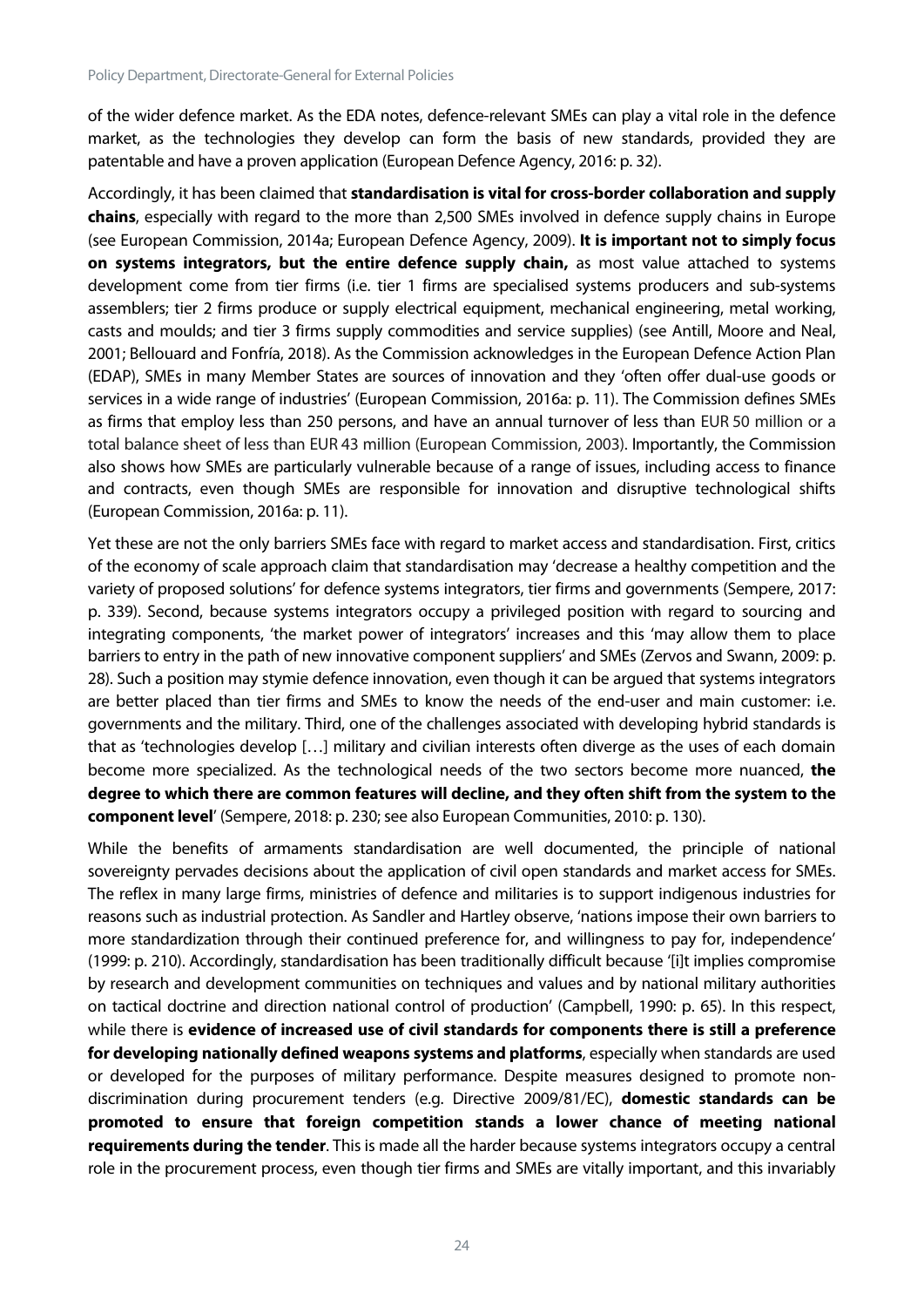of the wider defence market. As the EDA notes, defence-relevant SMEs can play a vital role in the defence market, as the technologies they develop can form the basis of new standards, provided they are patentable and have a proven application (European Defence Agency, 2016: p. 32).

Accordingly, it has been claimed that **standardisation is vital for cross-border collaboration and supply chains**, especially with regard to the more than 2,500 SMEs involved in defence supply chains in Europe (see European Commission, 2014a; European Defence Agency, 2009). **It is important not to simply focus on systems integrators, but the entire defence supply chain,** as most value attached to systems development come from tier firms (i.e. tier 1 firms are specialised systems producers and sub-systems assemblers; tier 2 firms produce or supply electrical equipment, mechanical engineering, metal working, casts and moulds; and tier 3 firms supply commodities and service supplies) (see Antill, Moore and Neal, 2001; Bellouard and Fonfría, 2018). As the Commission acknowledges in the European Defence Action Plan (EDAP), SMEs in many Member States are sources of innovation and they 'often offer dual-use goods or services in a wide range of industries' (European Commission, 2016a: p. 11). The Commission defines SMEs as firms that employ less than 250 persons, and have an annual turnover of less than EUR 50 million or a total balance sheet of less than EUR 43 million (European Commission, 2003). Importantly, the Commission also shows how SMEs are particularly vulnerable because of a range of issues, including access to finance and contracts, even though SMEs are responsible for innovation and disruptive technological shifts (European Commission, 2016a: p. 11).

Yet these are not the only barriers SMEs face with regard to market access and standardisation. First, critics of the economy of scale approach claim that standardisation may 'decrease a healthy competition and the variety of proposed solutions' for defence systems integrators, tier firms and governments (Sempere, 2017: p. 339). Second, because systems integrators occupy a privileged position with regard to sourcing and integrating components, 'the market power of integrators' increases and this 'may allow them to place barriers to entry in the path of new innovative component suppliers' and SMEs (Zervos and Swann, 2009: p. 28). Such a position may stymie defence innovation, even though it can be argued that systems integrators are better placed than tier firms and SMEs to know the needs of the end-user and main customer: i.e. governments and the military. Third, one of the challenges associated with developing hybrid standards is that as 'technologies develop […] military and civilian interests often diverge as the uses of each domain become more specialized. As the technological needs of the two sectors become more nuanced, **the degree to which there are common features will decline, and they often shift from the system to the component level**' (Sempere, 2018: p. 230; see also European Communities, 2010: p. 130).

While the benefits of armaments standardisation are well documented, the principle of national sovereignty pervades decisions about the application of civil open standards and market access for SMEs. The reflex in many large firms, ministries of defence and militaries is to support indigenous industries for reasons such as industrial protection. As Sandler and Hartley observe, 'nations impose their own barriers to more standardization through their continued preference for, and willingness to pay for, independence' (1999: p. 210). Accordingly, standardisation has been traditionally difficult because '[i]t implies compromise by research and development communities on techniques and values and by national military authorities on tactical doctrine and direction national control of production' (Campbell, 1990: p. 65). In this respect, while there is **evidence of increased use of civil standards for components there is still a preference for developing nationally defined weapons systems and platforms**, especially when standards are used or developed for the purposes of military performance. Despite measures designed to promote nondiscrimination during procurement tenders (e.g. Directive 2009/81/EC), **domestic standards can be promoted to ensure that foreign competition stands a lower chance of meeting national requirements during the tender**. This is made all the harder because systems integrators occupy a central role in the procurement process, even though tier firms and SMEs are vitally important, and this invariably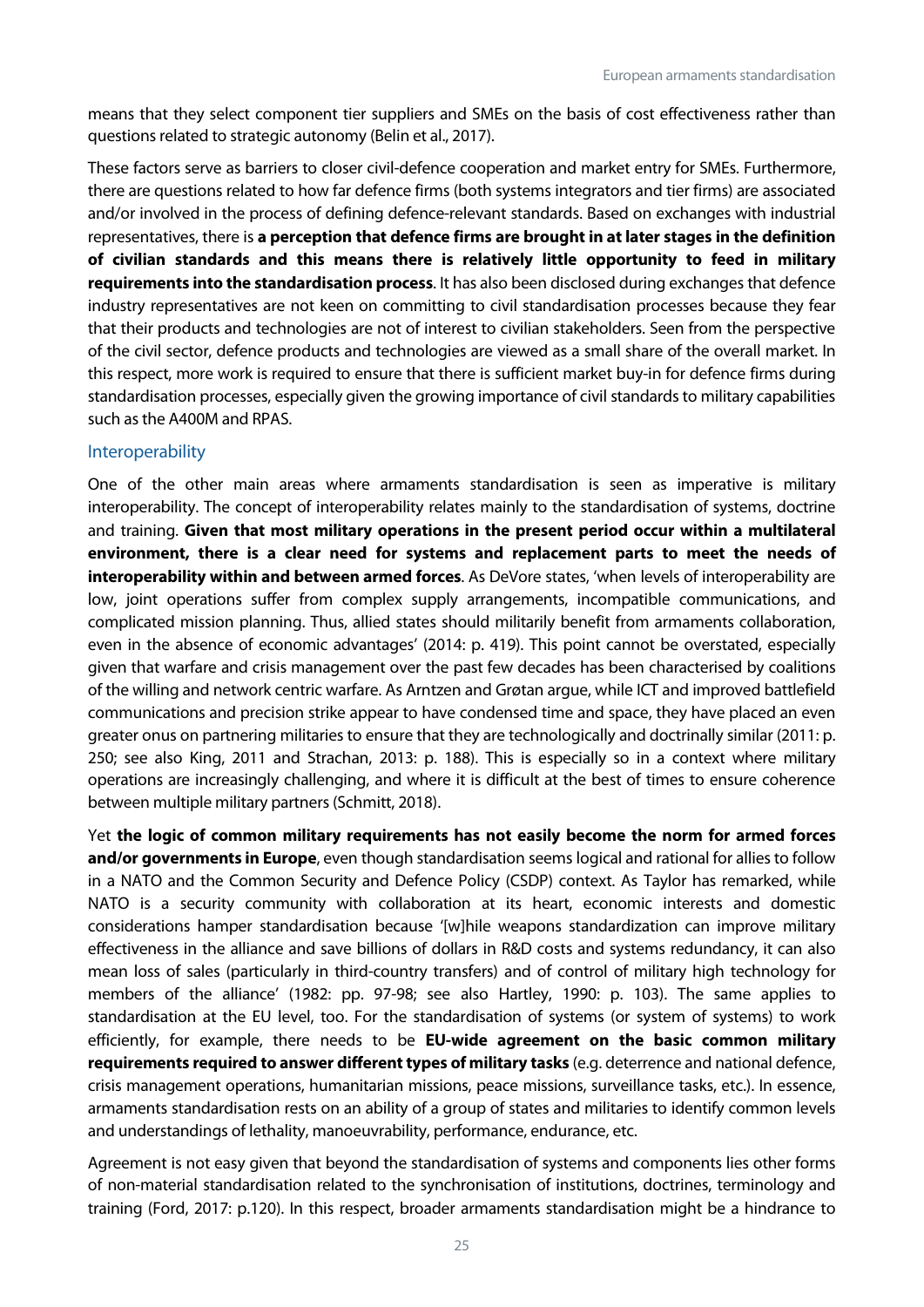means that they select component tier suppliers and SMEs on the basis of cost effectiveness rather than questions related to strategic autonomy (Belin et al., 2017).

These factors serve as barriers to closer civil-defence cooperation and market entry for SMEs. Furthermore, there are questions related to how far defence firms (both systems integrators and tier firms) are associated and/or involved in the process of defining defence-relevant standards. Based on exchanges with industrial representatives, there is **a perception that defence firms are brought in at later stages in the definition of civilian standards and this means there is relatively little opportunity to feed in military requirements into the standardisation process**. It has also been disclosed during exchanges that defence industry representatives are not keen on committing to civil standardisation processes because they fear that their products and technologies are not of interest to civilian stakeholders. Seen from the perspective of the civil sector, defence products and technologies are viewed as a small share of the overall market. In this respect, more work is required to ensure that there is sufficient market buy-in for defence firms during standardisation processes, especially given the growing importance of civil standards to military capabilities such as the A400M and RPAS.

#### Interoperability

One of the other main areas where armaments standardisation is seen as imperative is military interoperability. The concept of interoperability relates mainly to the standardisation of systems, doctrine and training. **Given that most military operations in the present period occur within a multilateral environment, there is a clear need for systems and replacement parts to meet the needs of interoperability within and between armed forces**. As DeVore states, 'when levels of interoperability are low, joint operations suffer from complex supply arrangements, incompatible communications, and complicated mission planning. Thus, allied states should militarily benefit from armaments collaboration, even in the absence of economic advantages' (2014: p. 419). This point cannot be overstated, especially given that warfare and crisis management over the past few decades has been characterised by coalitions of the willing and network centric warfare. As Arntzen and Grøtan argue, while ICT and improved battlefield communications and precision strike appear to have condensed time and space, they have placed an even greater onus on partnering militaries to ensure that they are technologically and doctrinally similar (2011: p. 250; see also King, 2011 and Strachan, 2013: p. 188). This is especially so in a context where military operations are increasingly challenging, and where it is difficult at the best of times to ensure coherence between multiple military partners (Schmitt, 2018).

Yet **the logic of common military requirements has not easily become the norm for armed forces and/or governments in Europe**, even though standardisation seems logical and rational for allies to follow in a NATO and the Common Security and Defence Policy (CSDP) context. As Taylor has remarked, while NATO is a security community with collaboration at its heart, economic interests and domestic considerations hamper standardisation because '[w]hile weapons standardization can improve military effectiveness in the alliance and save billions of dollars in R&D costs and systems redundancy, it can also mean loss of sales (particularly in third-country transfers) and of control of military high technology for members of the alliance' (1982: pp. 97-98; see also Hartley, 1990: p. 103). The same applies to standardisation at the EU level, too. For the standardisation of systems (or system of systems) to work efficiently, for example, there needs to be **EU-wide agreement on the basic common military requirements required to answer different types of military tasks** (e.g. deterrence and national defence, crisis management operations, humanitarian missions, peace missions, surveillance tasks, etc.). In essence, armaments standardisation rests on an ability of a group of states and militaries to identify common levels and understandings of lethality, manoeuvrability, performance, endurance, etc.

Agreement is not easy given that beyond the standardisation of systems and components lies other forms of non-material standardisation related to the synchronisation of institutions, doctrines, terminology and training (Ford, 2017: p.120). In this respect, broader armaments standardisation might be a hindrance to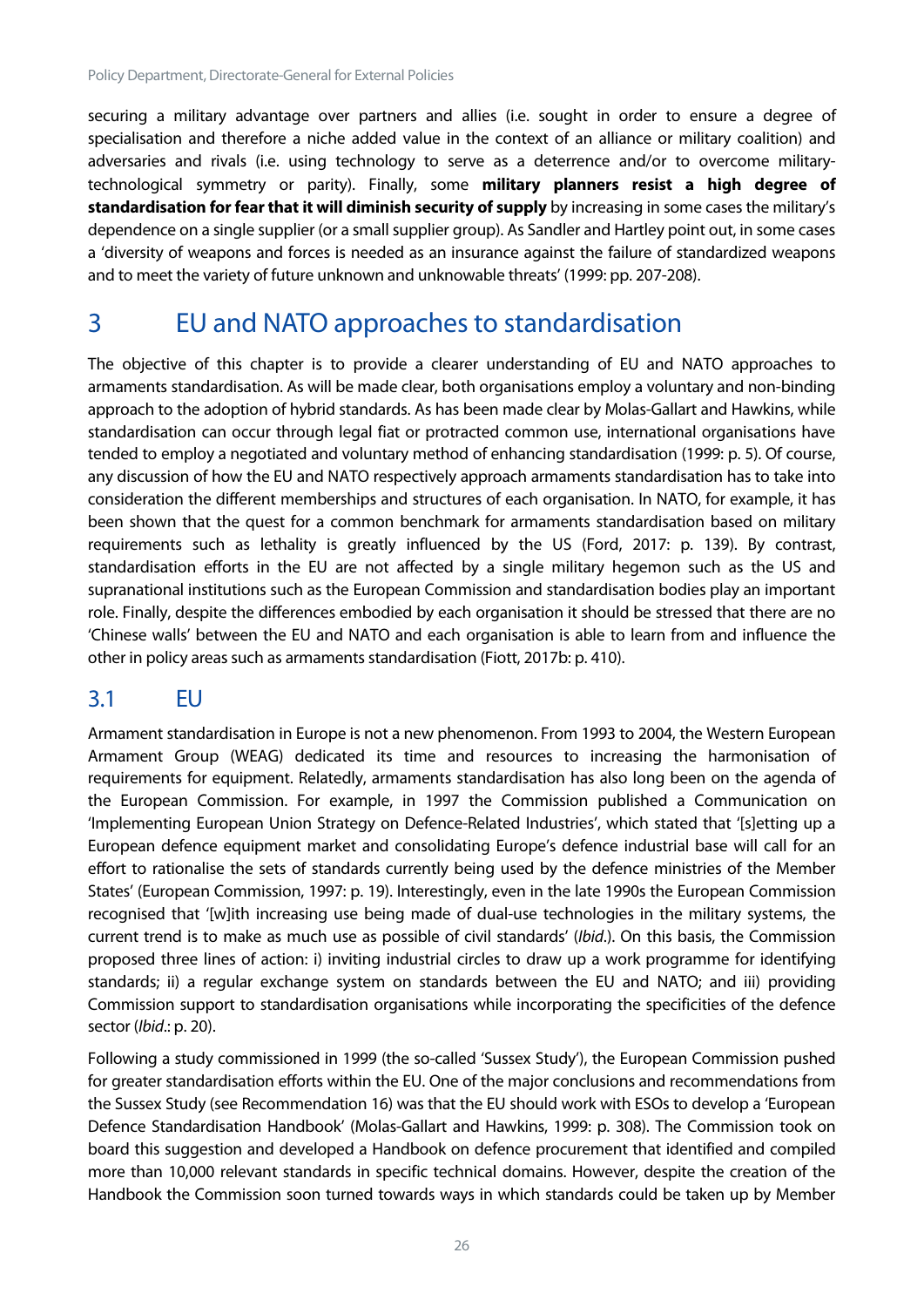securing a military advantage over partners and allies (i.e. sought in order to ensure a degree of specialisation and therefore a niche added value in the context of an alliance or military coalition) and adversaries and rivals (i.e. using technology to serve as a deterrence and/or to overcome militarytechnological symmetry or parity). Finally, some **military planners resist a high degree of standardisation for fear that it will diminish security of supply** by increasing in some cases the military's dependence on a single supplier (or a small supplier group). As Sandler and Hartley point out, in some cases a 'diversity of weapons and forces is needed as an insurance against the failure of standardized weapons and to meet the variety of future unknown and unknowable threats' (1999: pp. 207-208).

## <span id="page-26-0"></span>3 EU and NATO approaches to standardisation

The objective of this chapter is to provide a clearer understanding of EU and NATO approaches to armaments standardisation. As will be made clear, both organisations employ a voluntary and non-binding approach to the adoption of hybrid standards. As has been made clear by Molas-Gallart and Hawkins, while standardisation can occur through legal fiat or protracted common use, international organisations have tended to employ a negotiated and voluntary method of enhancing standardisation (1999: p. 5). Of course, any discussion of how the EU and NATO respectively approach armaments standardisation has to take into consideration the different memberships and structures of each organisation. In NATO, for example, it has been shown that the quest for a common benchmark for armaments standardisation based on military requirements such as lethality is greatly influenced by the US (Ford, 2017: p. 139). By contrast, standardisation efforts in the EU are not affected by a single military hegemon such as the US and supranational institutions such as the European Commission and standardisation bodies play an important role. Finally, despite the differences embodied by each organisation it should be stressed that there are no 'Chinese walls' between the EU and NATO and each organisation is able to learn from and influence the other in policy areas such as armaments standardisation (Fiott, 2017b: p. 410).

## <span id="page-26-1"></span>3.1 EU

Armament standardisation in Europe is not a new phenomenon. From 1993 to 2004, the Western European Armament Group (WEAG) dedicated its time and resources to increasing the harmonisation of requirements for equipment. Relatedly, armaments standardisation has also long been on the agenda of the European Commission. For example, in 1997 the Commission published a Communication on 'Implementing European Union Strategy on Defence-Related Industries', which stated that '[s]etting up a European defence equipment market and consolidating Europe's defence industrial base will call for an effort to rationalise the sets of standards currently being used by the defence ministries of the Member States' (European Commission, 1997: p. 19). Interestingly, even in the late 1990s the European Commission recognised that '[w]ith increasing use being made of dual-use technologies in the military systems, the current trend is to make as much use as possible of civil standards' (*Ibid*.). On this basis, the Commission proposed three lines of action: i) inviting industrial circles to draw up a work programme for identifying standards; ii) a regular exchange system on standards between the EU and NATO; and iii) providing Commission support to standardisation organisations while incorporating the specificities of the defence sector (*Ibid*.: p. 20).

Following a study commissioned in 1999 (the so-called 'Sussex Study'), the European Commission pushed for greater standardisation efforts within the EU. One of the major conclusions and recommendations from the Sussex Study (see Recommendation 16) was that the EU should work with ESOs to develop a 'European Defence Standardisation Handbook' (Molas-Gallart and Hawkins, 1999: p. 308). The Commission took on board this suggestion and developed a Handbook on defence procurement that identified and compiled more than 10,000 relevant standards in specific technical domains. However, despite the creation of the Handbook the Commission soon turned towards ways in which standards could be taken up by Member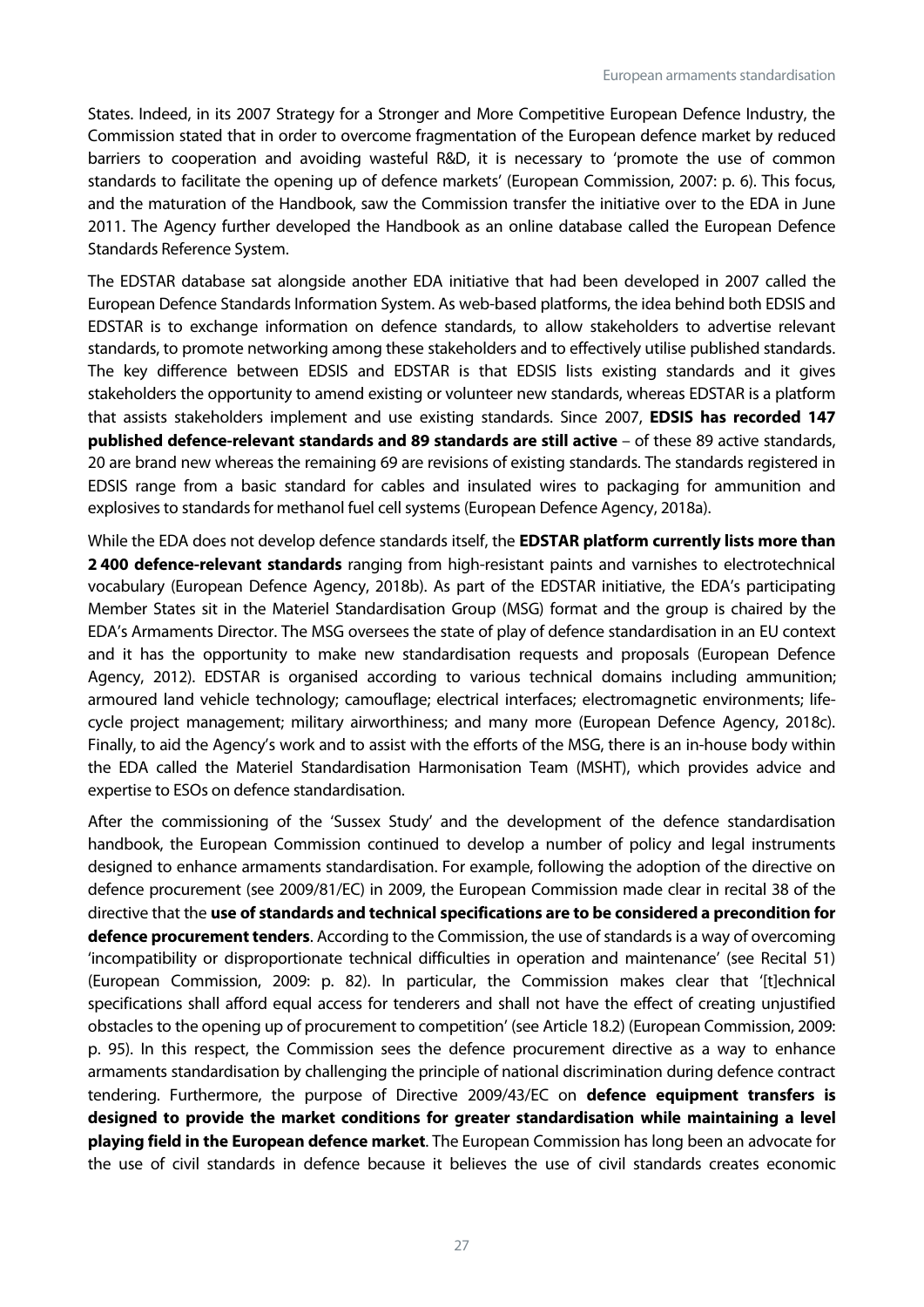States. Indeed, in its 2007 Strategy for a Stronger and More Competitive European Defence Industry, the Commission stated that in order to overcome fragmentation of the European defence market by reduced barriers to cooperation and avoiding wasteful R&D, it is necessary to 'promote the use of common standards to facilitate the opening up of defence markets' (European Commission, 2007: p. 6). This focus, and the maturation of the Handbook, saw the Commission transfer the initiative over to the EDA in June 2011. The Agency further developed the Handbook as an online database called the European Defence Standards Reference System.

The EDSTAR database sat alongside another EDA initiative that had been developed in 2007 called the European Defence Standards Information System. As web-based platforms, the idea behind both EDSIS and EDSTAR is to exchange information on defence standards, to allow stakeholders to advertise relevant standards, to promote networking among these stakeholders and to effectively utilise published standards. The key difference between EDSIS and EDSTAR is that EDSIS lists existing standards and it gives stakeholders the opportunity to amend existing or volunteer new standards, whereas EDSTAR is a platform that assists stakeholders implement and use existing standards. Since 2007, **EDSIS has recorded 147 published defence-relevant standards and 89 standards are still active** – of these 89 active standards, 20 are brand new whereas the remaining 69 are revisions of existing standards. The standards registered in EDSIS range from a basic standard for cables and insulated wires to packaging for ammunition and explosives to standards for methanol fuel cell systems (European Defence Agency, 2018a).

While the EDA does not develop defence standards itself, the **EDSTAR platform currently lists more than 2 400 defence-relevant standards** ranging from high-resistant paints and varnishes to electrotechnical vocabulary (European Defence Agency, 2018b). As part of the EDSTAR initiative, the EDA's participating Member States sit in the Materiel Standardisation Group (MSG) format and the group is chaired by the EDA's Armaments Director. The MSG oversees the state of play of defence standardisation in an EU context and it has the opportunity to make new standardisation requests and proposals (European Defence Agency, 2012). EDSTAR is organised according to various technical domains including ammunition; armoured land vehicle technology; camouflage; electrical interfaces; electromagnetic environments; lifecycle project management; military airworthiness; and many more (European Defence Agency, 2018c). Finally, to aid the Agency's work and to assist with the efforts of the MSG, there is an in-house body within the EDA called the Materiel Standardisation Harmonisation Team (MSHT), which provides advice and expertise to ESOs on defence standardisation.

After the commissioning of the 'Sussex Study' and the development of the defence standardisation handbook, the European Commission continued to develop a number of policy and legal instruments designed to enhance armaments standardisation. For example, following the adoption of the directive on defence procurement (see 2009/81/EC) in 2009, the European Commission made clear in recital 38 of the directive that the **use of standards and technical specifications are to be considered a precondition for defence procurement tenders**. According to the Commission, the use of standards is a way of overcoming 'incompatibility or disproportionate technical difficulties in operation and maintenance' (see Recital 51) (European Commission, 2009: p. 82). In particular, the Commission makes clear that '[t]echnical specifications shall afford equal access for tenderers and shall not have the effect of creating unjustified obstacles to the opening up of procurement to competition' (see Article 18.2) (European Commission, 2009: p. 95). In this respect, the Commission sees the defence procurement directive as a way to enhance armaments standardisation by challenging the principle of national discrimination during defence contract tendering. Furthermore, the purpose of Directive 2009/43/EC on **defence equipment transfers is designed to provide the market conditions for greater standardisation while maintaining a level playing field in the European defence market**. The European Commission has long been an advocate for the use of civil standards in defence because it believes the use of civil standards creates economic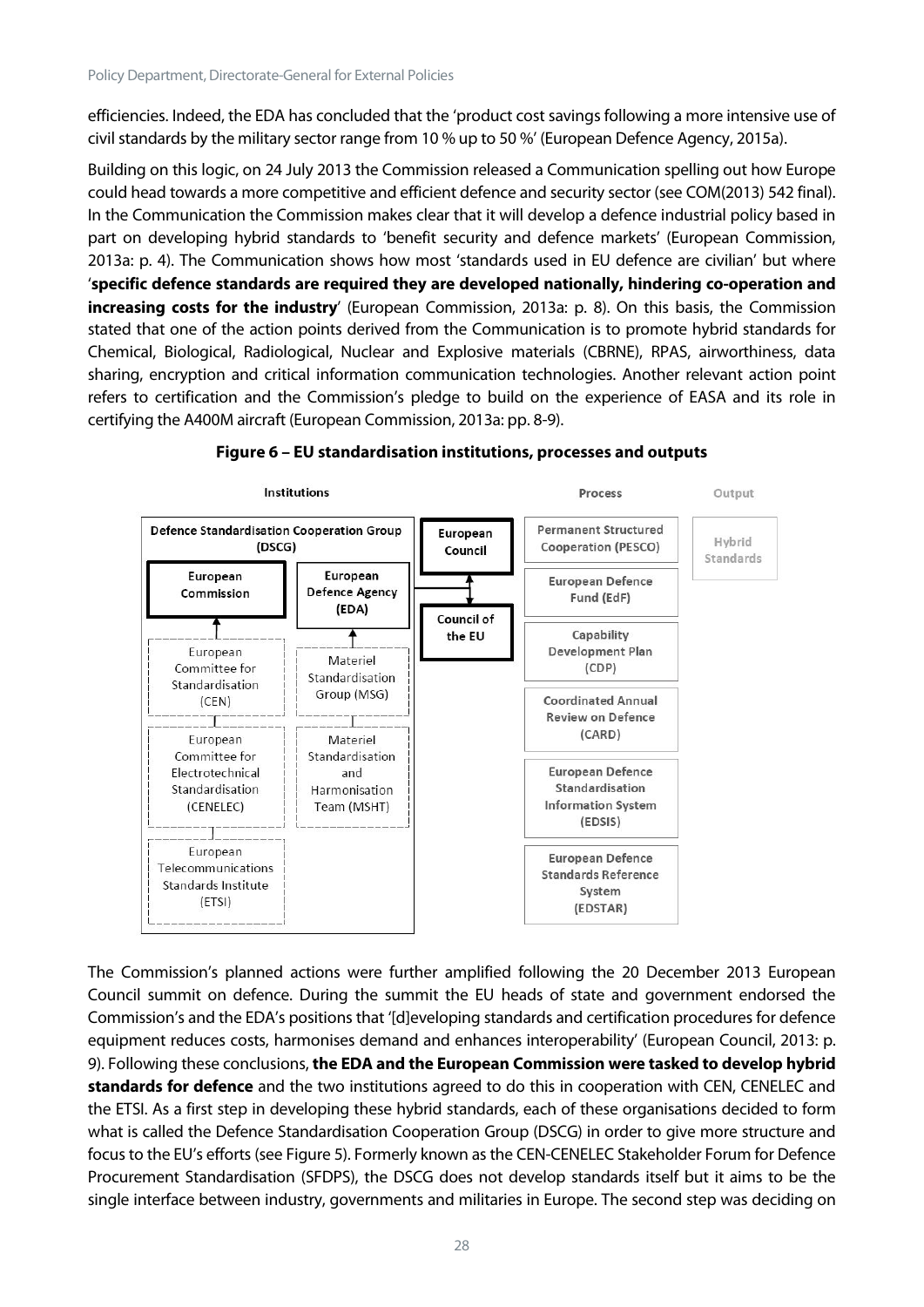efficiencies. Indeed, the EDA has concluded that the 'product cost savings following a more intensive use of civil standards by the military sector range from 10 % up to 50 %' (European Defence Agency, 2015a).

Building on this logic, on 24 July 2013 the Commission released a Communication spelling out how Europe could head towards a more competitive and efficient defence and security sector (see COM(2013) 542 final). In the Communication the Commission makes clear that it will develop a defence industrial policy based in part on developing hybrid standards to 'benefit security and defence markets' (European Commission, 2013a: p. 4). The Communication shows how most 'standards used in EU defence are civilian' but where '**specific defence standards are required they are developed nationally, hindering co-operation and increasing costs for the industry**' (European Commission, 2013a: p. 8). On this basis, the Commission stated that one of the action points derived from the Communication is to promote hybrid standards for Chemical, Biological, Radiological, Nuclear and Explosive materials (CBRNE), RPAS, airworthiness, data sharing, encryption and critical information communication technologies. Another relevant action point refers to certification and the Commission's pledge to build on the experience of EASA and its role in certifying the A400M aircraft (European Commission, 2013a: pp. 8-9).



#### **Figure 6 – EU standardisation institutions, processes and outputs**

The Commission's planned actions were further amplified following the 20 December 2013 European Council summit on defence. During the summit the EU heads of state and government endorsed the Commission's and the EDA's positions that '[d]eveloping standards and certification procedures for defence equipment reduces costs, harmonises demand and enhances interoperability' (European Council, 2013: p. 9). Following these conclusions, **the EDA and the European Commission were tasked to develop hybrid standards for defence** and the two institutions agreed to do this in cooperation with CEN, CENELEC and the ETSI. As a first step in developing these hybrid standards, each of these organisations decided to form what is called the Defence Standardisation Cooperation Group (DSCG) in order to give more structure and focus to the EU's efforts (see Figure 5). Formerly known as the CEN-CENELEC Stakeholder Forum for Defence Procurement Standardisation (SFDPS), the DSCG does not develop standards itself but it aims to be the single interface between industry, governments and militaries in Europe. The second step was deciding on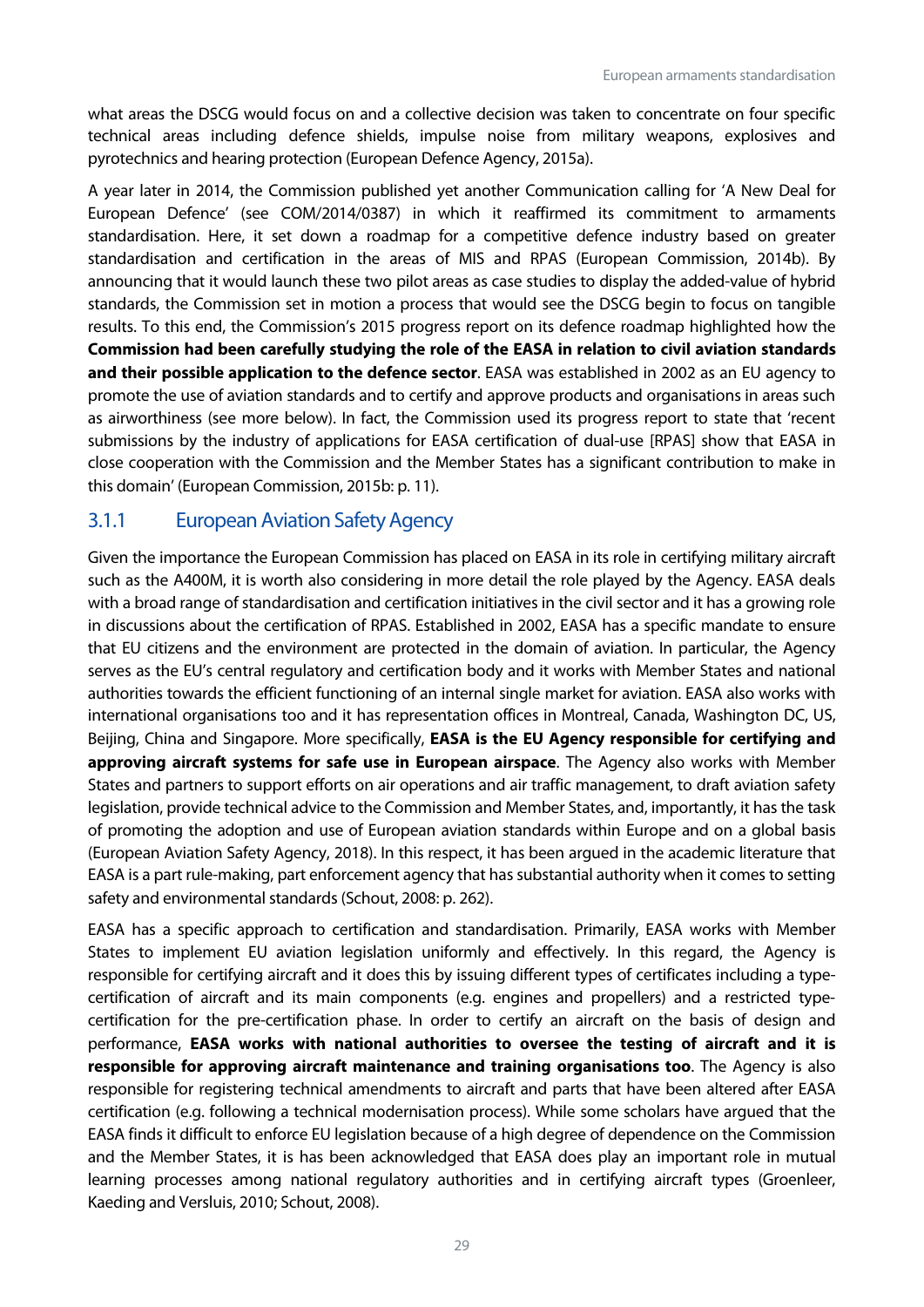what areas the DSCG would focus on and a collective decision was taken to concentrate on four specific technical areas including defence shields, impulse noise from military weapons, explosives and pyrotechnics and hearing protection (European Defence Agency, 2015a).

A year later in 2014, the Commission published yet another Communication calling for 'A New Deal for European Defence' (see COM/2014/0387) in which it reaffirmed its commitment to armaments standardisation. Here, it set down a roadmap for a competitive defence industry based on greater standardisation and certification in the areas of MIS and RPAS (European Commission, 2014b). By announcing that it would launch these two pilot areas as case studies to display the added-value of hybrid standards, the Commission set in motion a process that would see the DSCG begin to focus on tangible results. To this end, the Commission's 2015 progress report on its defence roadmap highlighted how the **Commission had been carefully studying the role of the EASA in relation to civil aviation standards and their possible application to the defence sector**. EASA was established in 2002 as an EU agency to promote the use of aviation standards and to certify and approve products and organisations in areas such as airworthiness (see more below). In fact, the Commission used its progress report to state that 'recent submissions by the industry of applications for EASA certification of dual-use [RPAS] show that EASA in close cooperation with the Commission and the Member States has a significant contribution to make in this domain' (European Commission, 2015b: p. 11).

#### <span id="page-29-0"></span>3.1.1 European Aviation SafetyAgency

Given the importance the European Commission has placed on EASA in its role in certifying military aircraft such as the A400M, it is worth also considering in more detail the role played by the Agency. EASA deals with a broad range of standardisation and certification initiatives in the civil sector and it has a growing role in discussions about the certification of RPAS. Established in 2002, EASA has a specific mandate to ensure that EU citizens and the environment are protected in the domain of aviation. In particular, the Agency serves as the EU's central regulatory and certification body and it works with Member States and national authorities towards the efficient functioning of an internal single market for aviation. EASA also works with international organisations too and it has representation offices in Montreal, Canada, Washington DC, US, Beijing, China and Singapore. More specifically, **EASA is the EU Agency responsible for certifying and approving aircraft systems for safe use in European airspace**. The Agency also works with Member States and partners to support efforts on air operations and air traffic management, to draft aviation safety legislation, provide technical advice to the Commission and Member States, and, importantly, it has the task of promoting the adoption and use of European aviation standards within Europe and on a global basis (European Aviation Safety Agency, 2018). In this respect, it has been argued in the academic literature that EASA is a part rule-making, part enforcement agency that has substantial authority when it comes to setting safety and environmental standards (Schout, 2008: p. 262).

EASA has a specific approach to certification and standardisation. Primarily, EASA works with Member States to implement EU aviation legislation uniformly and effectively. In this regard, the Agency is responsible for certifying aircraft and it does this by issuing different types of certificates including a typecertification of aircraft and its main components (e.g. engines and propellers) and a restricted typecertification for the pre-certification phase. In order to certify an aircraft on the basis of design and performance, **EASA works with national authorities to oversee the testing of aircraft and it is responsible for approving aircraft maintenance and training organisations too**. The Agency is also responsible for registering technical amendments to aircraft and parts that have been altered after EASA certification (e.g. following a technical modernisation process). While some scholars have argued that the EASA finds it difficult to enforce EU legislation because of a high degree of dependence on the Commission and the Member States, it is has been acknowledged that EASA does play an important role in mutual learning processes among national regulatory authorities and in certifying aircraft types (Groenleer, Kaeding and Versluis, 2010; Schout, 2008).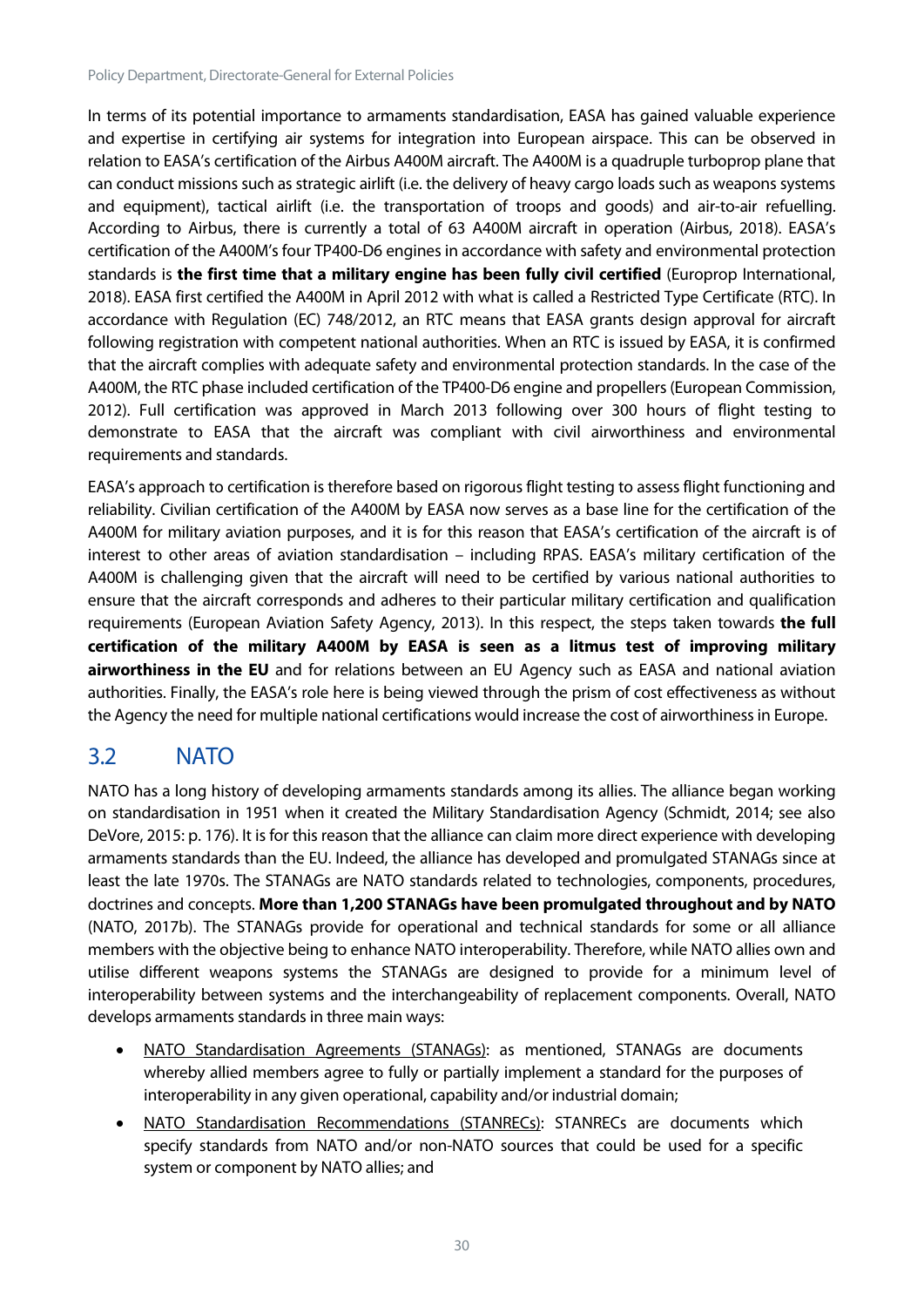In terms of its potential importance to armaments standardisation, EASA has gained valuable experience and expertise in certifying air systems for integration into European airspace. This can be observed in relation to EASA's certification of the Airbus A400M aircraft. The A400M is a quadruple turboprop plane that can conduct missions such as strategic airlift (i.e. the delivery of heavy cargo loads such as weapons systems and equipment), tactical airlift (i.e. the transportation of troops and goods) and air-to-air refuelling. According to Airbus, there is currently a total of 63 A400M aircraft in operation (Airbus, 2018). EASA's certification of the A400M's four TP400-D6 engines in accordance with safety and environmental protection standards is **the first time that a military engine has been fully civil certified** (Europrop International, 2018). EASA first certified the A400M in April 2012 with what is called a Restricted Type Certificate (RTC). In accordance with Regulation (EC) 748/2012, an RTC means that EASA grants design approval for aircraft following registration with competent national authorities. When an RTC is issued by EASA, it is confirmed that the aircraft complies with adequate safety and environmental protection standards. In the case of the A400M, the RTC phase included certification of the TP400-D6 engine and propellers (European Commission, 2012). Full certification was approved in March 2013 following over 300 hours of flight testing to demonstrate to EASA that the aircraft was compliant with civil airworthiness and environmental requirements and standards.

EASA's approach to certification is therefore based on rigorous flight testing to assess flight functioning and reliability. Civilian certification of the A400M by EASA now serves as a base line for the certification of the A400M for military aviation purposes, and it is for this reason that EASA's certification of the aircraft is of interest to other areas of aviation standardisation – including RPAS. EASA's military certification of the A400M is challenging given that the aircraft will need to be certified by various national authorities to ensure that the aircraft corresponds and adheres to their particular military certification and qualification requirements (European Aviation Safety Agency, 2013). In this respect, the steps taken towards **the full certification of the military A400M by EASA is seen as a litmus test of improving military airworthiness in the EU** and for relations between an EU Agency such as EASA and national aviation authorities. Finally, the EASA's role here is being viewed through the prism of cost effectiveness as without the Agency the need for multiple national certifications would increase the cost of airworthiness in Europe.

## <span id="page-30-0"></span>3.2 NATO

NATO has a long history of developing armaments standards among its allies. The alliance began working on standardisation in 1951 when it created the Military Standardisation Agency (Schmidt, 2014; see also DeVore, 2015: p. 176). It is for this reason that the alliance can claim more direct experience with developing armaments standards than the EU. Indeed, the alliance has developed and promulgated STANAGs since at least the late 1970s. The STANAGs are NATO standards related to technologies, components, procedures, doctrines and concepts. **More than 1,200 STANAGs have been promulgated throughout and by NATO** (NATO, 2017b). The STANAGs provide for operational and technical standards for some or all alliance members with the objective being to enhance NATO interoperability. Therefore, while NATO allies own and utilise different weapons systems the STANAGs are designed to provide for a minimum level of interoperability between systems and the interchangeability of replacement components. Overall, NATO develops armaments standards in three main ways:

- NATO Standardisation Agreements (STANAGs): as mentioned, STANAGs are documents whereby allied members agree to fully or partially implement a standard for the purposes of interoperability in any given operational, capability and/or industrial domain;
- NATO Standardisation Recommendations (STANRECs): STANRECs are documents which specify standards from NATO and/or non-NATO sources that could be used for a specific system or component by NATO allies; and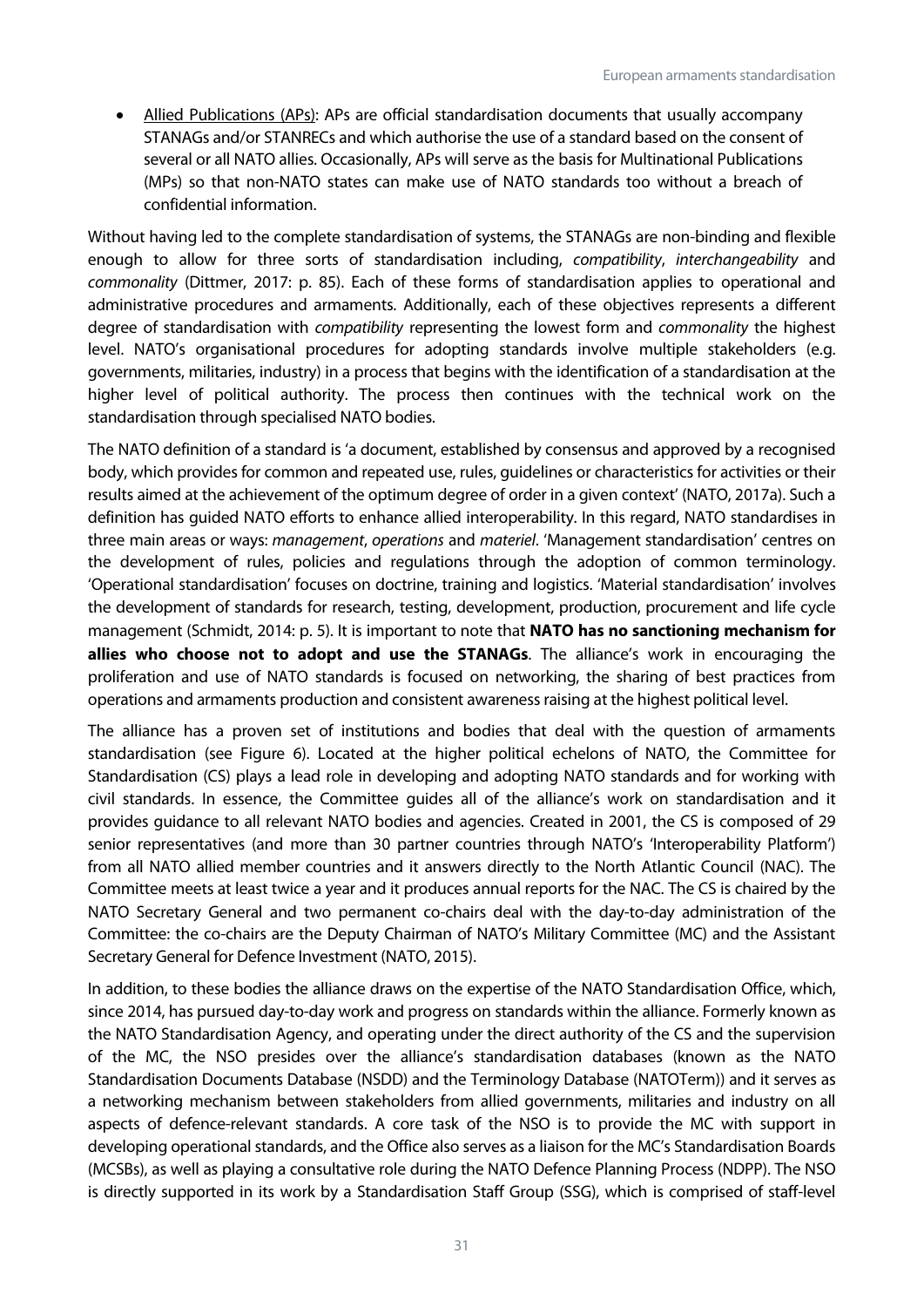• Allied Publications (APs): APs are official standardisation documents that usually accompany STANAGs and/or STANRECs and which authorise the use of a standard based on the consent of several or all NATO allies. Occasionally, APs will serve as the basis for Multinational Publications (MPs) so that non-NATO states can make use of NATO standards too without a breach of confidential information.

Without having led to the complete standardisation of systems, the STANAGs are non-binding and flexible enough to allow for three sorts of standardisation including, *compatibility*, *interchangeability* and *commonality* (Dittmer, 2017: p. 85). Each of these forms of standardisation applies to operational and administrative procedures and armaments. Additionally, each of these objectives represents a different degree of standardisation with *compatibility* representing the lowest form and *commonality* the highest level. NATO's organisational procedures for adopting standards involve multiple stakeholders (e.g. governments, militaries, industry) in a process that begins with the identification of a standardisation at the higher level of political authority. The process then continues with the technical work on the standardisation through specialised NATO bodies.

The NATO definition of a standard is 'a document, established by consensus and approved by a recognised body, which provides for common and repeated use, rules, guidelines or characteristics for activities or their results aimed at the achievement of the optimum degree of order in a given context' (NATO, 2017a). Such a definition has guided NATO efforts to enhance allied interoperability. In this regard, NATO standardises in three main areas or ways: *management*, *operations* and *materiel*. 'Management standardisation' centres on the development of rules, policies and regulations through the adoption of common terminology. 'Operational standardisation' focuses on doctrine, training and logistics. 'Material standardisation' involves the development of standards for research, testing, development, production, procurement and life cycle management (Schmidt, 2014: p. 5). It is important to note that **NATO has no sanctioning mechanism for allies who choose not to adopt and use the STANAGs**. The alliance's work in encouraging the proliferation and use of NATO standards is focused on networking, the sharing of best practices from operations and armaments production and consistent awareness raising at the highest political level.

The alliance has a proven set of institutions and bodies that deal with the question of armaments standardisation (see Figure 6). Located at the higher political echelons of NATO, the Committee for Standardisation (CS) plays a lead role in developing and adopting NATO standards and for working with civil standards. In essence, the Committee guides all of the alliance's work on standardisation and it provides guidance to all relevant NATO bodies and agencies. Created in 2001, the CS is composed of 29 senior representatives (and more than 30 partner countries through NATO's 'Interoperability Platform') from all NATO allied member countries and it answers directly to the North Atlantic Council (NAC). The Committee meets at least twice a year and it produces annual reports for the NAC. The CS is chaired by the NATO Secretary General and two permanent co-chairs deal with the day-to-day administration of the Committee: the co-chairs are the Deputy Chairman of NATO's Military Committee (MC) and the Assistant Secretary General for Defence Investment (NATO, 2015).

In addition, to these bodies the alliance draws on the expertise of the NATO Standardisation Office, which, since 2014, has pursued day-to-day work and progress on standards within the alliance. Formerly known as the NATO Standardisation Agency, and operating under the direct authority of the CS and the supervision of the MC, the NSO presides over the alliance's standardisation databases (known as the NATO Standardisation Documents Database (NSDD) and the Terminology Database (NATOTerm)) and it serves as a networking mechanism between stakeholders from allied governments, militaries and industry on all aspects of defence-relevant standards. A core task of the NSO is to provide the MC with support in developing operational standards, and the Office also serves as a liaison for the MC's Standardisation Boards (MCSBs), as well as playing a consultative role during the NATO Defence Planning Process (NDPP). The NSO is directly supported in its work by a Standardisation Staff Group (SSG), which is comprised of staff-level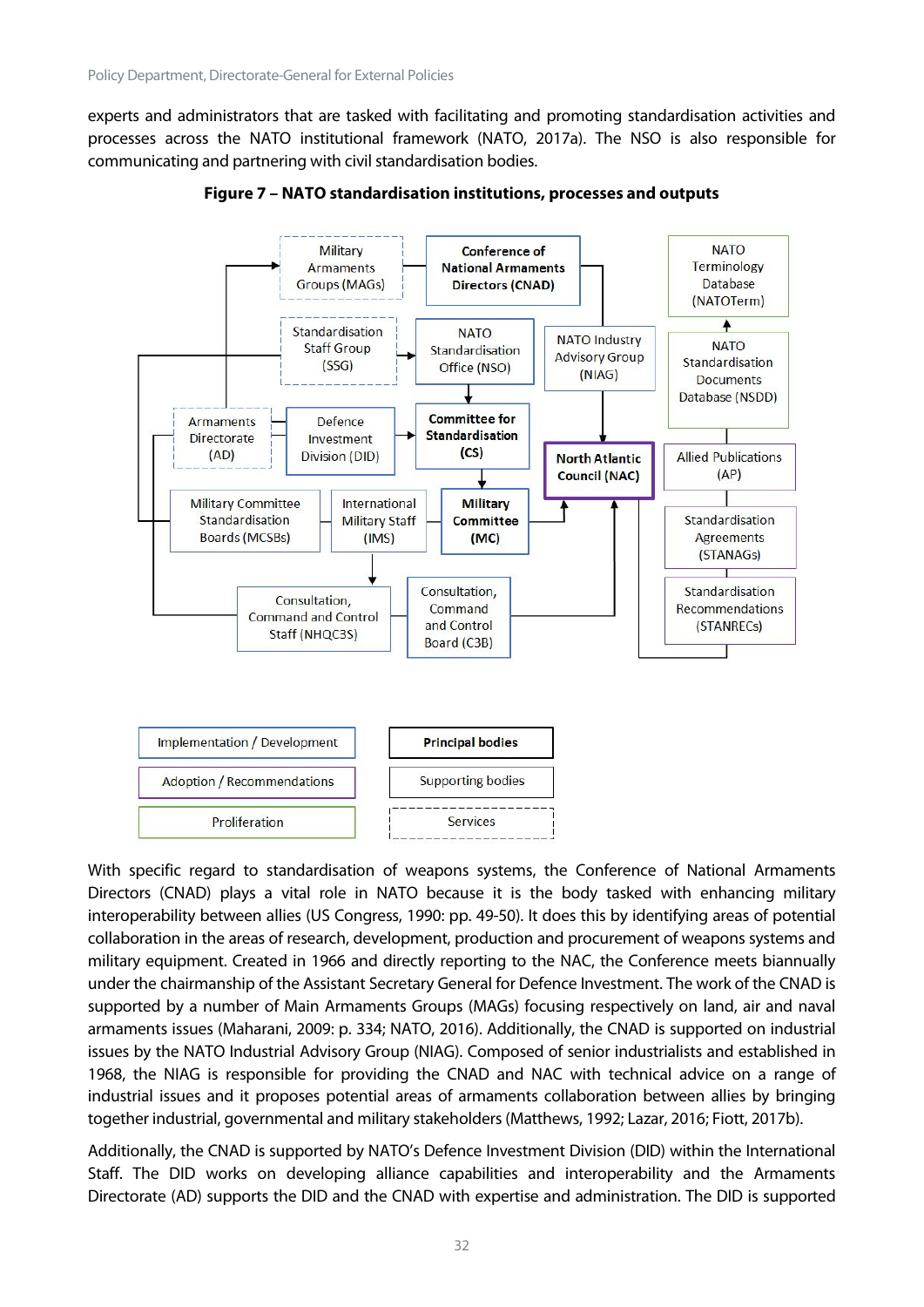experts and administrators that are tasked with facilitating and promoting standardisation activities and processes across the NATO institutional framework (NATO, 2017a). The NSO is also responsible for communicating and partnering with civil standardisation bodies.



**Figure 7 – NATO standardisation institutions, processes and outputs**

With specific regard to standardisation of weapons systems, the Conference of National Armaments Directors (CNAD) plays a vital role in NATO because it is the body tasked with enhancing military interoperability between allies (US Congress, 1990: pp. 49-50). It does this by identifying areas of potential collaboration in the areas of research, development, production and procurement of weapons systems and military equipment. Created in 1966 and directly reporting to the NAC, the Conference meets biannually under the chairmanship of the Assistant Secretary General for Defence Investment. The work of the CNAD is supported by a number of Main Armaments Groups (MAGs) focusing respectively on land, air and naval armaments issues (Maharani, 2009: p. 334; NATO, 2016). Additionally, the CNAD is supported on industrial issues by the NATO Industrial Advisory Group (NIAG). Composed of senior industrialists and established in 1968, the NIAG is responsible for providing the CNAD and NAC with technical advice on a range of industrial issues and it proposes potential areas of armaments collaboration between allies by bringing together industrial, governmental and military stakeholders (Matthews, 1992; Lazar, 2016; Fiott, 2017b).

Additionally, the CNAD is supported by NATO's Defence Investment Division (DID) within the International Staff. The DID works on developing alliance capabilities and interoperability and the Armaments Directorate (AD) supports the DID and the CNAD with expertise and administration. The DID is supported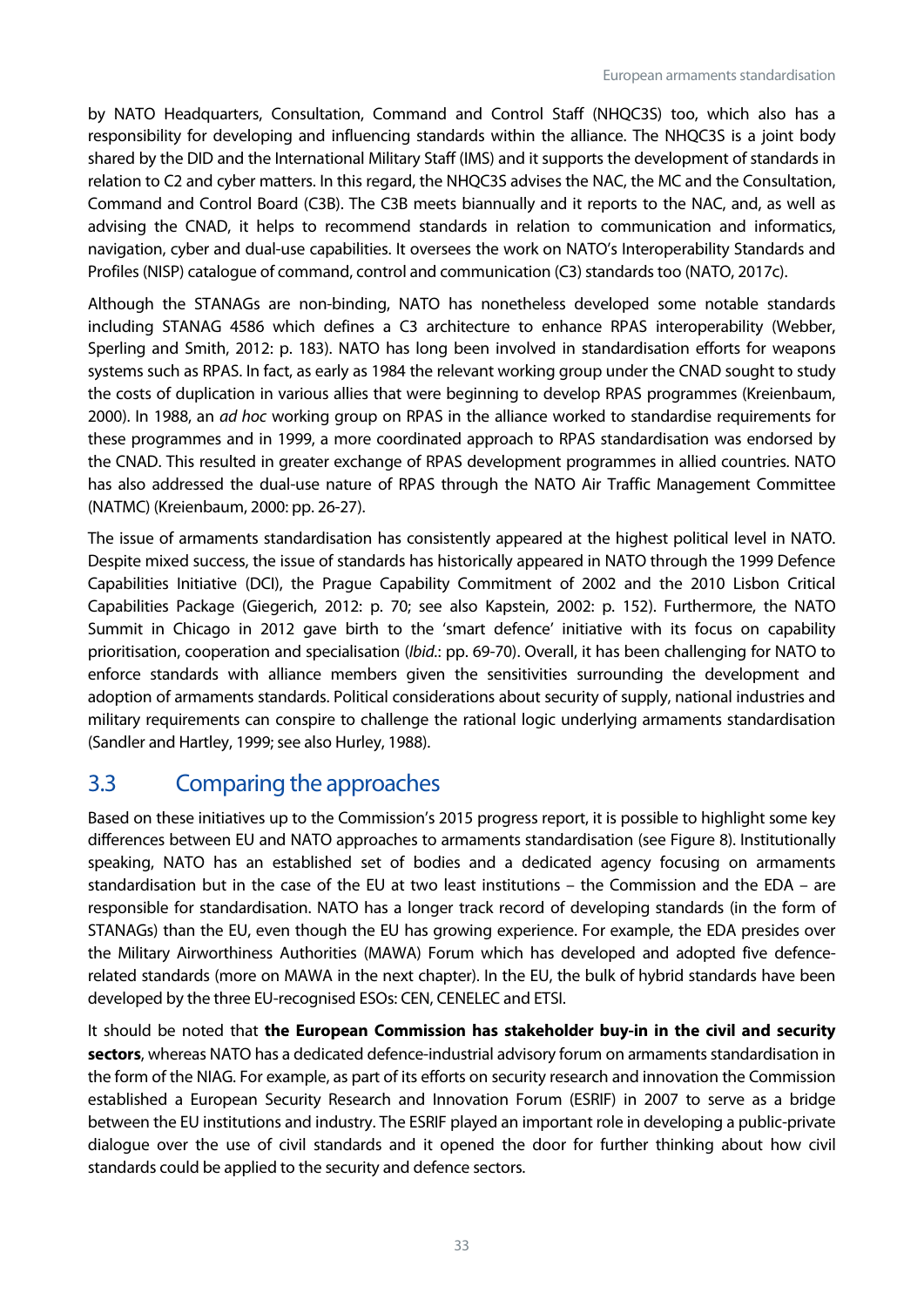by NATO Headquarters, Consultation, Command and Control Staff (NHQC3S) too, which also has a responsibility for developing and influencing standards within the alliance. The NHQC3S is a joint body shared by the DID and the International Military Staff (IMS) and it supports the development of standards in relation to C2 and cyber matters. In this regard, the NHQC3S advises the NAC, the MC and the Consultation, Command and Control Board (C3B). The C3B meets biannually and it reports to the NAC, and, as well as advising the CNAD, it helps to recommend standards in relation to communication and informatics, navigation, cyber and dual-use capabilities. It oversees the work on NATO's Interoperability Standards and Profiles (NISP) catalogue of command, control and communication (C3) standards too (NATO, 2017c).

Although the STANAGs are non-binding, NATO has nonetheless developed some notable standards including STANAG 4586 which defines a C3 architecture to enhance RPAS interoperability (Webber, Sperling and Smith, 2012: p. 183). NATO has long been involved in standardisation efforts for weapons systems such as RPAS. In fact, as early as 1984 the relevant working group under the CNAD sought to study the costs of duplication in various allies that were beginning to develop RPAS programmes (Kreienbaum, 2000). In 1988, an *ad hoc* working group on RPAS in the alliance worked to standardise requirements for these programmes and in 1999, a more coordinated approach to RPAS standardisation was endorsed by the CNAD. This resulted in greater exchange of RPAS development programmes in allied countries. NATO has also addressed the dual-use nature of RPAS through the NATO Air Traffic Management Committee (NATMC) (Kreienbaum, 2000: pp. 26-27).

The issue of armaments standardisation has consistently appeared at the highest political level in NATO. Despite mixed success, the issue of standards has historically appeared in NATO through the 1999 Defence Capabilities Initiative (DCI), the Prague Capability Commitment of 2002 and the 2010 Lisbon Critical Capabilities Package (Giegerich, 2012: p. 70; see also Kapstein, 2002: p. 152). Furthermore, the NATO Summit in Chicago in 2012 gave birth to the 'smart defence' initiative with its focus on capability prioritisation, cooperation and specialisation (*Ibid.*: pp. 69-70). Overall, it has been challenging for NATO to enforce standards with alliance members given the sensitivities surrounding the development and adoption of armaments standards. Political considerations about security of supply, national industries and military requirements can conspire to challenge the rational logic underlying armaments standardisation (Sandler and Hartley, 1999; see also Hurley, 1988).

## <span id="page-33-0"></span>3.3 Comparing the approaches

Based on these initiatives up to the Commission's 2015 progress report, it is possible to highlight some key differences between EU and NATO approaches to armaments standardisation (see Figure 8). Institutionally speaking, NATO has an established set of bodies and a dedicated agency focusing on armaments standardisation but in the case of the EU at two least institutions – the Commission and the EDA – are responsible for standardisation. NATO has a longer track record of developing standards (in the form of STANAGs) than the EU, even though the EU has growing experience. For example, the EDA presides over the Military Airworthiness Authorities (MAWA) Forum which has developed and adopted five defencerelated standards (more on MAWA in the next chapter). In the EU, the bulk of hybrid standards have been developed by the three EU-recognised ESOs: CEN, CENELEC and ETSI.

It should be noted that **the European Commission has stakeholder buy-in in the civil and security sectors**, whereas NATO has a dedicated defence-industrial advisory forum on armaments standardisation in the form of the NIAG. For example, as part of its efforts on security research and innovation the Commission established a European Security Research and Innovation Forum (ESRIF) in 2007 to serve as a bridge between the EU institutions and industry. The ESRIF played an important role in developing a public-private dialogue over the use of civil standards and it opened the door for further thinking about how civil standards could be applied to the security and defence sectors.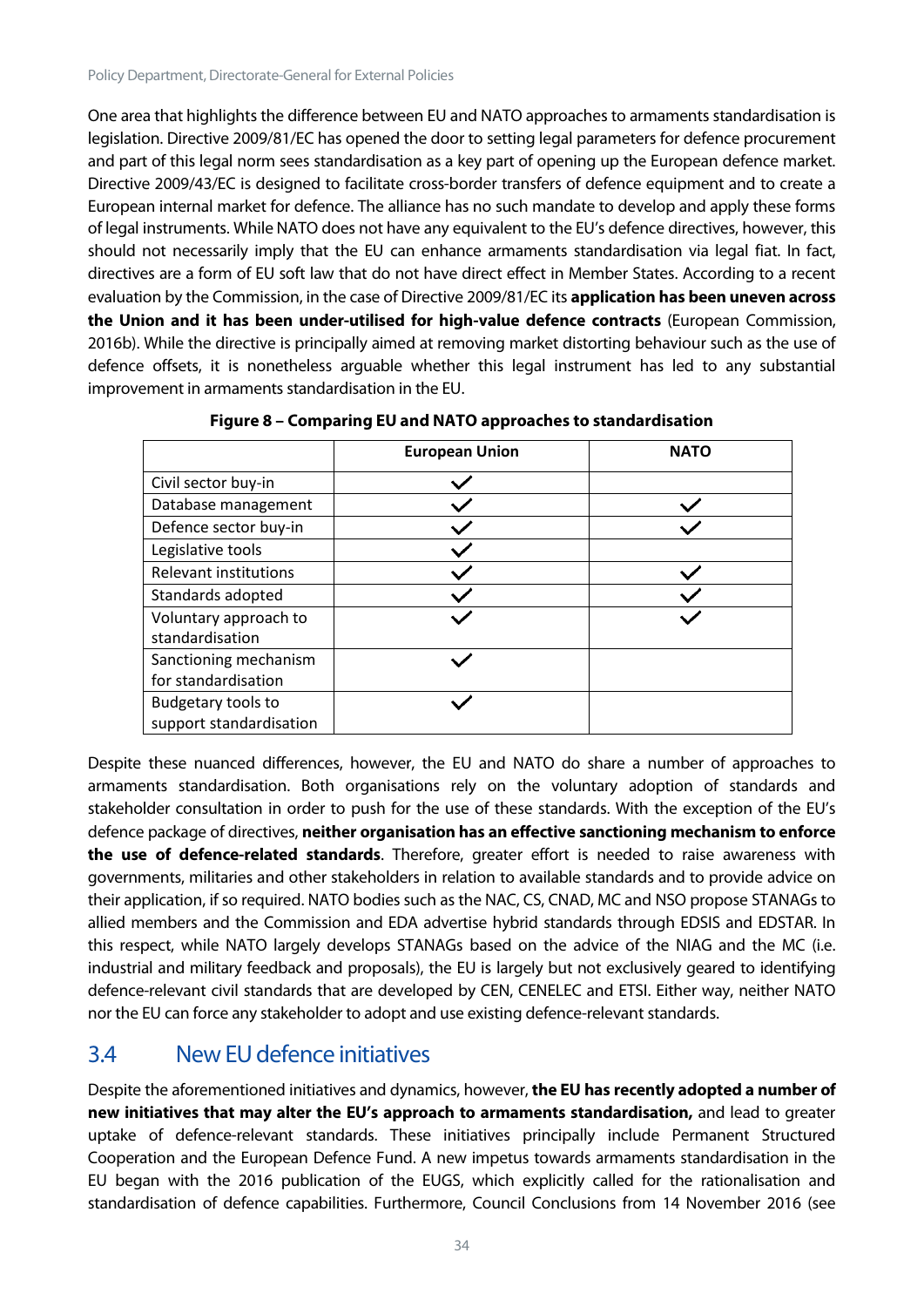One area that highlights the difference between EU and NATO approaches to armaments standardisation is legislation. Directive 2009/81/EC has opened the door to setting legal parameters for defence procurement and part of this legal norm sees standardisation as a key part of opening up the European defence market. Directive 2009/43/EC is designed to facilitate cross-border transfers of defence equipment and to create a European internal market for defence. The alliance has no such mandate to develop and apply these forms of legal instruments. While NATO does not have any equivalent to the EU's defence directives, however, this should not necessarily imply that the EU can enhance armaments standardisation via legal fiat. In fact, directives are a form of EU soft law that do not have direct effect in Member States. According to a recent evaluation by the Commission, in the case of Directive 2009/81/EC its **application has been uneven across the Union and it has been under-utilised for high-value defence contracts** (European Commission, 2016b). While the directive is principally aimed at removing market distorting behaviour such as the use of defence offsets, it is nonetheless arguable whether this legal instrument has led to any substantial improvement in armaments standardisation in the EU.

|                              | <b>European Union</b> | <b>NATO</b> |
|------------------------------|-----------------------|-------------|
| Civil sector buy-in          |                       |             |
| Database management          |                       |             |
| Defence sector buy-in        |                       |             |
| Legislative tools            |                       |             |
| <b>Relevant institutions</b> |                       |             |
| Standards adopted            |                       |             |
| Voluntary approach to        |                       |             |
| standardisation              |                       |             |
| Sanctioning mechanism        |                       |             |
| for standardisation          |                       |             |
| <b>Budgetary tools to</b>    |                       |             |
| support standardisation      |                       |             |

**Figure 8 – Comparing EU and NATO approaches to standardisation**

Despite these nuanced differences, however, the EU and NATO do share a number of approaches to armaments standardisation. Both organisations rely on the voluntary adoption of standards and stakeholder consultation in order to push for the use of these standards. With the exception of the EU's defence package of directives, **neither organisation has an effective sanctioning mechanism to enforce the use of defence-related standards**. Therefore, greater effort is needed to raise awareness with governments, militaries and other stakeholders in relation to available standards and to provide advice on their application, if so required. NATO bodies such as the NAC, CS, CNAD, MC and NSO propose STANAGs to allied members and the Commission and EDA advertise hybrid standards through EDSIS and EDSTAR. In this respect, while NATO largely develops STANAGs based on the advice of the NIAG and the MC (i.e. industrial and military feedback and proposals), the EU is largely but not exclusively geared to identifying defence-relevant civil standards that are developed by CEN, CENELEC and ETSI. Either way, neither NATO nor the EU can force any stakeholder to adopt and use existing defence-relevant standards.

## <span id="page-34-0"></span>3.4 New EU defence initiatives

Despite the aforementioned initiatives and dynamics, however, **the EU has recently adopted a number of new initiatives that may alter the EU's approach to armaments standardisation,** and lead to greater uptake of defence-relevant standards. These initiatives principally include Permanent Structured Cooperation and the European Defence Fund. A new impetus towards armaments standardisation in the EU began with the 2016 publication of the EUGS, which explicitly called for the rationalisation and standardisation of defence capabilities. Furthermore, Council Conclusions from 14 November 2016 (see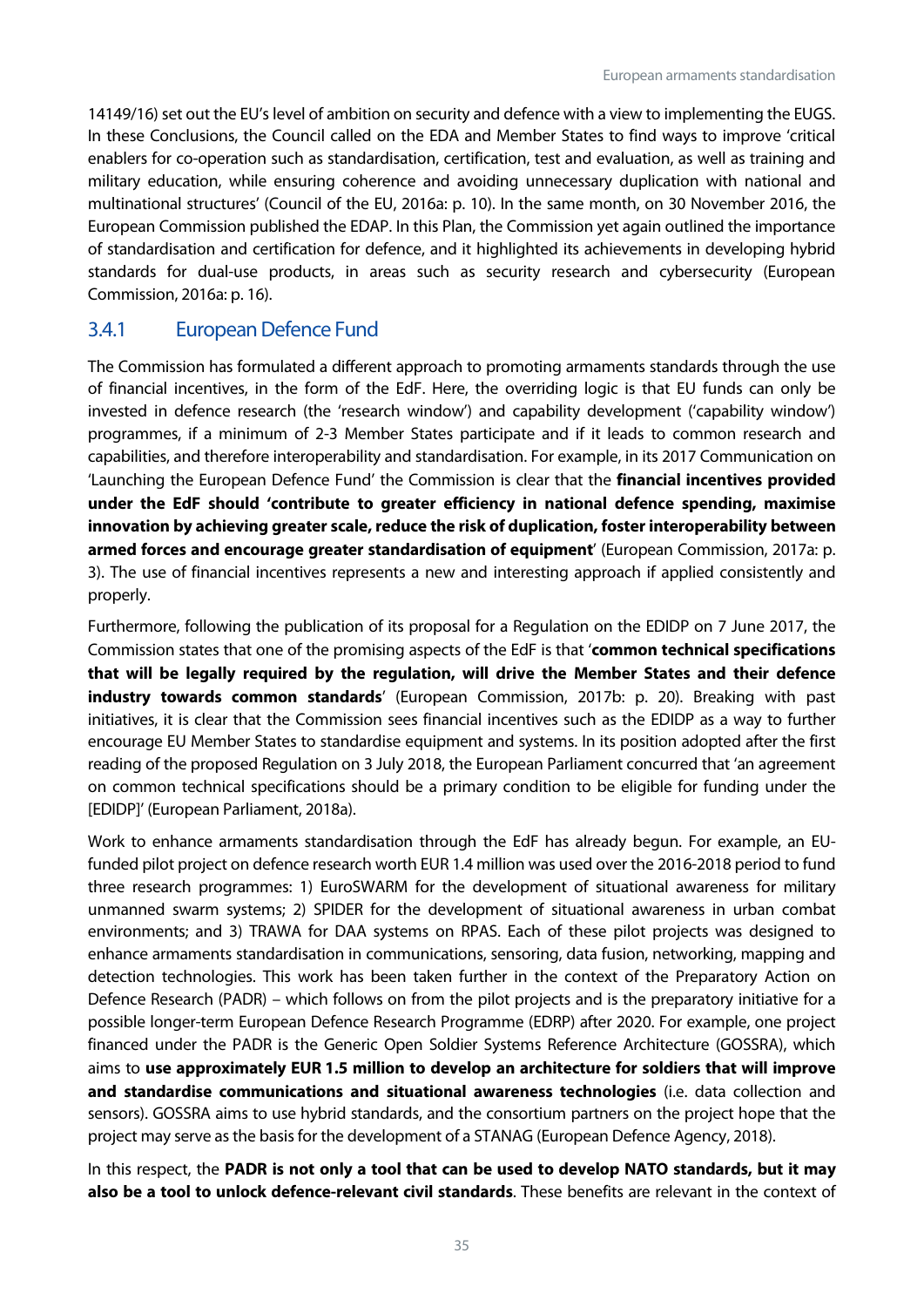14149/16) set out the EU's level of ambition on security and defence with a view to implementing the EUGS. In these Conclusions, the Council called on the EDA and Member States to find ways to improve 'critical enablers for co-operation such as standardisation, certification, test and evaluation, as well as training and military education, while ensuring coherence and avoiding unnecessary duplication with national and multinational structures' (Council of the EU, 2016a: p. 10). In the same month, on 30 November 2016, the European Commission published the EDAP. In this Plan, the Commission yet again outlined the importance of standardisation and certification for defence, and it highlighted its achievements in developing hybrid standards for dual-use products, in areas such as security research and cybersecurity (European Commission, 2016a: p. 16).

#### <span id="page-35-0"></span>3.4.1 European Defence Fund

The Commission has formulated a different approach to promoting armaments standards through the use of financial incentives, in the form of the EdF. Here, the overriding logic is that EU funds can only be invested in defence research (the 'research window') and capability development ('capability window') programmes, if a minimum of 2-3 Member States participate and if it leads to common research and capabilities, and therefore interoperability and standardisation. For example, in its 2017 Communication on 'Launching the European Defence Fund' the Commission is clear that the **financial incentives provided under the EdF should 'contribute to greater efficiency in national defence spending, maximise innovation by achieving greater scale, reduce the risk of duplication, foster interoperability between armed forces and encourage greater standardisation of equipment**' (European Commission, 2017a: p. 3). The use of financial incentives represents a new and interesting approach if applied consistently and properly.

Furthermore, following the publication of its proposal for a Regulation on the EDIDP on 7 June 2017, the Commission states that one of the promising aspects of the EdF is that '**common technical specifications that will be legally required by the regulation, will drive the Member States and their defence industry towards common standards**' (European Commission, 2017b: p. 20). Breaking with past initiatives, it is clear that the Commission sees financial incentives such as the EDIDP as a way to further encourage EU Member States to standardise equipment and systems. In its position adopted after the first reading of the proposed Regulation on 3 July 2018, the European Parliament concurred that 'an agreement on common technical specifications should be a primary condition to be eligible for funding under the [EDIDP]' (European Parliament, 2018a).

Work to enhance armaments standardisation through the EdF has already begun. For example, an EUfunded pilot project on defence research worth EUR 1.4 million was used over the 2016-2018 period to fund three research programmes: 1) EuroSWARM for the development of situational awareness for military unmanned swarm systems; 2) SPIDER for the development of situational awareness in urban combat environments; and 3) TRAWA for DAA systems on RPAS. Each of these pilot projects was designed to enhance armaments standardisation in communications, sensoring, data fusion, networking, mapping and detection technologies. This work has been taken further in the context of the Preparatory Action on Defence Research (PADR) – which follows on from the pilot projects and is the preparatory initiative for a possible longer-term European Defence Research Programme (EDRP) after 2020. For example, one project financed under the PADR is the Generic Open Soldier Systems Reference Architecture (GOSSRA), which aims to **use approximately EUR 1.5 million to develop an architecture for soldiers that will improve and standardise communications and situational awareness technologies** (i.e. data collection and sensors). GOSSRA aims to use hybrid standards, and the consortium partners on the project hope that the project may serve as the basis for the development of a STANAG (European Defence Agency, 2018).

In this respect, the **PADR is not only a tool that can be used to develop NATO standards, but it may also be a tool to unlock defence-relevant civil standards**. These benefits are relevant in the context of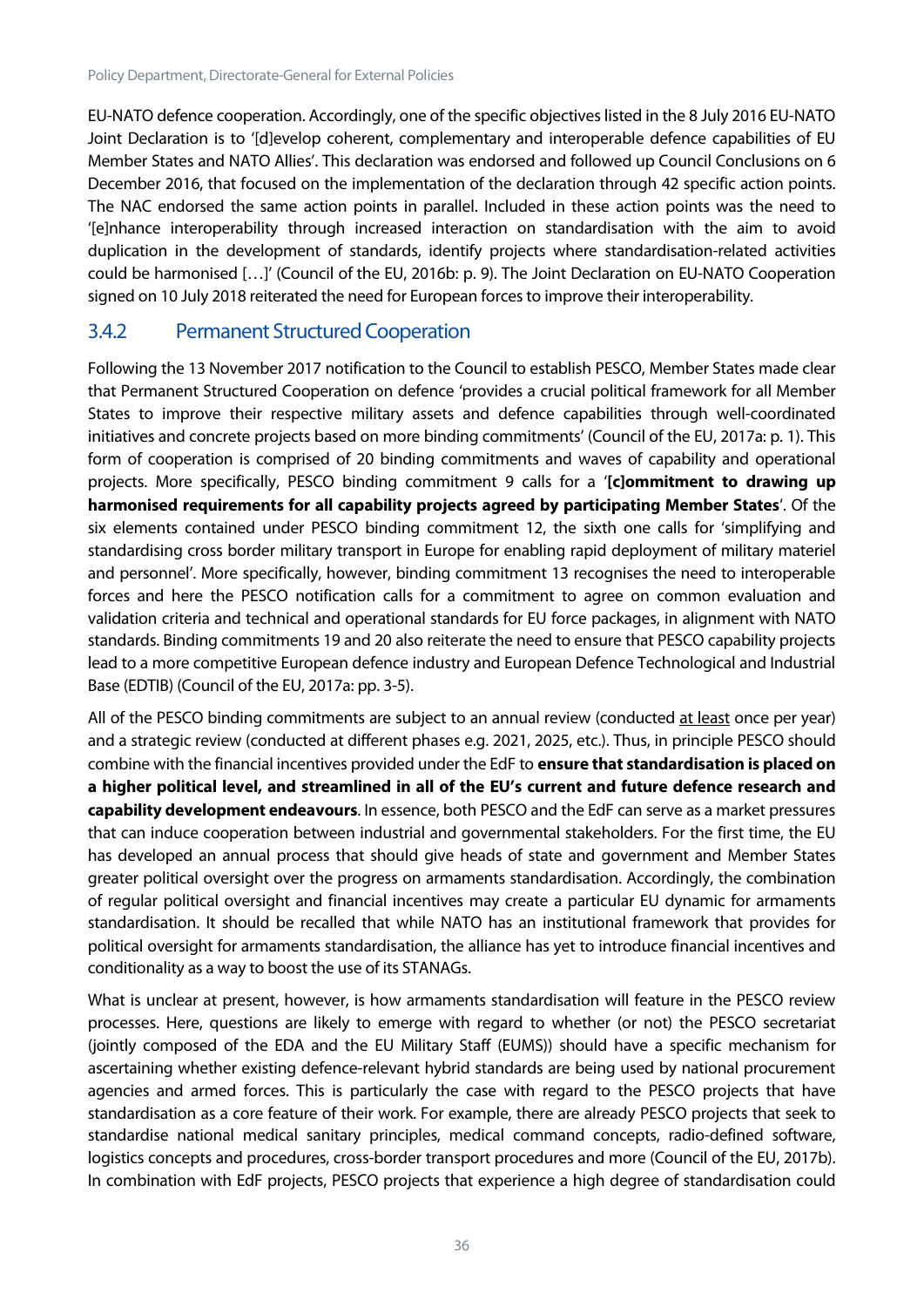EU-NATO defence cooperation. Accordingly, one of the specific objectives listed in the 8 July 2016 EU-NATO Joint Declaration is to '[d]evelop coherent, complementary and interoperable defence capabilities of EU Member States and NATO Allies'. This declaration was endorsed and followed up Council Conclusions on 6 December 2016, that focused on the implementation of the declaration through 42 specific action points. The NAC endorsed the same action points in parallel. Included in these action points was the need to '[e]nhance interoperability through increased interaction on standardisation with the aim to avoid duplication in the development of standards, identify projects where standardisation-related activities could be harmonised […]' (Council of the EU, 2016b: p. 9). The Joint Declaration on EU-NATO Cooperation signed on 10 July 2018 reiterated the need for European forces to improve their interoperability.

#### <span id="page-36-0"></span>3.4.2 Permanent Structured Cooperation

Following the 13 November 2017 notification to the Council to establish PESCO, Member States made clear that Permanent Structured Cooperation on defence 'provides a crucial political framework for all Member States to improve their respective military assets and defence capabilities through well-coordinated initiatives and concrete projects based on more binding commitments' (Council of the EU, 2017a: p. 1). This form of cooperation is comprised of 20 binding commitments and waves of capability and operational projects. More specifically, PESCO binding commitment 9 calls for a '**[c]ommitment to drawing up harmonised requirements for all capability projects agreed by participating Member States**'. Of the six elements contained under PESCO binding commitment 12, the sixth one calls for 'simplifying and standardising cross border military transport in Europe for enabling rapid deployment of military materiel and personnel'. More specifically, however, binding commitment 13 recognises the need to interoperable forces and here the PESCO notification calls for a commitment to agree on common evaluation and validation criteria and technical and operational standards for EU force packages, in alignment with NATO standards. Binding commitments 19 and 20 also reiterate the need to ensure that PESCO capability projects lead to a more competitive European defence industry and European Defence Technological and Industrial Base (EDTIB) (Council of the EU, 2017a: pp. 3-5).

All of the PESCO binding commitments are subject to an annual review (conducted at least once per year) and a strategic review (conducted at different phases e.g. 2021, 2025, etc.). Thus, in principle PESCO should combine with the financial incentives provided under the EdF to **ensure that standardisation is placed on a higher political level, and streamlined in all of the EU's current and future defence research and capability development endeavours**. In essence, both PESCO and the EdF can serve as a market pressures that can induce cooperation between industrial and governmental stakeholders. For the first time, the EU has developed an annual process that should give heads of state and government and Member States greater political oversight over the progress on armaments standardisation. Accordingly, the combination of regular political oversight and financial incentives may create a particular EU dynamic for armaments standardisation. It should be recalled that while NATO has an institutional framework that provides for political oversight for armaments standardisation, the alliance has yet to introduce financial incentives and conditionality as a way to boost the use of its STANAGs.

What is unclear at present, however, is how armaments standardisation will feature in the PESCO review processes. Here, questions are likely to emerge with regard to whether (or not) the PESCO secretariat (jointly composed of the EDA and the EU Military Staff (EUMS)) should have a specific mechanism for ascertaining whether existing defence-relevant hybrid standards are being used by national procurement agencies and armed forces. This is particularly the case with regard to the PESCO projects that have standardisation as a core feature of their work. For example, there are already PESCO projects that seek to standardise national medical sanitary principles, medical command concepts, radio-defined software, logistics concepts and procedures, cross-border transport procedures and more (Council of the EU, 2017b). In combination with EdF projects, PESCO projects that experience a high degree of standardisation could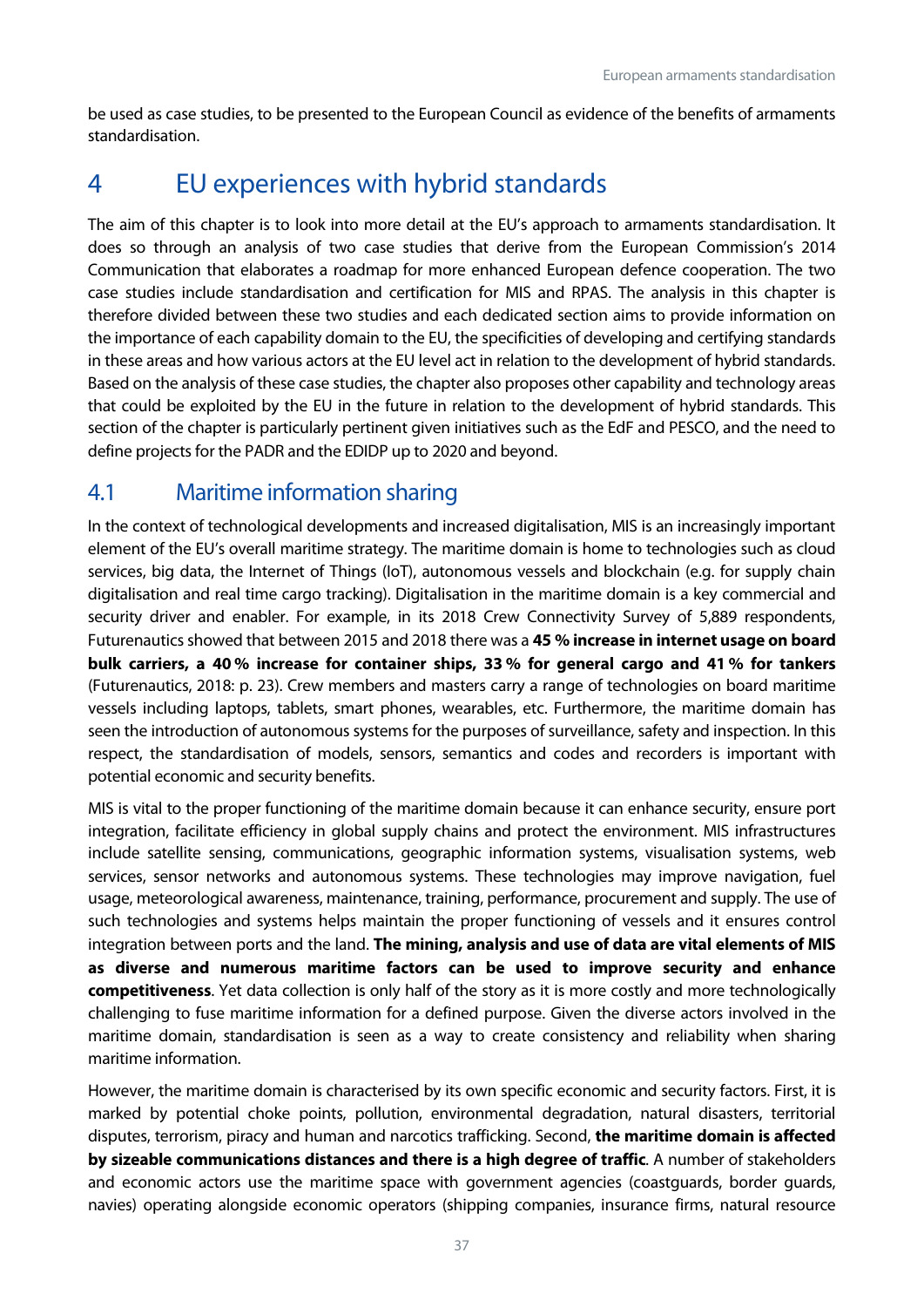be used as case studies, to be presented to the European Council as evidence of the benefits of armaments standardisation.

## <span id="page-37-0"></span>4 EU experiences with hybrid standards

The aim of this chapter is to look into more detail at the EU's approach to armaments standardisation. It does so through an analysis of two case studies that derive from the European Commission's 2014 Communication that elaborates a roadmap for more enhanced European defence cooperation. The two case studies include standardisation and certification for MIS and RPAS. The analysis in this chapter is therefore divided between these two studies and each dedicated section aims to provide information on the importance of each capability domain to the EU, the specificities of developing and certifying standards in these areas and how various actors at the EU level act in relation to the development of hybrid standards. Based on the analysis of these case studies, the chapter also proposes other capability and technology areas that could be exploited by the EU in the future in relation to the development of hybrid standards. This section of the chapter is particularly pertinent given initiatives such as the EdF and PESCO, and the need to define projects for the PADR and the EDIDP up to 2020 and beyond.

## <span id="page-37-1"></span>4.1 Maritime information sharing

In the context of technological developments and increased digitalisation, MIS is an increasingly important element of the EU's overall maritime strategy. The maritime domain is home to technologies such as cloud services, big data, the Internet of Things (IoT), autonomous vessels and blockchain (e.g. for supply chain digitalisation and real time cargo tracking). Digitalisation in the maritime domain is a key commercial and security driver and enabler. For example, in its 2018 Crew Connectivity Survey of 5,889 respondents, Futurenautics showed that between 2015 and 2018 there was a **45 % increase in internet usage on board bulk carriers, a 40 % increase for container ships, 33 % for general cargo and 41 % for tankers** (Futurenautics, 2018: p. 23). Crew members and masters carry a range of technologies on board maritime vessels including laptops, tablets, smart phones, wearables, etc. Furthermore, the maritime domain has seen the introduction of autonomous systems for the purposes of surveillance, safety and inspection. In this respect, the standardisation of models, sensors, semantics and codes and recorders is important with potential economic and security benefits.

MIS is vital to the proper functioning of the maritime domain because it can enhance security, ensure port integration, facilitate efficiency in global supply chains and protect the environment. MIS infrastructures include satellite sensing, communications, geographic information systems, visualisation systems, web services, sensor networks and autonomous systems. These technologies may improve navigation, fuel usage, meteorological awareness, maintenance, training, performance, procurement and supply. The use of such technologies and systems helps maintain the proper functioning of vessels and it ensures control integration between ports and the land. **The mining, analysis and use of data are vital elements of MIS as diverse and numerous maritime factors can be used to improve security and enhance competitiveness**. Yet data collection is only half of the story as it is more costly and more technologically challenging to fuse maritime information for a defined purpose. Given the diverse actors involved in the maritime domain, standardisation is seen as a way to create consistency and reliability when sharing maritime information.

However, the maritime domain is characterised by its own specific economic and security factors. First, it is marked by potential choke points, pollution, environmental degradation, natural disasters, territorial disputes, terrorism, piracy and human and narcotics trafficking. Second, **the maritime domain is affected by sizeable communications distances and there is a high degree of traffic**. A number of stakeholders and economic actors use the maritime space with government agencies (coastguards, border guards, navies) operating alongside economic operators (shipping companies, insurance firms, natural resource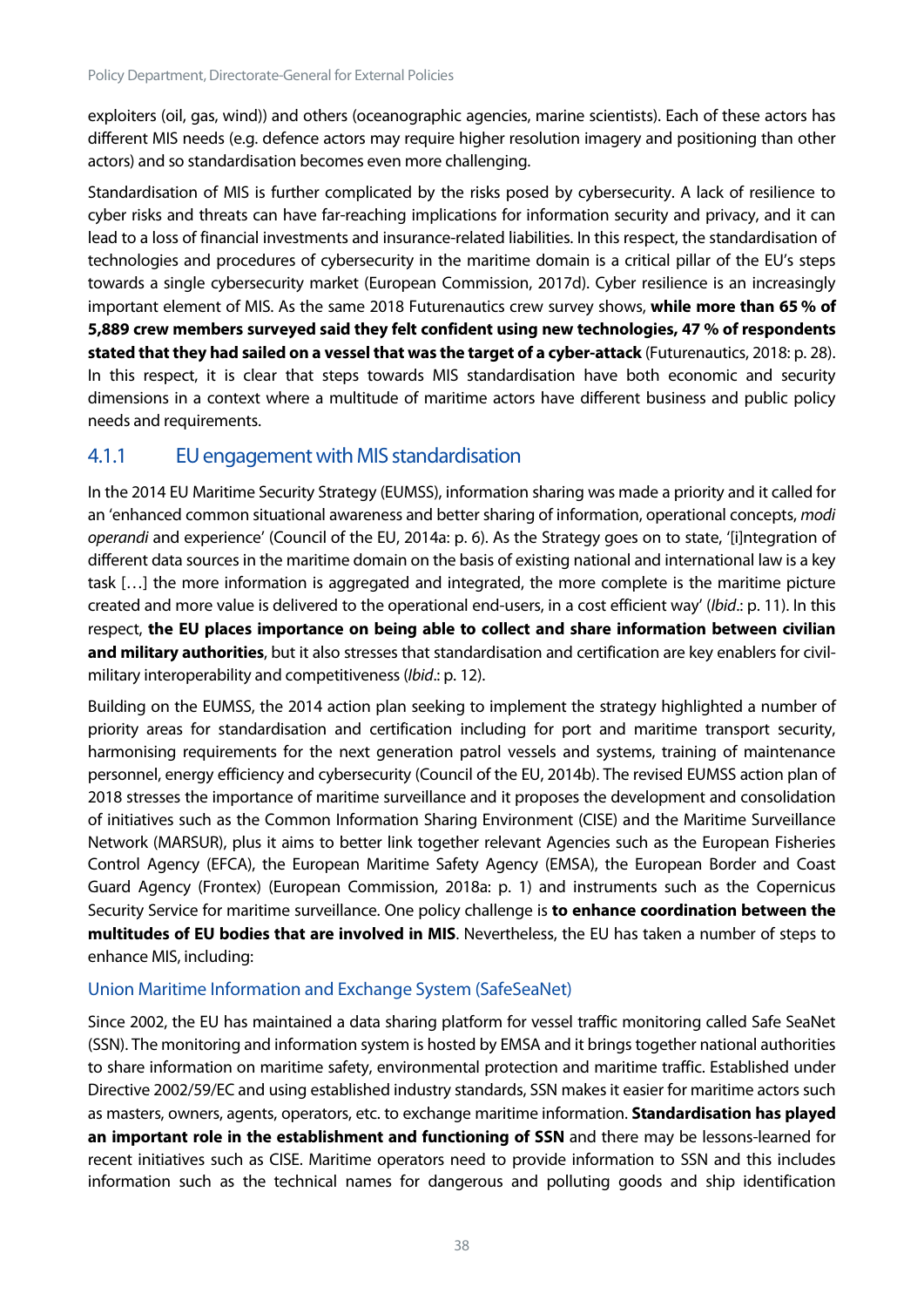exploiters (oil, gas, wind)) and others (oceanographic agencies, marine scientists). Each of these actors has different MIS needs (e.g. defence actors may require higher resolution imagery and positioning than other actors) and so standardisation becomes even more challenging.

Standardisation of MIS is further complicated by the risks posed by cybersecurity. A lack of resilience to cyber risks and threats can have far-reaching implications for information security and privacy, and it can lead to a loss of financial investments and insurance-related liabilities. In this respect, the standardisation of technologies and procedures of cybersecurity in the maritime domain is a critical pillar of the EU's steps towards a single cybersecurity market (European Commission, 2017d). Cyber resilience is an increasingly important element of MIS. As the same 2018 Futurenautics crew survey shows, **while more than 65 % of 5,889 crew members surveyed said they felt confident using new technologies, 47 % of respondents stated that they had sailed on a vessel that was the target of a cyber-attack** (Futurenautics, 2018: p. 28). In this respect, it is clear that steps towards MIS standardisation have both economic and security dimensions in a context where a multitude of maritime actors have different business and public policy needs and requirements.

#### <span id="page-38-0"></span>4.1.1 EU engagement with MIS standardisation

In the 2014 EU Maritime Security Strategy (EUMSS), information sharing was made a priority and it called for an 'enhanced common situational awareness and better sharing of information, operational concepts, *modi operandi* and experience' (Council of the EU, 2014a: p. 6). As the Strategy goes on to state, '[i]ntegration of different data sources in the maritime domain on the basis of existing national and international law is a key task […] the more information is aggregated and integrated, the more complete is the maritime picture created and more value is delivered to the operational end-users, in a cost efficient way' (*Ibid*.: p. 11). In this respect, **the EU places importance on being able to collect and share information between civilian and military authorities**, but it also stresses that standardisation and certification are key enablers for civilmilitary interoperability and competitiveness (*Ibid*.: p. 12).

Building on the EUMSS, the 2014 action plan seeking to implement the strategy highlighted a number of priority areas for standardisation and certification including for port and maritime transport security, harmonising requirements for the next generation patrol vessels and systems, training of maintenance personnel, energy efficiency and cybersecurity (Council of the EU, 2014b). The revised EUMSS action plan of 2018 stresses the importance of maritime surveillance and it proposes the development and consolidation of initiatives such as the Common Information Sharing Environment (CISE) and the Maritime Surveillance Network (MARSUR), plus it aims to better link together relevant Agencies such as the European Fisheries Control Agency (EFCA), the European Maritime Safety Agency (EMSA), the European Border and Coast Guard Agency (Frontex) (European Commission, 2018a: p. 1) and instruments such as the Copernicus Security Service for maritime surveillance. One policy challenge is **to enhance coordination between the multitudes of EU bodies that are involved in MIS**. Nevertheless, the EU has taken a number of steps to enhance MIS, including:

#### Union Maritime Information and Exchange System (SafeSeaNet)

Since 2002, the EU has maintained a data sharing platform for vessel traffic monitoring called Safe SeaNet (SSN). The monitoring and information system is hosted by EMSA and it brings together national authorities to share information on maritime safety, environmental protection and maritime traffic. Established under Directive 2002/59/EC and using established industry standards, SSN makes it easier for maritime actors such as masters, owners, agents, operators, etc. to exchange maritime information. **Standardisation has played an important role in the establishment and functioning of SSN** and there may be lessons-learned for recent initiatives such as CISE. Maritime operators need to provide information to SSN and this includes information such as the technical names for dangerous and polluting goods and ship identification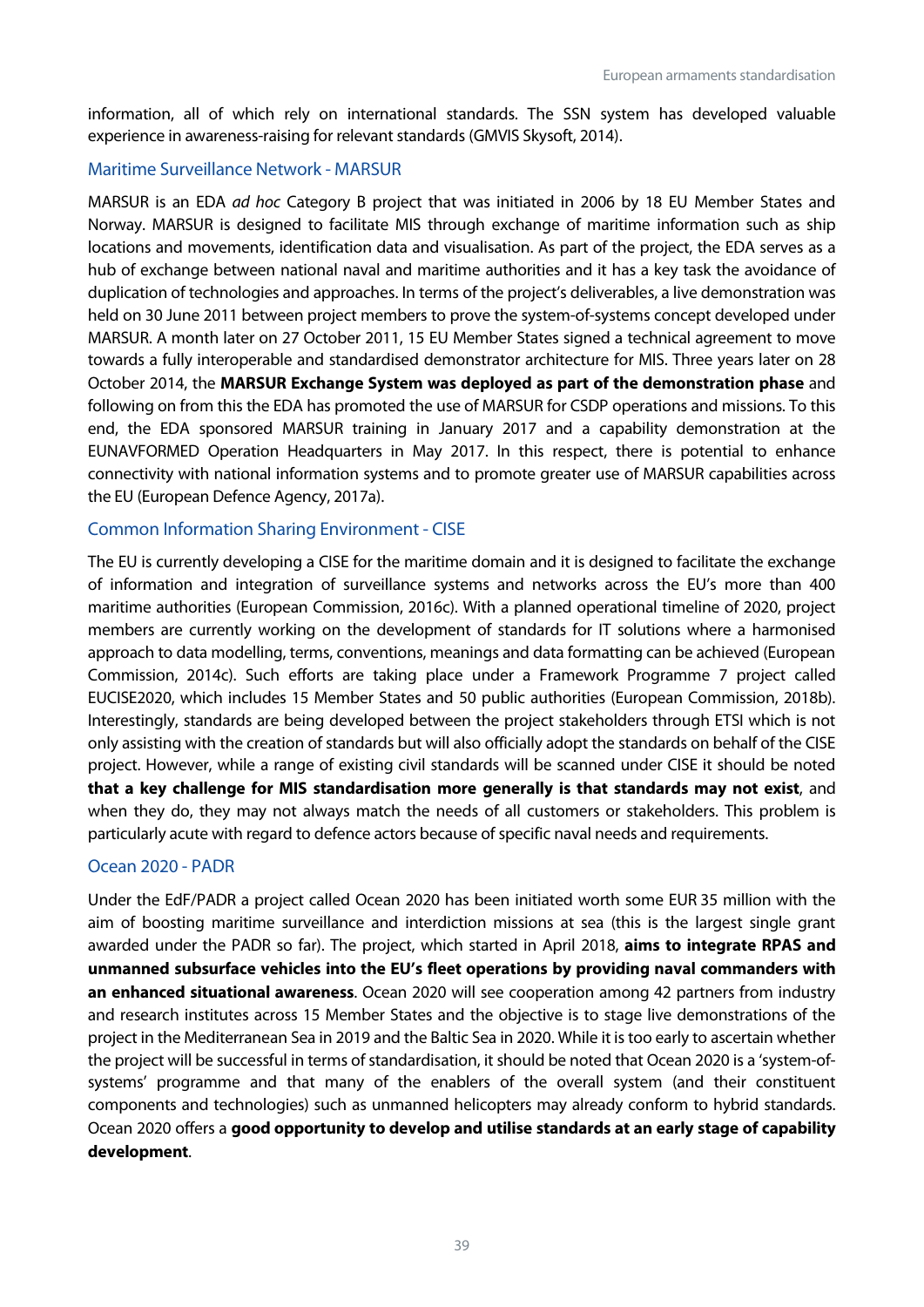information, all of which rely on international standards. The SSN system has developed valuable experience in awareness-raising for relevant standards (GMVIS Skysoft, 2014).

#### Maritime Surveillance Network - MARSUR

MARSUR is an EDA *ad hoc* Category B project that was initiated in 2006 by 18 EU Member States and Norway. MARSUR is designed to facilitate MIS through exchange of maritime information such as ship locations and movements, identification data and visualisation. As part of the project, the EDA serves as a hub of exchange between national naval and maritime authorities and it has a key task the avoidance of duplication of technologies and approaches. In terms of the project's deliverables, a live demonstration was held on 30 June 2011 between project members to prove the system-of-systems concept developed under MARSUR. A month later on 27 October 2011, 15 EU Member States signed a technical agreement to move towards a fully interoperable and standardised demonstrator architecture for MIS. Three years later on 28 October 2014, the **MARSUR Exchange System was deployed as part of the demonstration phase** and following on from this the EDA has promoted the use of MARSUR for CSDP operations and missions. To this end, the EDA sponsored MARSUR training in January 2017 and a capability demonstration at the EUNAVFORMED Operation Headquarters in May 2017. In this respect, there is potential to enhance connectivity with national information systems and to promote greater use of MARSUR capabilities across the EU (European Defence Agency, 2017a).

#### Common Information Sharing Environment - CISE

The EU is currently developing a CISE for the maritime domain and it is designed to facilitate the exchange of information and integration of surveillance systems and networks across the EU's more than 400 maritime authorities (European Commission, 2016c). With a planned operational timeline of 2020, project members are currently working on the development of standards for IT solutions where a harmonised approach to data modelling, terms, conventions, meanings and data formatting can be achieved (European Commission, 2014c). Such efforts are taking place under a Framework Programme 7 project called EUCISE2020, which includes 15 Member States and 50 public authorities (European Commission, 2018b). Interestingly, standards are being developed between the project stakeholders through ETSI which is not only assisting with the creation of standards but will also officially adopt the standards on behalf of the CISE project. However, while a range of existing civil standards will be scanned under CISE it should be noted **that a key challenge for MIS standardisation more generally is that standards may not exist**, and when they do, they may not always match the needs of all customers or stakeholders. This problem is particularly acute with regard to defence actors because of specific naval needs and requirements.

#### Ocean 2020 - PADR

Under the EdF/PADR a project called Ocean 2020 has been initiated worth some EUR 35 million with the aim of boosting maritime surveillance and interdiction missions at sea (this is the largest single grant awarded under the PADR so far). The project, which started in April 2018, **aims to integrate RPAS and unmanned subsurface vehicles into the EU's fleet operations by providing naval commanders with an enhanced situational awareness**. Ocean 2020 will see cooperation among 42 partners from industry and research institutes across 15 Member States and the objective is to stage live demonstrations of the project in the Mediterranean Sea in 2019 and the Baltic Sea in 2020. While it is too early to ascertain whether the project will be successful in terms of standardisation, it should be noted that Ocean 2020 is a 'system-ofsystems' programme and that many of the enablers of the overall system (and their constituent components and technologies) such as unmanned helicopters may already conform to hybrid standards. Ocean 2020 offers a **good opportunity to develop and utilise standards at an early stage of capability development**.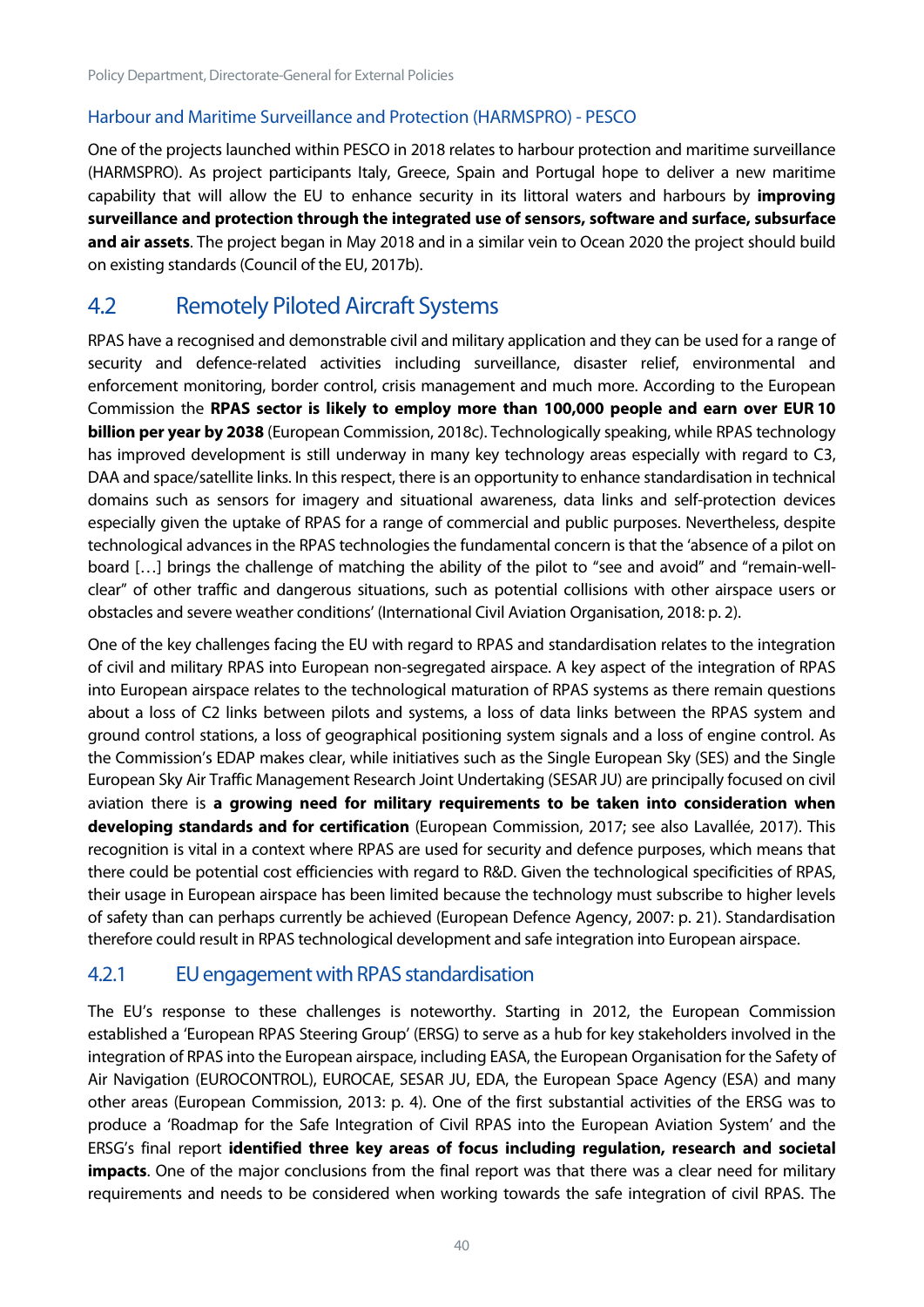#### Harbour and Maritime Surveillance and Protection (HARMSPRO) - PESCO

One of the projects launched within PESCO in 2018 relates to harbour protection and maritime surveillance (HARMSPRO). As project participants Italy, Greece, Spain and Portugal hope to deliver a new maritime capability that will allow the EU to enhance security in its littoral waters and harbours by **improving surveillance and protection through the integrated use of sensors, software and surface, subsurface and air assets**. The project began in May 2018 and in a similar vein to Ocean 2020 the project should build on existing standards (Council of the EU, 2017b).

## <span id="page-40-0"></span>4.2 Remotely Piloted Aircraft Systems

RPAS have a recognised and demonstrable civil and military application and they can be used for a range of security and defence-related activities including surveillance, disaster relief, environmental and enforcement monitoring, border control, crisis management and much more. According to the European Commission the **RPAS sector is likely to employ more than 100,000 people and earn over EUR 10 billion per year by 2038** (European Commission, 2018c). Technologically speaking, while RPAS technology has improved development is still underway in many key technology areas especially with regard to C3, DAA and space/satellite links. In this respect, there is an opportunity to enhance standardisation in technical domains such as sensors for imagery and situational awareness, data links and self-protection devices especially given the uptake of RPAS for a range of commercial and public purposes. Nevertheless, despite technological advances in the RPAS technologies the fundamental concern is that the 'absence of a pilot on board [...] brings the challenge of matching the ability of the pilot to "see and avoid" and "remain-wellclear" of other traffic and dangerous situations, such as potential collisions with other airspace users or obstacles and severe weather conditions' (International Civil Aviation Organisation, 2018: p. 2).

One of the key challenges facing the EU with regard to RPAS and standardisation relates to the integration of civil and military RPAS into European non-segregated airspace. A key aspect of the integration of RPAS into European airspace relates to the technological maturation of RPAS systems as there remain questions about a loss of C2 links between pilots and systems, a loss of data links between the RPAS system and ground control stations, a loss of geographical positioning system signals and a loss of engine control. As the Commission's EDAP makes clear, while initiatives such as the Single European Sky (SES) and the Single European Sky Air Traffic Management Research Joint Undertaking (SESAR JU) are principally focused on civil aviation there is **a growing need for military requirements to be taken into consideration when developing standards and for certification** (European Commission, 2017; see also Lavallée, 2017). This recognition is vital in a context where RPAS are used for security and defence purposes, which means that there could be potential cost efficiencies with regard to R&D. Given the technological specificities of RPAS, their usage in European airspace has been limited because the technology must subscribe to higher levels of safety than can perhaps currently be achieved (European Defence Agency, 2007: p. 21). Standardisation therefore could result in RPAS technological development and safe integration into European airspace.

## <span id="page-40-1"></span>4.2.1 EU engagement with RPAS standardisation

The EU's response to these challenges is noteworthy. Starting in 2012, the European Commission established a 'European RPAS Steering Group' (ERSG) to serve as a hub for key stakeholders involved in the integration of RPAS into the European airspace, including EASA, the European Organisation for the Safety of Air Navigation (EUROCONTROL), EUROCAE, SESAR JU, EDA, the European Space Agency (ESA) and many other areas (European Commission, 2013: p. 4). One of the first substantial activities of the ERSG was to produce a 'Roadmap for the Safe Integration of Civil RPAS into the European Aviation System' and the ERSG's final report **identified three key areas of focus including regulation, research and societal impacts**. One of the major conclusions from the final report was that there was a clear need for military requirements and needs to be considered when working towards the safe integration of civil RPAS. The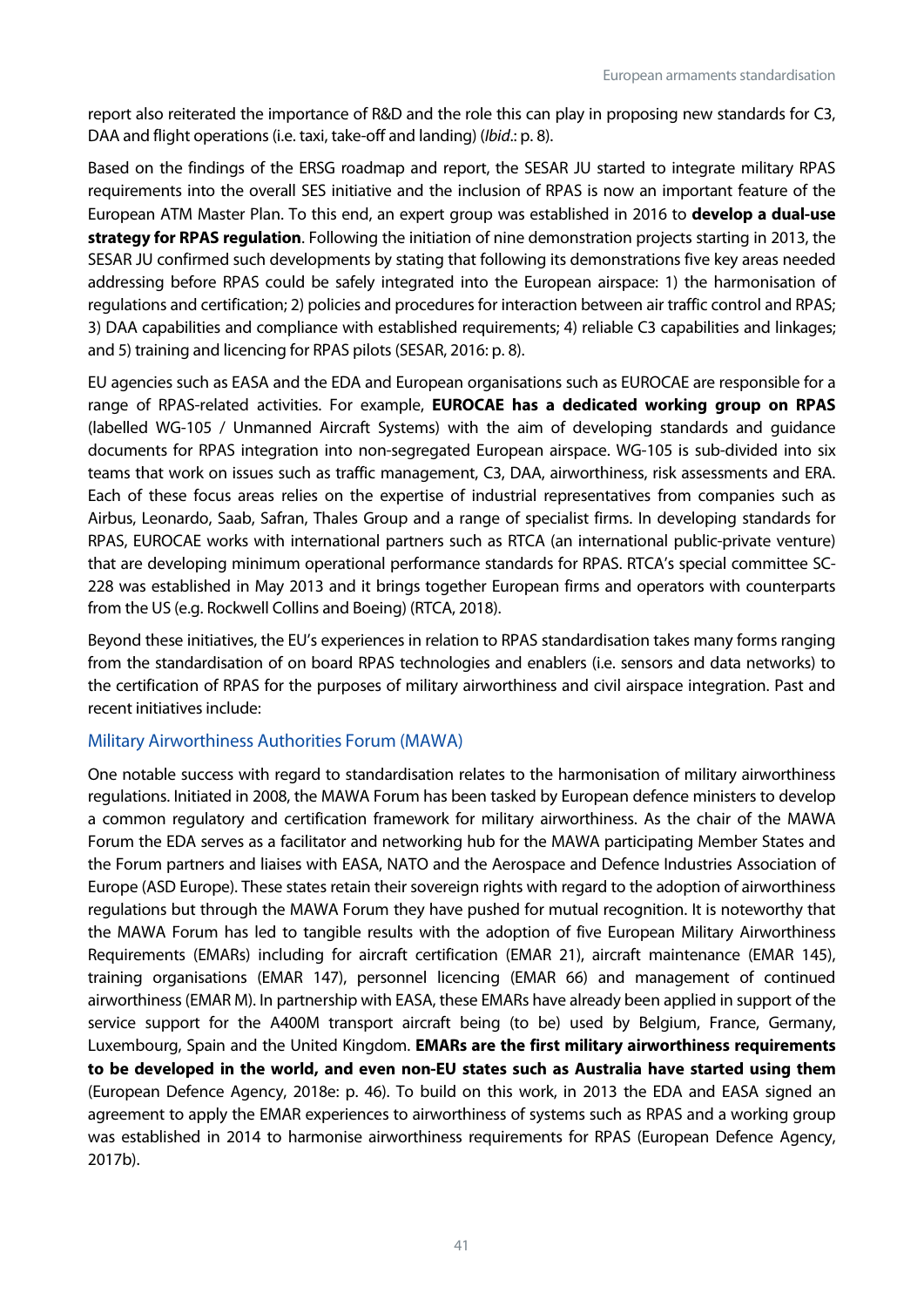report also reiterated the importance of R&D and the role this can play in proposing new standards for C3, DAA and flight operations (i.e. taxi, take-off and landing) (*Ibid*.: p. 8).

Based on the findings of the ERSG roadmap and report, the SESAR JU started to integrate military RPAS requirements into the overall SES initiative and the inclusion of RPAS is now an important feature of the European ATM Master Plan. To this end, an expert group was established in 2016 to **develop a dual-use strategy for RPAS regulation**. Following the initiation of nine demonstration projects starting in 2013, the SESAR JU confirmed such developments by stating that following its demonstrations five key areas needed addressing before RPAS could be safely integrated into the European airspace: 1) the harmonisation of regulations and certification; 2) policies and procedures for interaction between air traffic control and RPAS; 3) DAA capabilities and compliance with established requirements; 4) reliable C3 capabilities and linkages; and 5) training and licencing for RPAS pilots (SESAR, 2016: p. 8).

EU agencies such as EASA and the EDA and European organisations such as EUROCAE are responsible for a range of RPAS-related activities. For example, **EUROCAE has a dedicated working group on RPAS** (labelled WG-105 / Unmanned Aircraft Systems) with the aim of developing standards and guidance documents for RPAS integration into non-segregated European airspace. WG-105 is sub-divided into six teams that work on issues such as traffic management, C3, DAA, airworthiness, risk assessments and ERA. Each of these focus areas relies on the expertise of industrial representatives from companies such as Airbus, Leonardo, Saab, Safran, Thales Group and a range of specialist firms. In developing standards for RPAS, EUROCAE works with international partners such as RTCA (an international public-private venture) that are developing minimum operational performance standards for RPAS. RTCA's special committee SC-228 was established in May 2013 and it brings together European firms and operators with counterparts from the US (e.g. Rockwell Collins and Boeing) (RTCA, 2018).

Beyond these initiatives, the EU's experiences in relation to RPAS standardisation takes many forms ranging from the standardisation of on board RPAS technologies and enablers (i.e. sensors and data networks) to the certification of RPAS for the purposes of military airworthiness and civil airspace integration. Past and recent initiatives include:

#### Military Airworthiness Authorities Forum (MAWA)

One notable success with regard to standardisation relates to the harmonisation of military airworthiness regulations. Initiated in 2008, the MAWA Forum has been tasked by European defence ministers to develop a common regulatory and certification framework for military airworthiness. As the chair of the MAWA Forum the EDA serves as a facilitator and networking hub for the MAWA participating Member States and the Forum partners and liaises with EASA, NATO and the Aerospace and Defence Industries Association of Europe (ASD Europe). These states retain their sovereign rights with regard to the adoption of airworthiness regulations but through the MAWA Forum they have pushed for mutual recognition. It is noteworthy that the MAWA Forum has led to tangible results with the adoption of five European Military Airworthiness Requirements (EMARs) including for aircraft certification (EMAR 21), aircraft maintenance (EMAR 145), training organisations (EMAR 147), personnel licencing (EMAR 66) and management of continued airworthiness (EMAR M). In partnership with EASA, these EMARs have already been applied in support of the service support for the A400M transport aircraft being (to be) used by Belgium, France, Germany, Luxembourg, Spain and the United Kingdom. **EMARs are the first military airworthiness requirements to be developed in the world, and even non-EU states such as Australia have started using them** (European Defence Agency, 2018e: p. 46). To build on this work, in 2013 the EDA and EASA signed an agreement to apply the EMAR experiences to airworthiness of systems such as RPAS and a working group was established in 2014 to harmonise airworthiness requirements for RPAS (European Defence Agency, 2017b).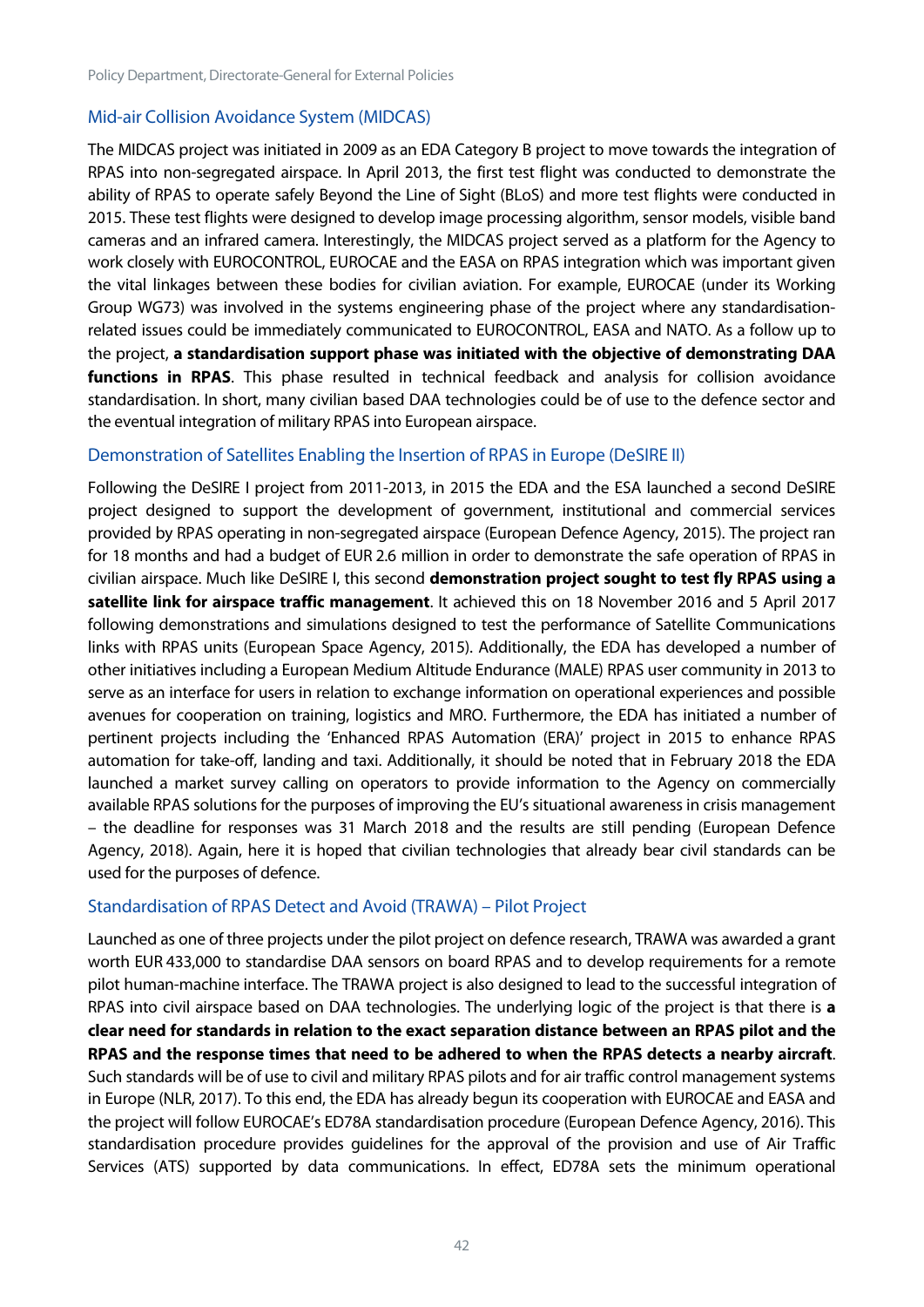#### Mid-air Collision Avoidance System (MIDCAS)

The MIDCAS project was initiated in 2009 as an EDA Category B project to move towards the integration of RPAS into non-segregated airspace. In April 2013, the first test flight was conducted to demonstrate the ability of RPAS to operate safely Beyond the Line of Sight (BLoS) and more test flights were conducted in 2015. These test flights were designed to develop image processing algorithm, sensor models, visible band cameras and an infrared camera. Interestingly, the MIDCAS project served as a platform for the Agency to work closely with EUROCONTROL, EUROCAE and the EASA on RPAS integration which was important given the vital linkages between these bodies for civilian aviation. For example, EUROCAE (under its Working Group WG73) was involved in the systems engineering phase of the project where any standardisationrelated issues could be immediately communicated to EUROCONTROL, EASA and NATO. As a follow up to the project, **a standardisation support phase was initiated with the objective of demonstrating DAA functions in RPAS**. This phase resulted in technical feedback and analysis for collision avoidance standardisation. In short, many civilian based DAA technologies could be of use to the defence sector and the eventual integration of military RPAS into European airspace.

#### Demonstration of Satellites Enabling the Insertion of RPAS in Europe (DeSIRE II)

Following the DeSIRE I project from 2011-2013, in 2015 the EDA and the ESA launched a second DeSIRE project designed to support the development of government, institutional and commercial services provided by RPAS operating in non-segregated airspace (European Defence Agency, 2015). The project ran for 18 months and had a budget of EUR 2.6 million in order to demonstrate the safe operation of RPAS in civilian airspace. Much like DeSIRE I, this second **demonstration project sought to test fly RPAS using a satellite link for airspace traffic management**. It achieved this on 18 November 2016 and 5 April 2017 following demonstrations and simulations designed to test the performance of Satellite Communications links with RPAS units (European Space Agency, 2015). Additionally, the EDA has developed a number of other initiatives including a European Medium Altitude Endurance (MALE) RPAS user community in 2013 to serve as an interface for users in relation to exchange information on operational experiences and possible avenues for cooperation on training, logistics and MRO. Furthermore, the EDA has initiated a number of pertinent projects including the 'Enhanced RPAS Automation (ERA)' project in 2015 to enhance RPAS automation for take-off, landing and taxi. Additionally, it should be noted that in February 2018 the EDA launched a market survey calling on operators to provide information to the Agency on commercially available RPAS solutions for the purposes of improving the EU's situational awareness in crisis management – the deadline for responses was 31 March 2018 and the results are still pending (European Defence Agency, 2018). Again, here it is hoped that civilian technologies that already bear civil standards can be used for the purposes of defence.

#### Standardisation of RPAS Detect and Avoid (TRAWA) – Pilot Project

Launched as one of three projects under the pilot project on defence research, TRAWA was awarded a grant worth EUR 433,000 to standardise DAA sensors on board RPAS and to develop requirements for a remote pilot human-machine interface. The TRAWA project is also designed to lead to the successful integration of RPAS into civil airspace based on DAA technologies. The underlying logic of the project is that there is **a clear need for standards in relation to the exact separation distance between an RPAS pilot and the RPAS and the response times that need to be adhered to when the RPAS detects a nearby aircraft**. Such standards will be of use to civil and military RPAS pilots and for air traffic control management systems in Europe (NLR, 2017). To this end, the EDA has already begun its cooperation with EUROCAE and EASA and the project will follow EUROCAE's ED78A standardisation procedure (European Defence Agency, 2016). This standardisation procedure provides guidelines for the approval of the provision and use of Air Traffic Services (ATS) supported by data communications. In effect, ED78A sets the minimum operational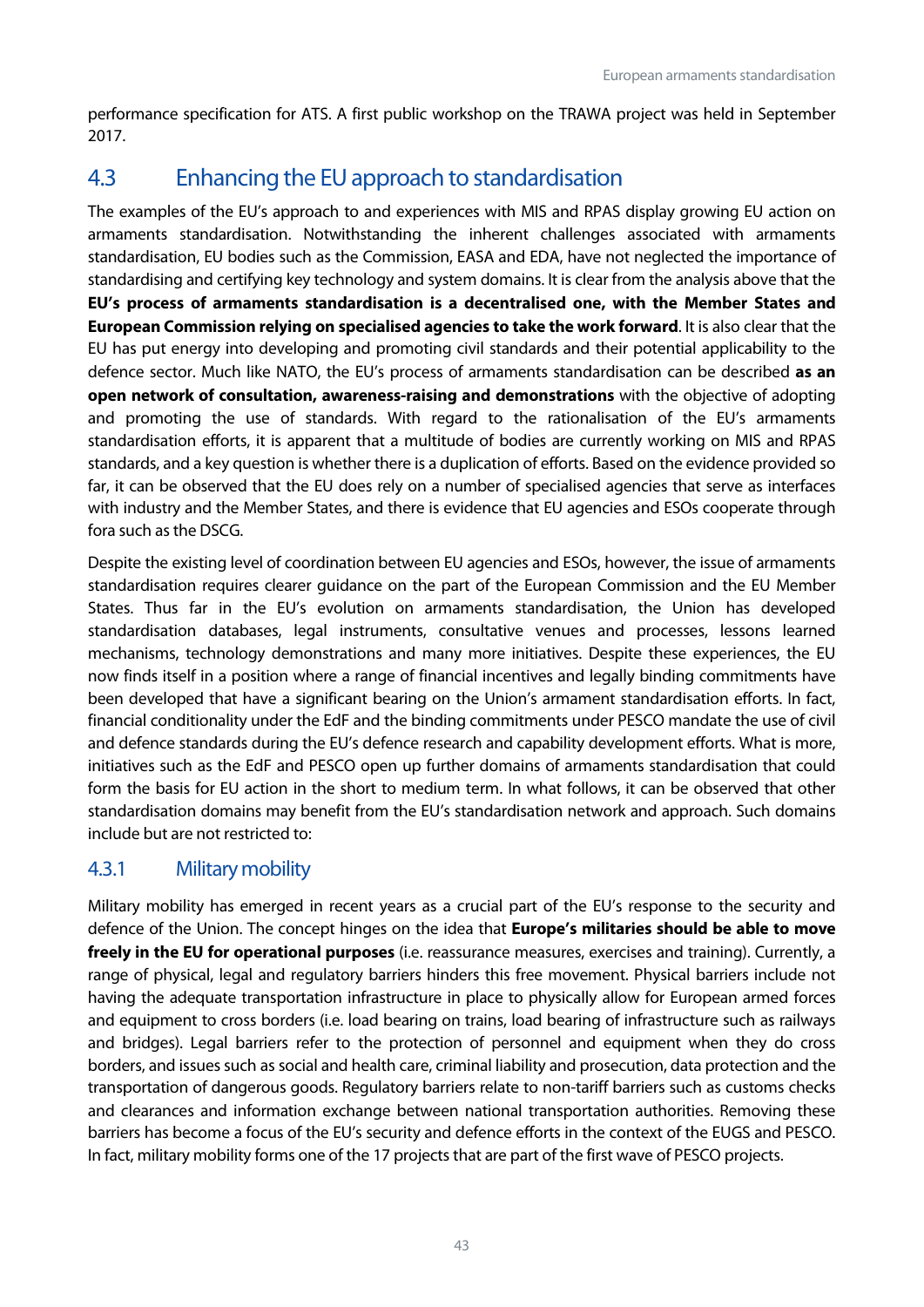performance specification for ATS. A first public workshop on the TRAWA project was held in September 2017.

## <span id="page-43-0"></span>4.3 Enhancing the EU approach to standardisation

The examples of the EU's approach to and experiences with MIS and RPAS display growing EU action on armaments standardisation. Notwithstanding the inherent challenges associated with armaments standardisation, EU bodies such as the Commission, EASA and EDA, have not neglected the importance of standardising and certifying key technology and system domains. It is clear from the analysis above that the **EU's process of armaments standardisation is a decentralised one, with the Member States and European Commission relying on specialised agencies to take the work forward**. It is also clear that the EU has put energy into developing and promoting civil standards and their potential applicability to the defence sector. Much like NATO, the EU's process of armaments standardisation can be described **as an open network of consultation, awareness-raising and demonstrations** with the objective of adopting and promoting the use of standards. With regard to the rationalisation of the EU's armaments standardisation efforts, it is apparent that a multitude of bodies are currently working on MIS and RPAS standards, and a key question is whether there is a duplication of efforts. Based on the evidence provided so far, it can be observed that the EU does rely on a number of specialised agencies that serve as interfaces with industry and the Member States, and there is evidence that EU agencies and ESOs cooperate through fora such as the DSCG.

Despite the existing level of coordination between EU agencies and ESOs, however, the issue of armaments standardisation requires clearer guidance on the part of the European Commission and the EU Member States. Thus far in the EU's evolution on armaments standardisation, the Union has developed standardisation databases, legal instruments, consultative venues and processes, lessons learned mechanisms, technology demonstrations and many more initiatives. Despite these experiences, the EU now finds itself in a position where a range of financial incentives and legally binding commitments have been developed that have a significant bearing on the Union's armament standardisation efforts. In fact, financial conditionality under the EdF and the binding commitments under PESCO mandate the use of civil and defence standards during the EU's defence research and capability development efforts. What is more, initiatives such as the EdF and PESCO open up further domains of armaments standardisation that could form the basis for EU action in the short to medium term. In what follows, it can be observed that other standardisation domains may benefit from the EU's standardisation network and approach. Such domains include but are not restricted to:

## <span id="page-43-1"></span>4.3.1 Military mobility

Military mobility has emerged in recent years as a crucial part of the EU's response to the security and defence of the Union. The concept hinges on the idea that **Europe's militaries should be able to move freely in the EU for operational purposes** (i.e. reassurance measures, exercises and training). Currently, a range of physical, legal and regulatory barriers hinders this free movement. Physical barriers include not having the adequate transportation infrastructure in place to physically allow for European armed forces and equipment to cross borders (i.e. load bearing on trains, load bearing of infrastructure such as railways and bridges). Legal barriers refer to the protection of personnel and equipment when they do cross borders, and issues such as social and health care, criminal liability and prosecution, data protection and the transportation of dangerous goods. Regulatory barriers relate to non-tariff barriers such as customs checks and clearances and information exchange between national transportation authorities. Removing these barriers has become a focus of the EU's security and defence efforts in the context of the EUGS and PESCO. In fact, military mobility forms one of the 17 projects that are part of the first wave of PESCO projects.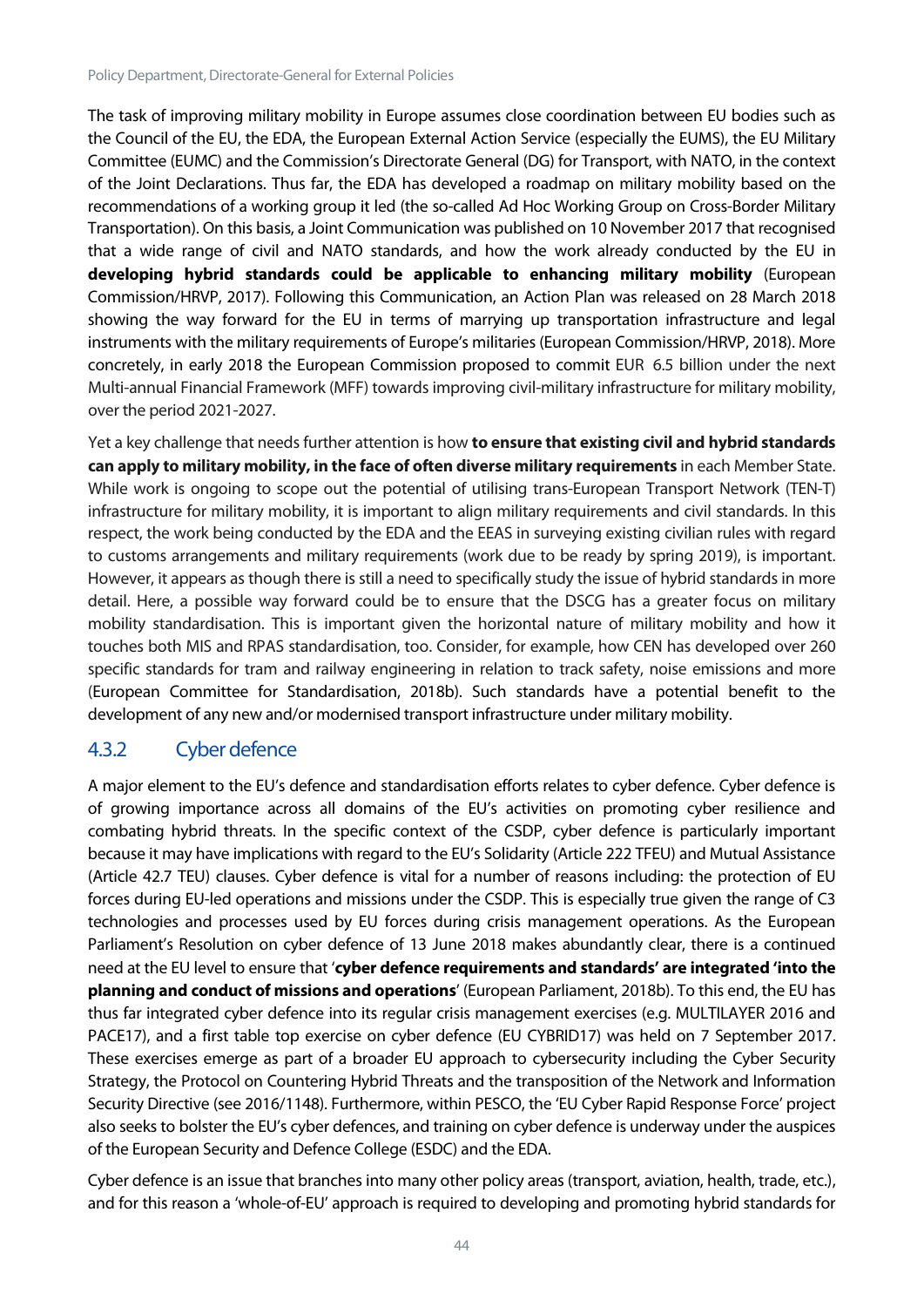The task of improving military mobility in Europe assumes close coordination between EU bodies such as the Council of the EU, the EDA, the European External Action Service (especially the EUMS), the EU Military Committee (EUMC) and the Commission's Directorate General (DG) for Transport, with NATO, in the context of the Joint Declarations. Thus far, the EDA has developed a roadmap on military mobility based on the recommendations of a working group it led (the so-called Ad Hoc Working Group on Cross-Border Military Transportation). On this basis, a Joint Communication was published on 10 November 2017 that recognised that a wide range of civil and NATO standards, and how the work already conducted by the EU in **developing hybrid standards could be applicable to enhancing military mobility** (European Commission/HRVP, 2017). Following this Communication, an Action Plan was released on 28 March 2018 showing the way forward for the EU in terms of marrying up transportation infrastructure and legal instruments with the military requirements of Europe's militaries (European Commission/HRVP, 2018). More concretely, in early 2018 the European Commission proposed to commit EUR 6.5 billion under the next Multi-annual Financial Framework (MFF) towards improving civil-military infrastructure for military mobility, over the period 2021-2027.

Yet a key challenge that needs further attention is how **to ensure that existing civil and hybrid standards can apply to military mobility, in the face of often diverse military requirements** in each Member State. While work is ongoing to scope out the potential of utilising trans-European Transport Network (TEN-T) infrastructure for military mobility, it is important to align military requirements and civil standards. In this respect, the work being conducted by the EDA and the EEAS in surveying existing civilian rules with regard to customs arrangements and military requirements (work due to be ready by spring 2019), is important. However, it appears as though there is still a need to specifically study the issue of hybrid standards in more detail. Here, a possible way forward could be to ensure that the DSCG has a greater focus on military mobility standardisation. This is important given the horizontal nature of military mobility and how it touches both MIS and RPAS standardisation, too. Consider, for example, how CEN has developed over 260 specific standards for tram and railway engineering in relation to track safety, noise emissions and more (European Committee for Standardisation, 2018b). Such standards have a potential benefit to the development of any new and/or modernised transport infrastructure under military mobility.

## <span id="page-44-0"></span>4.3.2 Cyber defence

A major element to the EU's defence and standardisation efforts relates to cyber defence. Cyber defence is of growing importance across all domains of the EU's activities on promoting cyber resilience and combating hybrid threats. In the specific context of the CSDP, cyber defence is particularly important because it may have implications with regard to the EU's Solidarity (Article 222 TFEU) and Mutual Assistance (Article 42.7 TEU) clauses. Cyber defence is vital for a number of reasons including: the protection of EU forces during EU-led operations and missions under the CSDP. This is especially true given the range of C3 technologies and processes used by EU forces during crisis management operations. As the European Parliament's Resolution on cyber defence of 13 June 2018 makes abundantly clear, there is a continued need at the EU level to ensure that '**cyber defence requirements and standards' are integrated 'into the planning and conduct of missions and operations**' (European Parliament, 2018b). To this end, the EU has thus far integrated cyber defence into its regular crisis management exercises (e.g. MULTILAYER 2016 and PACE17), and a first table top exercise on cyber defence (EU CYBRID17) was held on 7 September 2017. These exercises emerge as part of a broader EU approach to cybersecurity including the Cyber Security Strategy, the Protocol on Countering Hybrid Threats and the transposition of the Network and Information Security Directive (see 2016/1148). Furthermore, within PESCO, the 'EU Cyber Rapid Response Force' project also seeks to bolster the EU's cyber defences, and training on cyber defence is underway under the auspices of the European Security and Defence College (ESDC) and the EDA.

Cyber defence is an issue that branches into many other policy areas (transport, aviation, health, trade, etc.), and for this reason a 'whole-of-EU' approach is required to developing and promoting hybrid standards for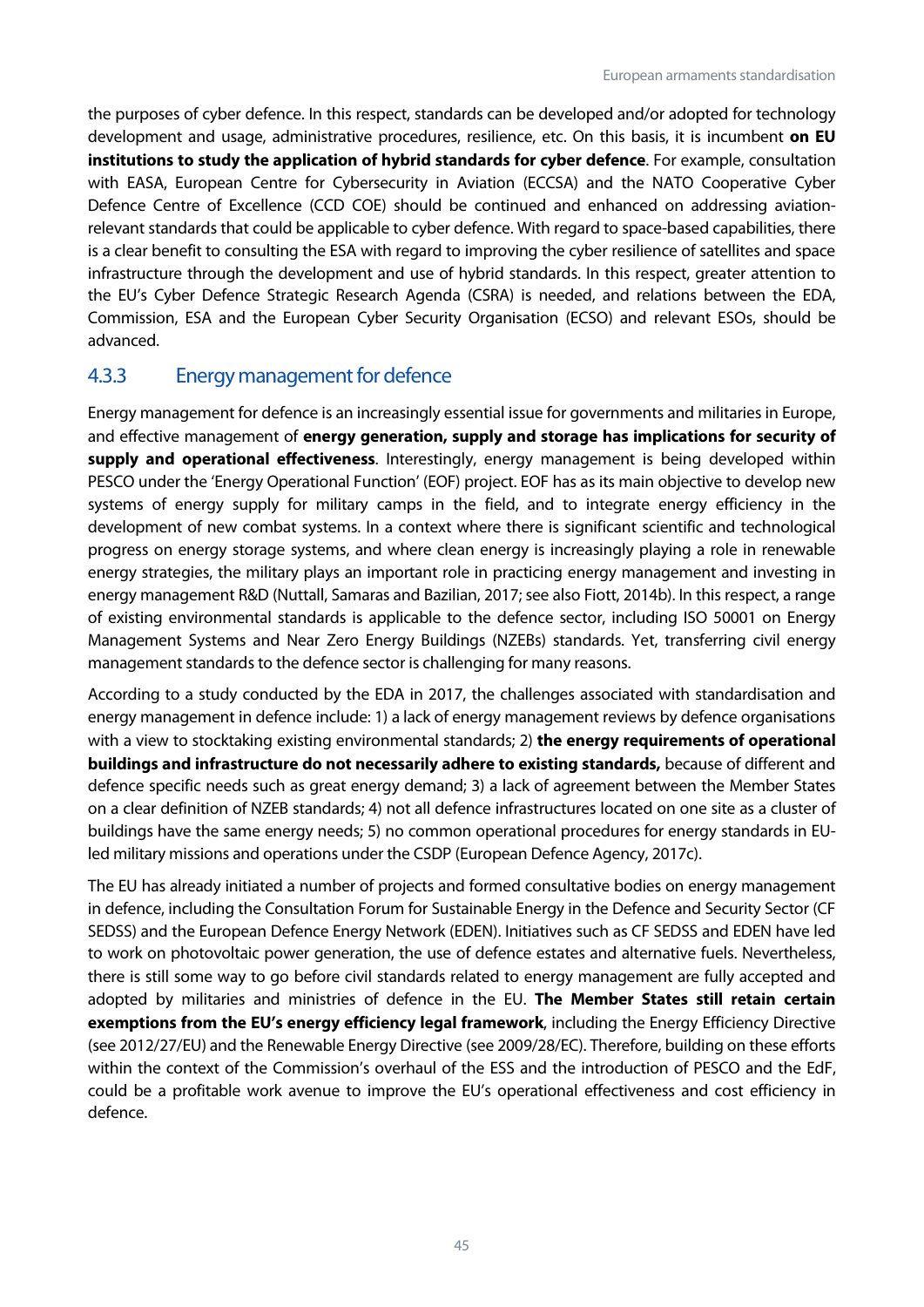the purposes of cyber defence. In this respect, standards can be developed and/or adopted for technology development and usage, administrative procedures, resilience, etc. On this basis, it is incumbent **on EU institutions to study the application of hybrid standards for cyber defence**. For example, consultation with EASA, European Centre for Cybersecurity in Aviation (ECCSA) and the NATO Cooperative Cyber Defence Centre of Excellence (CCD COE) should be continued and enhanced on addressing aviationrelevant standards that could be applicable to cyber defence. With regard to space-based capabilities, there is a clear benefit to consulting the ESA with regard to improving the cyber resilience of satellites and space infrastructure through the development and use of hybrid standards. In this respect, greater attention to the EU's Cyber Defence Strategic Research Agenda (CSRA) is needed, and relations between the EDA, Commission, ESA and the European Cyber Security Organisation (ECSO) and relevant ESOs, should be advanced.

#### <span id="page-45-0"></span>4.3.3 Energy management for defence

Energy management for defence is an increasingly essential issue for governments and militaries in Europe, and effective management of **energy generation, supply and storage has implications for security of supply and operational effectiveness**. Interestingly, energy management is being developed within PESCO under the 'Energy Operational Function' (EOF) project. EOF has as its main objective to develop new systems of energy supply for military camps in the field, and to integrate energy efficiency in the development of new combat systems. In a context where there is significant scientific and technological progress on energy storage systems, and where clean energy is increasingly playing a role in renewable energy strategies, the military plays an important role in practicing energy management and investing in energy management R&D (Nuttall, Samaras and Bazilian, 2017; see also Fiott, 2014b). In this respect, a range of existing environmental standards is applicable to the defence sector, including ISO 50001 on Energy Management Systems and Near Zero Energy Buildings (NZEBs) standards. Yet, transferring civil energy management standards to the defence sector is challenging for many reasons.

According to a study conducted by the EDA in 2017, the challenges associated with standardisation and energy management in defence include: 1) a lack of energy management reviews by defence organisations with a view to stocktaking existing environmental standards; 2) **the energy requirements of operational buildings and infrastructure do not necessarily adhere to existing standards,** because of different and defence specific needs such as great energy demand; 3) a lack of agreement between the Member States on a clear definition of NZEB standards; 4) not all defence infrastructures located on one site as a cluster of buildings have the same energy needs; 5) no common operational procedures for energy standards in EUled military missions and operations under the CSDP (European Defence Agency, 2017c).

<span id="page-45-1"></span>The EU has already initiated a number of projects and formed consultative bodies on energy management in defence, including the Consultation Forum for Sustainable Energy in the Defence and Security Sector (CF SEDSS) and the European Defence Energy Network (EDEN). Initiatives such as CF SEDSS and EDEN have led to work on photovoltaic power generation, the use of defence estates and alternative fuels. Nevertheless, there is still some way to go before civil standards related to energy management are fully accepted and adopted by militaries and ministries of defence in the EU. **The Member States still retain certain exemptions from the EU's energy efficiency legal framework**, including the Energy Efficiency Directive (see 2012/27/EU) and the Renewable Energy Directive (see 2009/28/EC). Therefore, building on these efforts within the context of the Commission's overhaul of the ESS and the introduction of PESCO and the EdF, could be a profitable work avenue to improve the EU's operational effectiveness and cost efficiency in defence.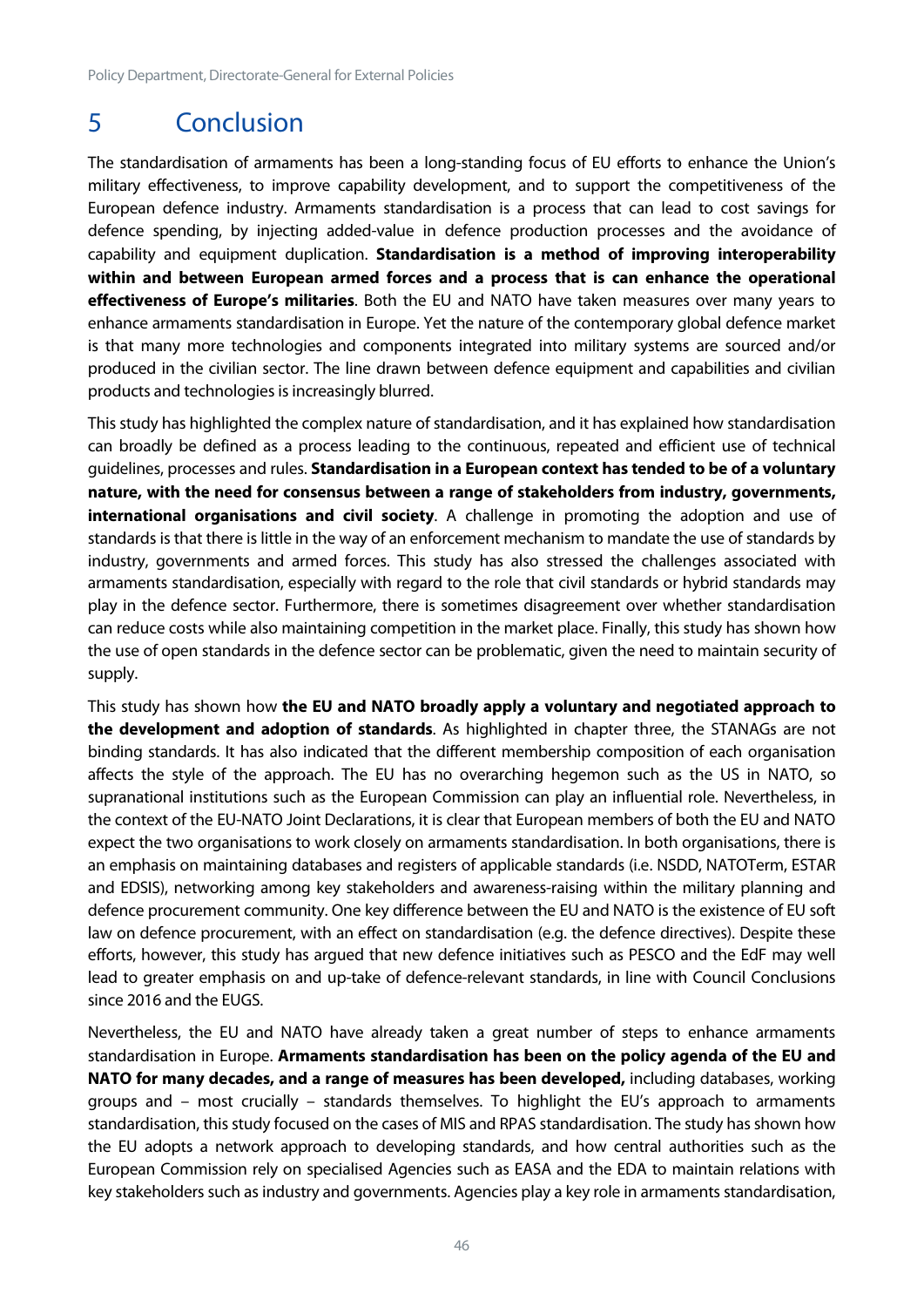Policy Department, Directorate-General for External Policies

## 5 Conclusion

The standardisation of armaments has been a long-standing focus of EU efforts to enhance the Union's military effectiveness, to improve capability development, and to support the competitiveness of the European defence industry. Armaments standardisation is a process that can lead to cost savings for defence spending, by injecting added-value in defence production processes and the avoidance of capability and equipment duplication. **Standardisation is a method of improving interoperability within and between European armed forces and a process that is can enhance the operational effectiveness of Europe's militaries**. Both the EU and NATO have taken measures over many years to enhance armaments standardisation in Europe. Yet the nature of the contemporary global defence market is that many more technologies and components integrated into military systems are sourced and/or produced in the civilian sector. The line drawn between defence equipment and capabilities and civilian products and technologies is increasingly blurred.

This study has highlighted the complex nature of standardisation, and it has explained how standardisation can broadly be defined as a process leading to the continuous, repeated and efficient use of technical guidelines, processes and rules. **Standardisation in a European context has tended to be of a voluntary nature, with the need for consensus between a range of stakeholders from industry, governments, international organisations and civil society**. A challenge in promoting the adoption and use of standards is that there is little in the way of an enforcement mechanism to mandate the use of standards by industry, governments and armed forces. This study has also stressed the challenges associated with armaments standardisation, especially with regard to the role that civil standards or hybrid standards may play in the defence sector. Furthermore, there is sometimes disagreement over whether standardisation can reduce costs while also maintaining competition in the market place. Finally, this study has shown how the use of open standards in the defence sector can be problematic, given the need to maintain security of supply.

This study has shown how **the EU and NATO broadly apply a voluntary and negotiated approach to the development and adoption of standards**. As highlighted in chapter three, the STANAGs are not binding standards. It has also indicated that the different membership composition of each organisation affects the style of the approach. The EU has no overarching hegemon such as the US in NATO, so supranational institutions such as the European Commission can play an influential role. Nevertheless, in the context of the EU-NATO Joint Declarations, it is clear that European members of both the EU and NATO expect the two organisations to work closely on armaments standardisation. In both organisations, there is an emphasis on maintaining databases and registers of applicable standards (i.e. NSDD, NATOTerm, ESTAR and EDSIS), networking among key stakeholders and awareness-raising within the military planning and defence procurement community. One key difference between the EU and NATO is the existence of EU soft law on defence procurement, with an effect on standardisation (e.g. the defence directives). Despite these efforts, however, this study has argued that new defence initiatives such as PESCO and the EdF may well lead to greater emphasis on and up-take of defence-relevant standards, in line with Council Conclusions since 2016 and the EUGS.

Nevertheless, the EU and NATO have already taken a great number of steps to enhance armaments standardisation in Europe. **Armaments standardisation has been on the policy agenda of the EU and NATO for many decades, and a range of measures has been developed,** including databases, working groups and – most crucially – standards themselves. To highlight the EU's approach to armaments standardisation, this study focused on the cases of MIS and RPAS standardisation. The study has shown how the EU adopts a network approach to developing standards, and how central authorities such as the European Commission rely on specialised Agencies such as EASA and the EDA to maintain relations with key stakeholders such as industry and governments. Agencies play a key role in armaments standardisation,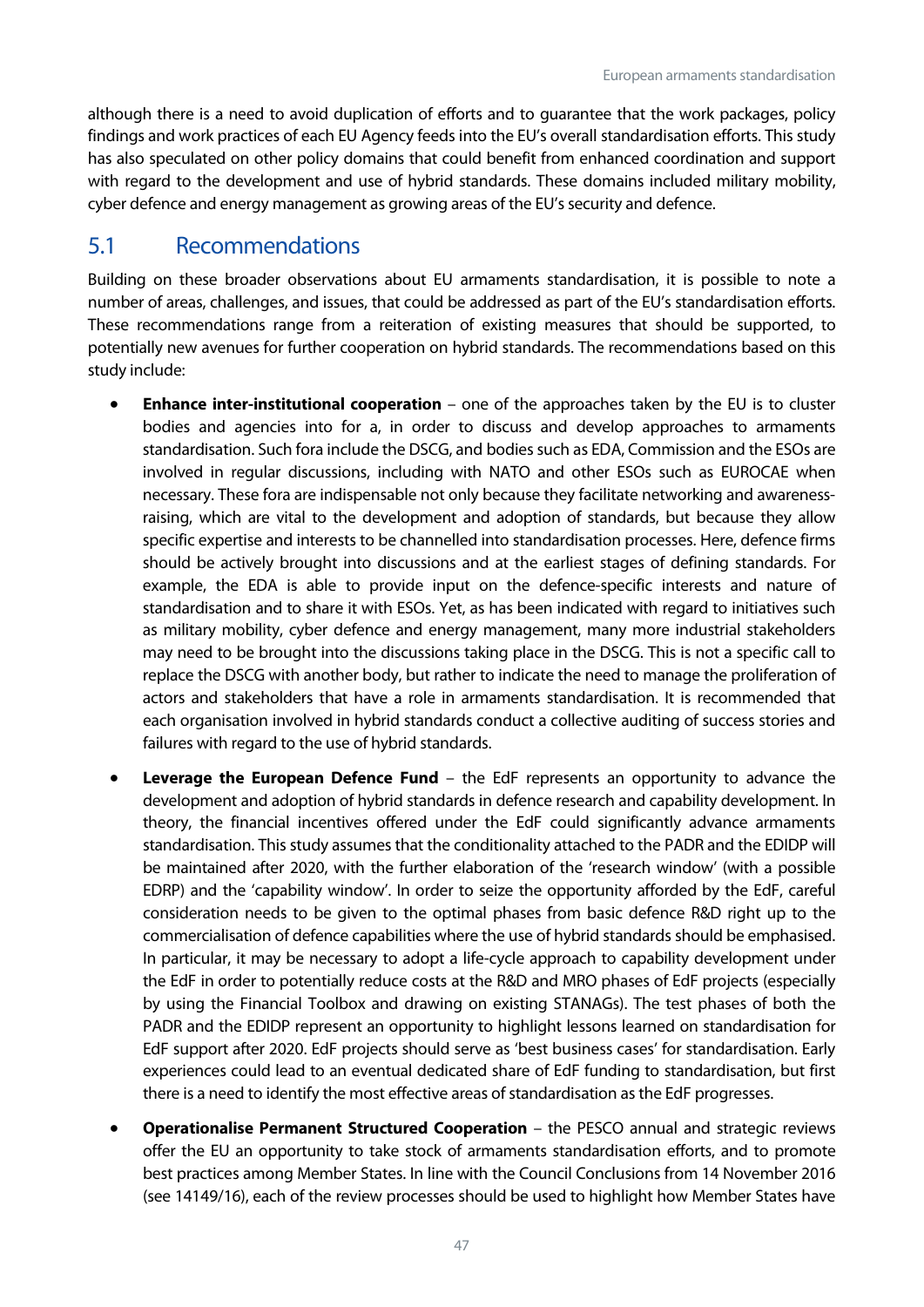although there is a need to avoid duplication of efforts and to guarantee that the work packages, policy findings and work practices of each EU Agency feeds into the EU's overall standardisation efforts. This study has also speculated on other policy domains that could benefit from enhanced coordination and support with regard to the development and use of hybrid standards. These domains included military mobility, cyber defence and energy management as growing areas of the EU's security and defence.

## <span id="page-47-0"></span>5.1 Recommendations

Building on these broader observations about EU armaments standardisation, it is possible to note a number of areas, challenges, and issues, that could be addressed as part of the EU's standardisation efforts. These recommendations range from a reiteration of existing measures that should be supported, to potentially new avenues for further cooperation on hybrid standards. The recommendations based on this study include:

- **Enhance inter-institutional cooperation** one of the approaches taken by the EU is to cluster bodies and agencies into for a, in order to discuss and develop approaches to armaments standardisation. Such fora include the DSCG, and bodies such as EDA, Commission and the ESOs are involved in regular discussions, including with NATO and other ESOs such as EUROCAE when necessary. These fora are indispensable not only because they facilitate networking and awarenessraising, which are vital to the development and adoption of standards, but because they allow specific expertise and interests to be channelled into standardisation processes. Here, defence firms should be actively brought into discussions and at the earliest stages of defining standards. For example, the EDA is able to provide input on the defence-specific interests and nature of standardisation and to share it with ESOs. Yet, as has been indicated with regard to initiatives such as military mobility, cyber defence and energy management, many more industrial stakeholders may need to be brought into the discussions taking place in the DSCG. This is not a specific call to replace the DSCG with another body, but rather to indicate the need to manage the proliferation of actors and stakeholders that have a role in armaments standardisation. It is recommended that each organisation involved in hybrid standards conduct a collective auditing of success stories and failures with regard to the use of hybrid standards.
- **Leverage the European Defence Fund** the EdF represents an opportunity to advance the development and adoption of hybrid standards in defence research and capability development. In theory, the financial incentives offered under the EdF could significantly advance armaments standardisation. This study assumes that the conditionality attached to the PADR and the EDIDP will be maintained after 2020, with the further elaboration of the 'research window' (with a possible EDRP) and the 'capability window'. In order to seize the opportunity afforded by the EdF, careful consideration needs to be given to the optimal phases from basic defence R&D right up to the commercialisation of defence capabilities where the use of hybrid standards should be emphasised. In particular, it may be necessary to adopt a life-cycle approach to capability development under the EdF in order to potentially reduce costs at the R&D and MRO phases of EdF projects (especially by using the Financial Toolbox and drawing on existing STANAGs). The test phases of both the PADR and the EDIDP represent an opportunity to highlight lessons learned on standardisation for EdF support after 2020. EdF projects should serve as 'best business cases' for standardisation. Early experiences could lead to an eventual dedicated share of EdF funding to standardisation, but first there is a need to identify the most effective areas of standardisation as the EdF progresses.
- **Operationalise Permanent Structured Cooperation** the PESCO annual and strategic reviews offer the EU an opportunity to take stock of armaments standardisation efforts, and to promote best practices among Member States. In line with the Council Conclusions from 14 November 2016 (see 14149/16), each of the review processes should be used to highlight how Member States have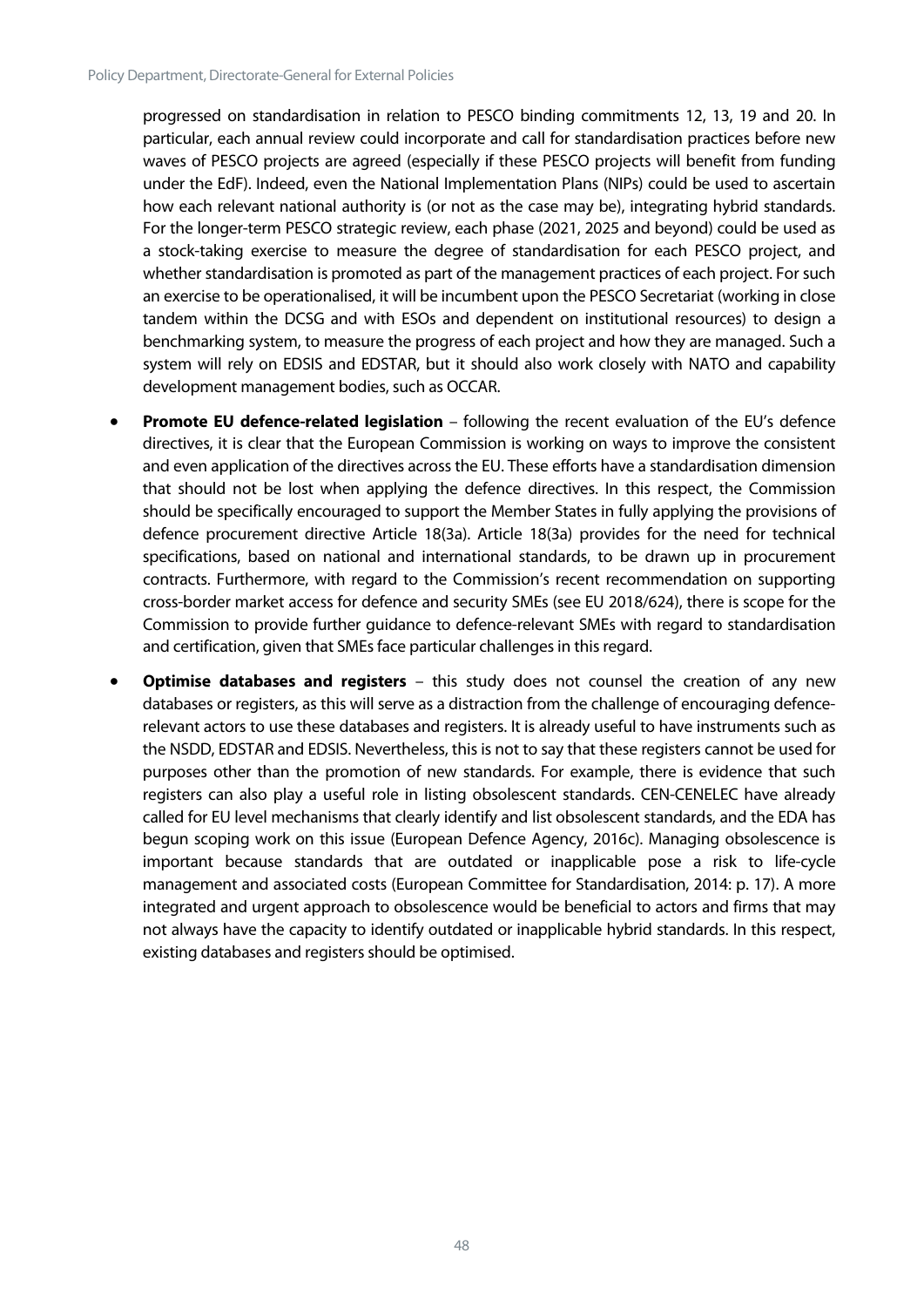progressed on standardisation in relation to PESCO binding commitments 12, 13, 19 and 20. In particular, each annual review could incorporate and call for standardisation practices before new waves of PESCO projects are agreed (especially if these PESCO projects will benefit from funding under the EdF). Indeed, even the National Implementation Plans (NIPs) could be used to ascertain how each relevant national authority is (or not as the case may be), integrating hybrid standards. For the longer-term PESCO strategic review, each phase (2021, 2025 and beyond) could be used as a stock-taking exercise to measure the degree of standardisation for each PESCO project, and whether standardisation is promoted as part of the management practices of each project. For such an exercise to be operationalised, it will be incumbent upon the PESCO Secretariat (working in close tandem within the DCSG and with ESOs and dependent on institutional resources) to design a benchmarking system, to measure the progress of each project and how they are managed. Such a system will rely on EDSIS and EDSTAR, but it should also work closely with NATO and capability development management bodies, such as OCCAR.

- **Promote EU defence-related legislation**  following the recent evaluation of the EU's defence directives, it is clear that the European Commission is working on ways to improve the consistent and even application of the directives across the EU. These efforts have a standardisation dimension that should not be lost when applying the defence directives. In this respect, the Commission should be specifically encouraged to support the Member States in fully applying the provisions of defence procurement directive Article 18(3a). Article 18(3a) provides for the need for technical specifications, based on national and international standards, to be drawn up in procurement contracts. Furthermore, with regard to the Commission's recent recommendation on supporting cross-border market access for defence and security SMEs (see EU 2018/624), there is scope for the Commission to provide further guidance to defence-relevant SMEs with regard to standardisation and certification, given that SMEs face particular challenges in this regard.
- **Optimise databases and registers** this study does not counsel the creation of any new databases or registers, as this will serve as a distraction from the challenge of encouraging defencerelevant actors to use these databases and registers. It is already useful to have instruments such as the NSDD, EDSTAR and EDSIS. Nevertheless, this is not to say that these registers cannot be used for purposes other than the promotion of new standards. For example, there is evidence that such registers can also play a useful role in listing obsolescent standards. CEN-CENELEC have already called for EU level mechanisms that clearly identify and list obsolescent standards, and the EDA has begun scoping work on this issue (European Defence Agency, 2016c). Managing obsolescence is important because standards that are outdated or inapplicable pose a risk to life-cycle management and associated costs (European Committee for Standardisation, 2014: p. 17). A more integrated and urgent approach to obsolescence would be beneficial to actors and firms that may not always have the capacity to identify outdated or inapplicable hybrid standards. In this respect, existing databases and registers should be optimised.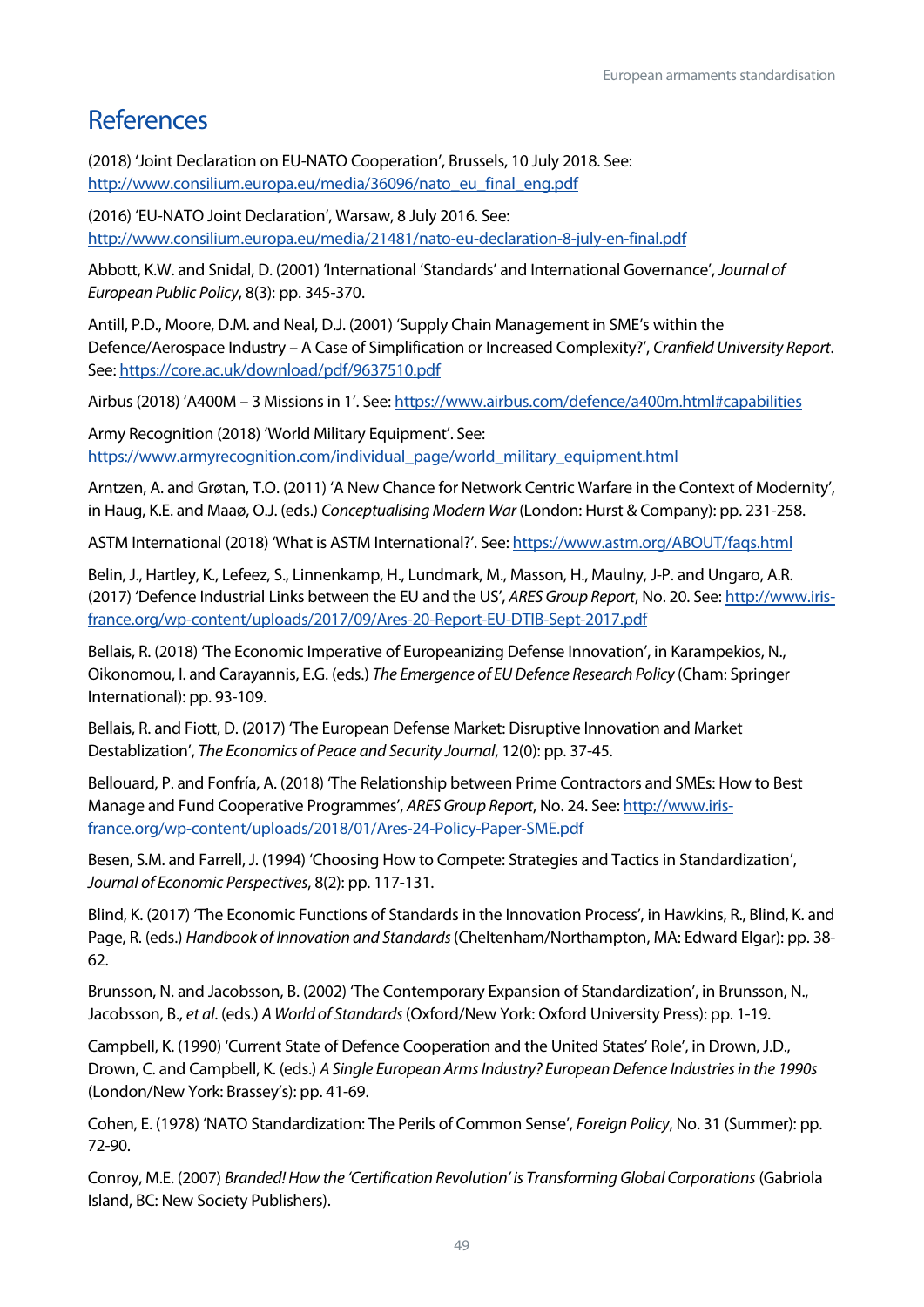## <span id="page-49-0"></span>References

(2018) 'Joint Declaration on EU-NATO Cooperation', Brussels, 10 July 2018. See: [http://www.consilium.europa.eu/media/36096/nato\\_eu\\_final\\_eng.pdf](http://www.consilium.europa.eu/media/36096/nato_eu_final_eng.pdf)

(2016) 'EU-NATO Joint Declaration', Warsaw, 8 July 2016. See: <http://www.consilium.europa.eu/media/21481/nato-eu-declaration-8-july-en-final.pdf>

Abbott, K.W. and Snidal, D. (2001) 'International 'Standards' and International Governance', *Journal of European Public Policy*, 8(3): pp. 345-370.

Antill, P.D., Moore, D.M. and Neal, D.J. (2001) 'Supply Chain Management in SME's within the Defence/Aerospace Industry – A Case of Simplification or Increased Complexity?', *Cranfield University Report*. See[: https://core.ac.uk/download/pdf/9637510.pdf](https://core.ac.uk/download/pdf/9637510.pdf)

Airbus (2018) 'A400M – 3 Missions in 1'. See[: https://www.airbus.com/defence/a400m.html#capabilities](https://www.airbus.com/defence/a400m.html#capabilities) 

Army Recognition (2018) 'World Military Equipment'. See: [https://www.armyrecognition.com/individual\\_page/world\\_military\\_equipment.html](https://www.armyrecognition.com/individual_page/world_military_equipment.html)

Arntzen, A. and Grøtan, T.O. (2011) 'A New Chance for Network Centric Warfare in the Context of Modernity', in Haug, K.E. and Maaø, O.J. (eds.) *Conceptualising Modern War* (London: Hurst & Company): pp. 231-258.

ASTM International (2018) 'What is ASTM International?'. See: <https://www.astm.org/ABOUT/faqs.html>

Belin, J., Hartley, K., Lefeez, S., Linnenkamp, H., Lundmark, M., Masson, H., Maulny, J-P. and Ungaro, A.R. (2017) 'Defence Industrial Links between the EU and the US', *ARES Group Report*, No. 20. See[: http://www.iris](http://www.iris-france.org/wp-content/uploads/2017/09/Ares-20-Report-EU-DTIB-Sept-2017.pdf)[france.org/wp-content/uploads/2017/09/Ares-20-Report-EU-DTIB-Sept-2017.pdf](http://www.iris-france.org/wp-content/uploads/2017/09/Ares-20-Report-EU-DTIB-Sept-2017.pdf)

Bellais, R. (2018) 'The Economic Imperative of Europeanizing Defense Innovation', in Karampekios, N., Oikonomou, I. and Carayannis, E.G. (eds.) *The Emergence of EU Defence Research Policy* (Cham: Springer International): pp. 93-109.

Bellais, R. and Fiott, D. (2017) 'The European Defense Market: Disruptive Innovation and Market Destablization', *The Economics of Peace and Security Journal*, 12(0): pp. 37-45.

Bellouard, P. and Fonfría, A. (2018) 'The Relationship between Prime Contractors and SMEs: How to Best Manage and Fund Cooperative Programmes', *ARES Group Report*, No. 24. See[: http://www.iris](http://www.iris-france.org/wp-content/uploads/2018/01/Ares-24-Policy-Paper-SME.pdf)[france.org/wp-content/uploads/2018/01/Ares-24-Policy-Paper-SME.pdf](http://www.iris-france.org/wp-content/uploads/2018/01/Ares-24-Policy-Paper-SME.pdf)

Besen, S.M. and Farrell, J. (1994) 'Choosing How to Compete: Strategies and Tactics in Standardization', *Journal of Economic Perspectives*, 8(2): pp. 117-131.

Blind, K. (2017) 'The Economic Functions of Standards in the Innovation Process', in Hawkins, R., Blind, K. and Page, R. (eds.) *Handbook of Innovation and Standards* (Cheltenham/Northampton, MA: Edward Elgar): pp. 38- 62.

Brunsson, N. and Jacobsson, B. (2002) 'The Contemporary Expansion of Standardization', in Brunsson, N., Jacobsson, B., *et al*. (eds.) *A World of Standards* (Oxford/New York: Oxford University Press): pp. 1-19.

Campbell, K. (1990) 'Current State of Defence Cooperation and the United States' Role', in Drown, J.D., Drown, C. and Campbell, K. (eds.) *A Single European Arms Industry? European Defence Industries in the 1990s* (London/New York: Brassey's): pp. 41-69.

Cohen, E. (1978) 'NATO Standardization: The Perils of Common Sense', *Foreign Policy*, No. 31 (Summer): pp. 72-90.

Conroy, M.E. (2007) *Branded! How the 'Certification Revolution' is Transforming Global Corporations* (Gabriola Island, BC: New Society Publishers).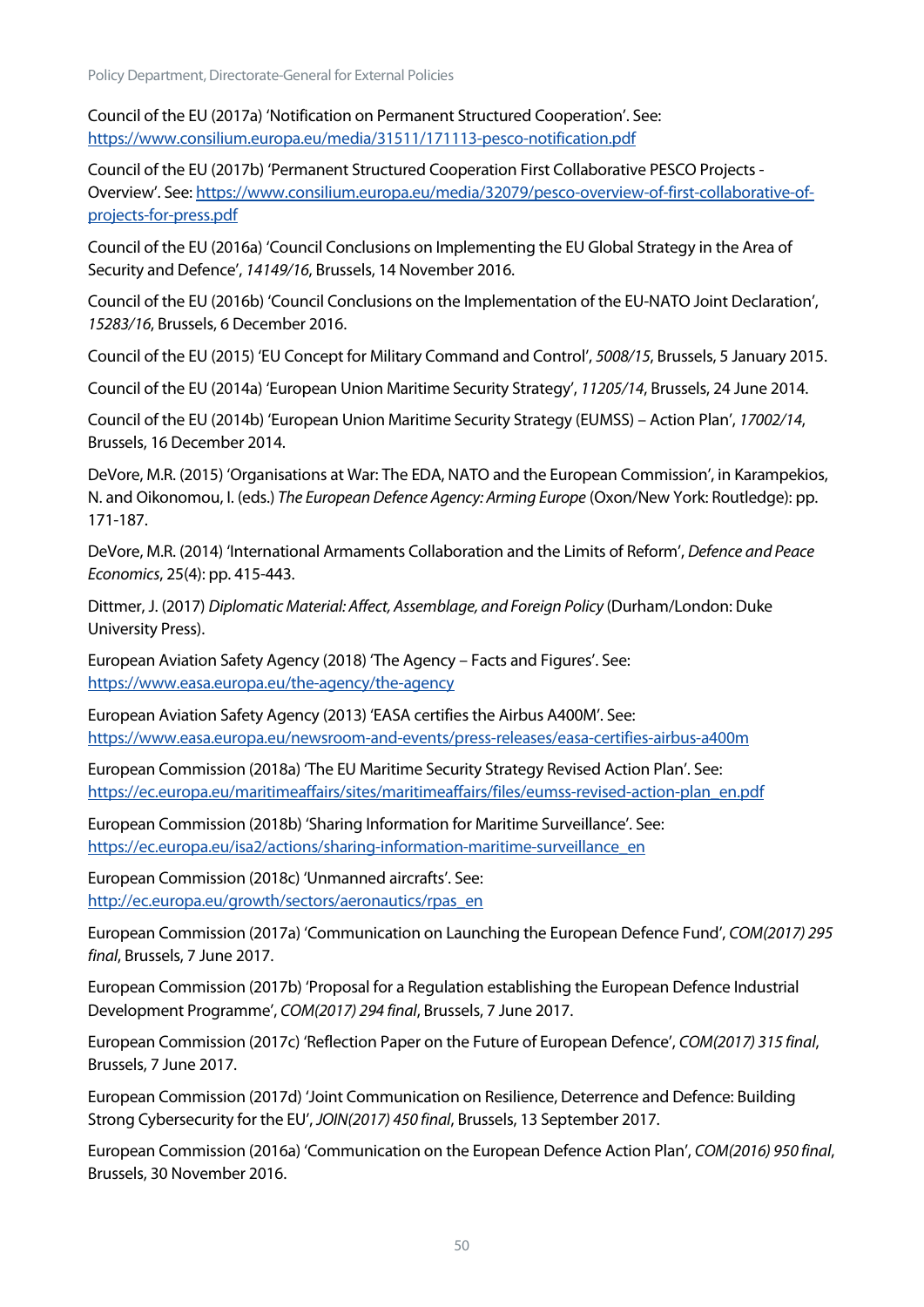Policy Department, Directorate-General for External Policies

Council of the EU (2017a) 'Notification on Permanent Structured Cooperation'. See: <https://www.consilium.europa.eu/media/31511/171113-pesco-notification.pdf>

Council of the EU (2017b) 'Permanent Structured Cooperation First Collaborative PESCO Projects - Overview'. See[: https://www.consilium.europa.eu/media/32079/pesco-overview-of-first-collaborative-of](https://www.consilium.europa.eu/media/32079/pesco-overview-of-first-collaborative-of-projects-for-press.pdf)[projects-for-press.pdf](https://www.consilium.europa.eu/media/32079/pesco-overview-of-first-collaborative-of-projects-for-press.pdf)

Council of the EU (2016a) 'Council Conclusions on Implementing the EU Global Strategy in the Area of Security and Defence', *14149/16*, Brussels, 14 November 2016.

Council of the EU (2016b) 'Council Conclusions on the Implementation of the EU-NATO Joint Declaration', *15283/16*, Brussels, 6 December 2016.

Council of the EU (2015) 'EU Concept for Military Command and Control', *5008/15*, Brussels, 5 January 2015.

Council of the EU (2014a) 'European Union Maritime Security Strategy', *11205/14*, Brussels, 24 June 2014.

Council of the EU (2014b) 'European Union Maritime Security Strategy (EUMSS) – Action Plan', *17002/14*, Brussels, 16 December 2014.

DeVore, M.R. (2015) 'Organisations at War: The EDA, NATO and the European Commission', in Karampekios, N. and Oikonomou, I. (eds.) *The European Defence Agency: Arming Europe* (Oxon/New York: Routledge): pp. 171-187.

DeVore, M.R. (2014) 'International Armaments Collaboration and the Limits of Reform', *Defence and Peace Economics*, 25(4): pp. 415-443.

Dittmer, J. (2017) *Diplomatic Material: Affect, Assemblage, and Foreign Policy* (Durham/London: Duke University Press).

European Aviation Safety Agency (2018) 'The Agency – Facts and Figures'. See: <https://www.easa.europa.eu/the-agency/the-agency>

European Aviation Safety Agency (2013) 'EASA certifies the Airbus A400M'. See: <https://www.easa.europa.eu/newsroom-and-events/press-releases/easa-certifies-airbus-a400m>

European Commission (2018a) 'The EU Maritime Security Strategy Revised Action Plan'. See: [https://ec.europa.eu/maritimeaffairs/sites/maritimeaffairs/files/eumss-revised-action-plan\\_en.pdf](https://ec.europa.eu/maritimeaffairs/sites/maritimeaffairs/files/eumss-revised-action-plan_en.pdf)

European Commission (2018b) 'Sharing Information for Maritime Surveillance'. See: [https://ec.europa.eu/isa2/actions/sharing-information-maritime-surveillance\\_en](https://ec.europa.eu/isa2/actions/sharing-information-maritime-surveillance_en)

European Commission (2018c) 'Unmanned aircrafts'. See: [http://ec.europa.eu/growth/sectors/aeronautics/rpas\\_en](http://ec.europa.eu/growth/sectors/aeronautics/rpas_en)

European Commission (2017a) 'Communication on Launching the European Defence Fund', *COM(2017) 295 final*, Brussels, 7 June 2017.

European Commission (2017b) 'Proposal for a Regulation establishing the European Defence Industrial Development Programme', *COM(2017) 294 final*, Brussels, 7 June 2017.

European Commission (2017c) 'Reflection Paper on the Future of European Defence', *COM(2017) 315 final*, Brussels, 7 June 2017.

European Commission (2017d) 'Joint Communication on Resilience, Deterrence and Defence: Building Strong Cybersecurity for the EU', *JOIN(2017) 450 final*, Brussels, 13 September 2017.

European Commission (2016a) 'Communication on the European Defence Action Plan', *COM(2016) 950 final*, Brussels, 30 November 2016.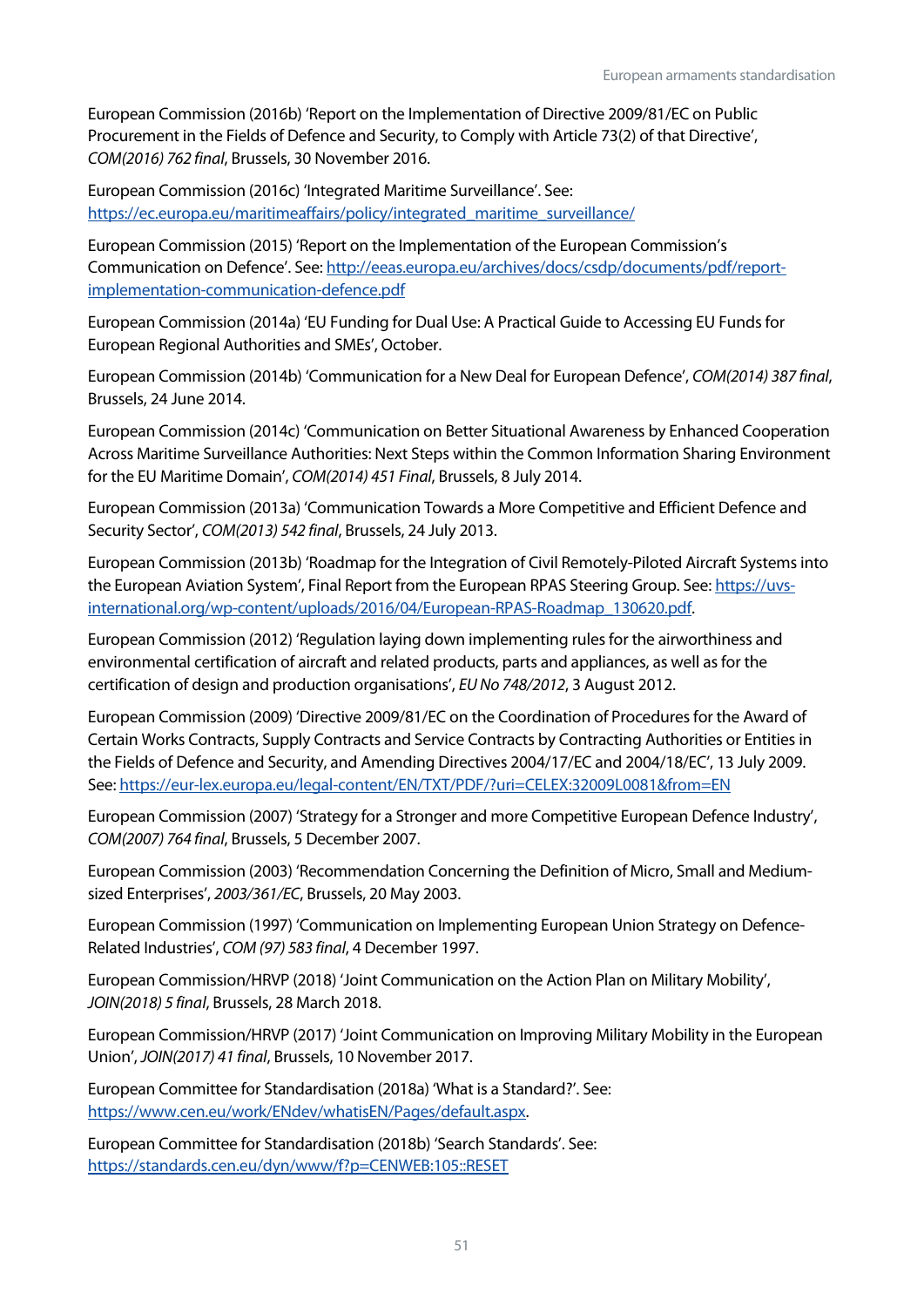European Commission (2016b) 'Report on the Implementation of Directive 2009/81/EC on Public Procurement in the Fields of Defence and Security, to Comply with Article 73(2) of that Directive', *COM(2016) 762 final*, Brussels, 30 November 2016.

European Commission (2016c) 'Integrated Maritime Surveillance'. See: [https://ec.europa.eu/maritimeaffairs/policy/integrated\\_maritime\\_surveillance/](https://ec.europa.eu/maritimeaffairs/policy/integrated_maritime_surveillance/) 

European Commission (2015) 'Report on the Implementation of the European Commission's Communication on Defence'. See[: http://eeas.europa.eu/archives/docs/csdp/documents/pdf/report](http://eeas.europa.eu/archives/docs/csdp/documents/pdf/report-implementation-communication-defence.pdf)[implementation-communication-defence.pdf](http://eeas.europa.eu/archives/docs/csdp/documents/pdf/report-implementation-communication-defence.pdf)

European Commission (2014a) 'EU Funding for Dual Use: A Practical Guide to Accessing EU Funds for European Regional Authorities and SMEs', October.

European Commission (2014b) 'Communication for a New Deal for European Defence', *COM(2014) 387 final*, Brussels, 24 June 2014.

European Commission (2014c) 'Communication on Better Situational Awareness by Enhanced Cooperation Across Maritime Surveillance Authorities: Next Steps within the Common Information Sharing Environment for the EU Maritime Domain', *COM(2014) 451 Final*, Brussels, 8 July 2014.

European Commission (2013a) 'Communication Towards a More Competitive and Efficient Defence and Security Sector', *COM(2013) 542 final*, Brussels, 24 July 2013.

European Commission (2013b) 'Roadmap for the Integration of Civil Remotely-Piloted Aircraft Systems into the European Aviation System', Final Report from the European RPAS Steering Group. See: [https://uvs](https://uvs-international.org/wp-content/uploads/2016/04/European-RPAS-Roadmap_130620.pdf)[international.org/wp-content/uploads/2016/04/European-RPAS-Roadmap\\_130620.pdf.](https://uvs-international.org/wp-content/uploads/2016/04/European-RPAS-Roadmap_130620.pdf) 

European Commission (2012) 'Regulation laying down implementing rules for the airworthiness and environmental certification of aircraft and related products, parts and appliances, as well as for the certification of design and production organisations', *EU No 748/2012*, 3 August 2012.

European Commission (2009) 'Directive 2009/81/EC on the Coordination of Procedures for the Award of Certain Works Contracts, Supply Contracts and Service Contracts by Contracting Authorities or Entities in the Fields of Defence and Security, and Amending Directives 2004/17/EC and 2004/18/EC', 13 July 2009. See[: https://eur-lex.europa.eu/legal-content/EN/TXT/PDF/?uri=CELEX:32009L0081&from=EN](https://eur-lex.europa.eu/legal-content/EN/TXT/PDF/?uri=CELEX:32009L0081&from=EN)

European Commission (2007) 'Strategy for a Stronger and more Competitive European Defence Industry', *COM(2007) 764 final*, Brussels, 5 December 2007.

European Commission (2003) 'Recommendation Concerning the Definition of Micro, Small and Mediumsized Enterprises', *2003/361/EC*, Brussels, 20 May 2003.

European Commission (1997) 'Communication on Implementing European Union Strategy on Defence-Related Industries', *COM (97) 583 final*, 4 December 1997.

European Commission/HRVP (2018) 'Joint Communication on the Action Plan on Military Mobility', *JOIN(2018) 5 final*, Brussels, 28 March 2018.

European Commission/HRVP (2017) 'Joint Communication on Improving Military Mobility in the European Union', *JOIN(2017) 41 final*, Brussels, 10 November 2017.

European Committee for Standardisation (2018a) 'What is a Standard?'. See: [https://www.cen.eu/work/ENdev/whatisEN/Pages/default.aspx.](https://www.cen.eu/work/ENdev/whatisEN/Pages/default.aspx) 

European Committee for Standardisation (2018b) 'Search Standards'. See: <https://standards.cen.eu/dyn/www/f?p=CENWEB:105::RESET>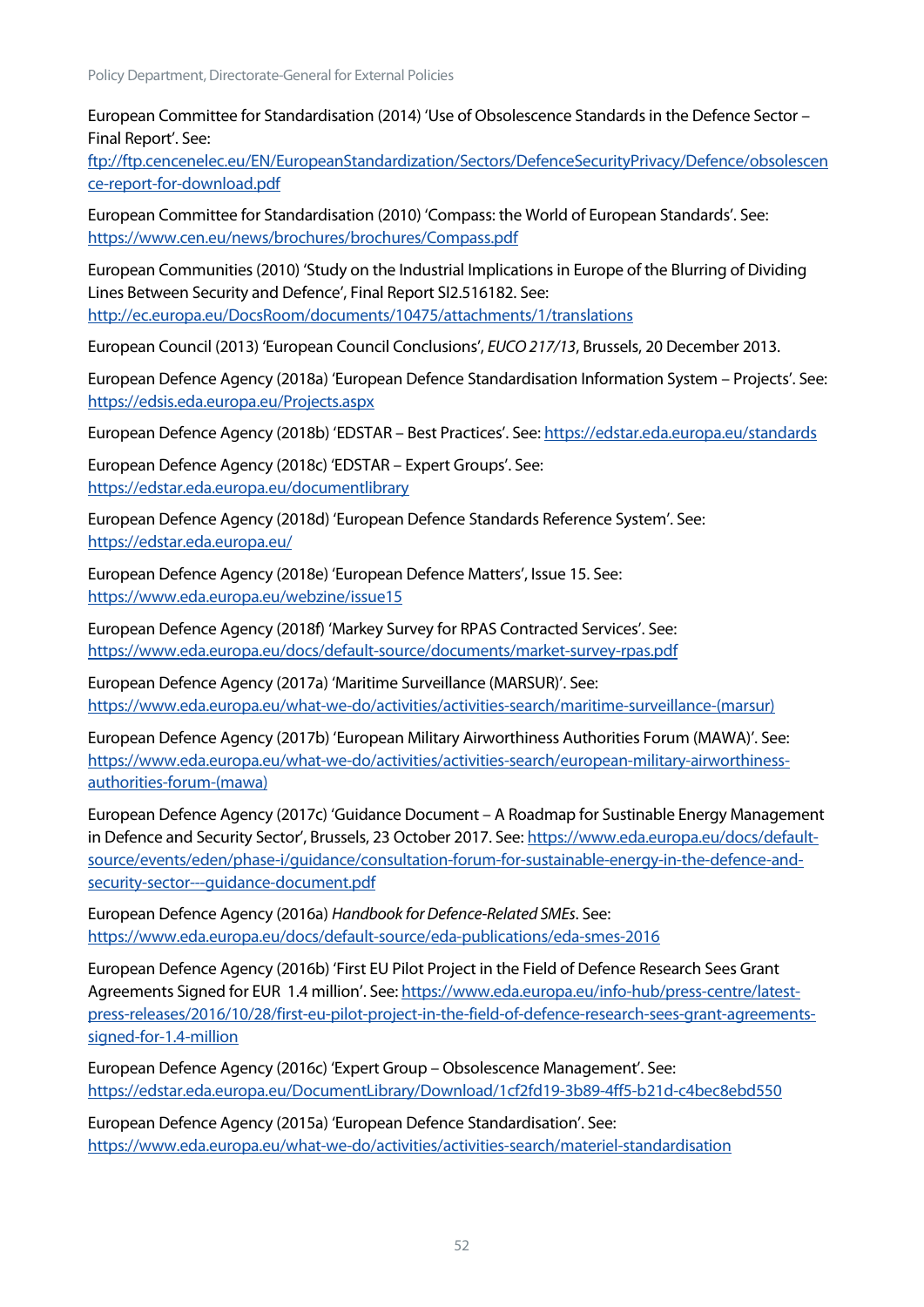European Committee for Standardisation (2014) 'Use of Obsolescence Standards in the Defence Sector – Final Report'. See:

[ftp://ftp.cencenelec.eu/EN/EuropeanStandardization/Sectors/DefenceSecurityPrivacy/Defence/obsolescen](ftp://ftp.cencenelec.eu/EN/EuropeanStandardization/Sectors/DefenceSecurityPrivacy/Defence/obsolescence-report-for-download.pdf) [ce-report-for-download.pdf](ftp://ftp.cencenelec.eu/EN/EuropeanStandardization/Sectors/DefenceSecurityPrivacy/Defence/obsolescence-report-for-download.pdf)

European Committee for Standardisation (2010) 'Compass: the World of European Standards'. See: <https://www.cen.eu/news/brochures/brochures/Compass.pdf>

European Communities (2010) 'Study on the Industrial Implications in Europe of the Blurring of Dividing Lines Between Security and Defence', Final Report SI2.516182. See: <http://ec.europa.eu/DocsRoom/documents/10475/attachments/1/translations>

European Council (2013) 'European Council Conclusions', *EUCO 217/13*, Brussels, 20 December 2013.

European Defence Agency (2018a) 'European Defence Standardisation Information System – Projects'. See: <https://edsis.eda.europa.eu/Projects.aspx>

European Defence Agency (2018b) 'EDSTAR – Best Practices'. See:<https://edstar.eda.europa.eu/standards>

European Defence Agency (2018c) 'EDSTAR – Expert Groups'. See: <https://edstar.eda.europa.eu/documentlibrary>

European Defence Agency (2018d) 'European Defence Standards Reference System'. See: <https://edstar.eda.europa.eu/>

European Defence Agency (2018e) 'European Defence Matters', Issue 15. See: <https://www.eda.europa.eu/webzine/issue15>

European Defence Agency (2018f) 'Markey Survey for RPAS Contracted Services'. See: <https://www.eda.europa.eu/docs/default-source/documents/market-survey-rpas.pdf>

European Defence Agency (2017a) 'Maritime Surveillance (MARSUR)'. See: [https://www.eda.europa.eu/what-we-do/activities/activities-search/maritime-surveillance-\(marsur\)](https://www.eda.europa.eu/what-we-do/activities/activities-search/maritime-surveillance-(marsur))

European Defence Agency (2017b) 'European Military Airworthiness Authorities Forum (MAWA)'. See: [https://www.eda.europa.eu/what-we-do/activities/activities-search/european-military-airworthiness](https://www.eda.europa.eu/what-we-do/activities/activities-search/european-military-airworthiness-authorities-forum-(mawa))[authorities-forum-\(mawa\)](https://www.eda.europa.eu/what-we-do/activities/activities-search/european-military-airworthiness-authorities-forum-(mawa))

European Defence Agency (2017c) 'Guidance Document – A Roadmap for Sustinable Energy Management in Defence and Security Sector', Brussels, 23 October 2017. See: [https://www.eda.europa.eu/docs/default](https://www.eda.europa.eu/docs/default-source/events/eden/phase-i/guidance/consultation-forum-for-sustainable-energy-in-the-defence-and-security-sector---guidance-document.pdf)[source/events/eden/phase-i/guidance/consultation-forum-for-sustainable-energy-in-the-defence-and](https://www.eda.europa.eu/docs/default-source/events/eden/phase-i/guidance/consultation-forum-for-sustainable-energy-in-the-defence-and-security-sector---guidance-document.pdf)[security-sector---guidance-document.pdf](https://www.eda.europa.eu/docs/default-source/events/eden/phase-i/guidance/consultation-forum-for-sustainable-energy-in-the-defence-and-security-sector---guidance-document.pdf)

European Defence Agency (2016a) *Handbook for Defence-Related SMEs*. See: <https://www.eda.europa.eu/docs/default-source/eda-publications/eda-smes-2016>

European Defence Agency (2016b) 'First EU Pilot Project in the Field of Defence Research Sees Grant Agreements Signed for EUR 1.4 million'. See: [https://www.eda.europa.eu/info-hub/press-centre/latest](https://www.eda.europa.eu/info-hub/press-centre/latest-press-releases/2016/10/28/first-eu-pilot-project-in-the-field-of-defence-research-sees-grant-agreements-signed-for-1.4-million)[press-releases/2016/10/28/first-eu-pilot-project-in-the-field-of-defence-research-sees-grant-agreements](https://www.eda.europa.eu/info-hub/press-centre/latest-press-releases/2016/10/28/first-eu-pilot-project-in-the-field-of-defence-research-sees-grant-agreements-signed-for-1.4-million)[signed-for-1.4-million](https://www.eda.europa.eu/info-hub/press-centre/latest-press-releases/2016/10/28/first-eu-pilot-project-in-the-field-of-defence-research-sees-grant-agreements-signed-for-1.4-million)

European Defence Agency (2016c) 'Expert Group – Obsolescence Management'. See: <https://edstar.eda.europa.eu/DocumentLibrary/Download/1cf2fd19-3b89-4ff5-b21d-c4bec8ebd550>

European Defence Agency (2015a) 'European Defence Standardisation'. See: <https://www.eda.europa.eu/what-we-do/activities/activities-search/materiel-standardisation>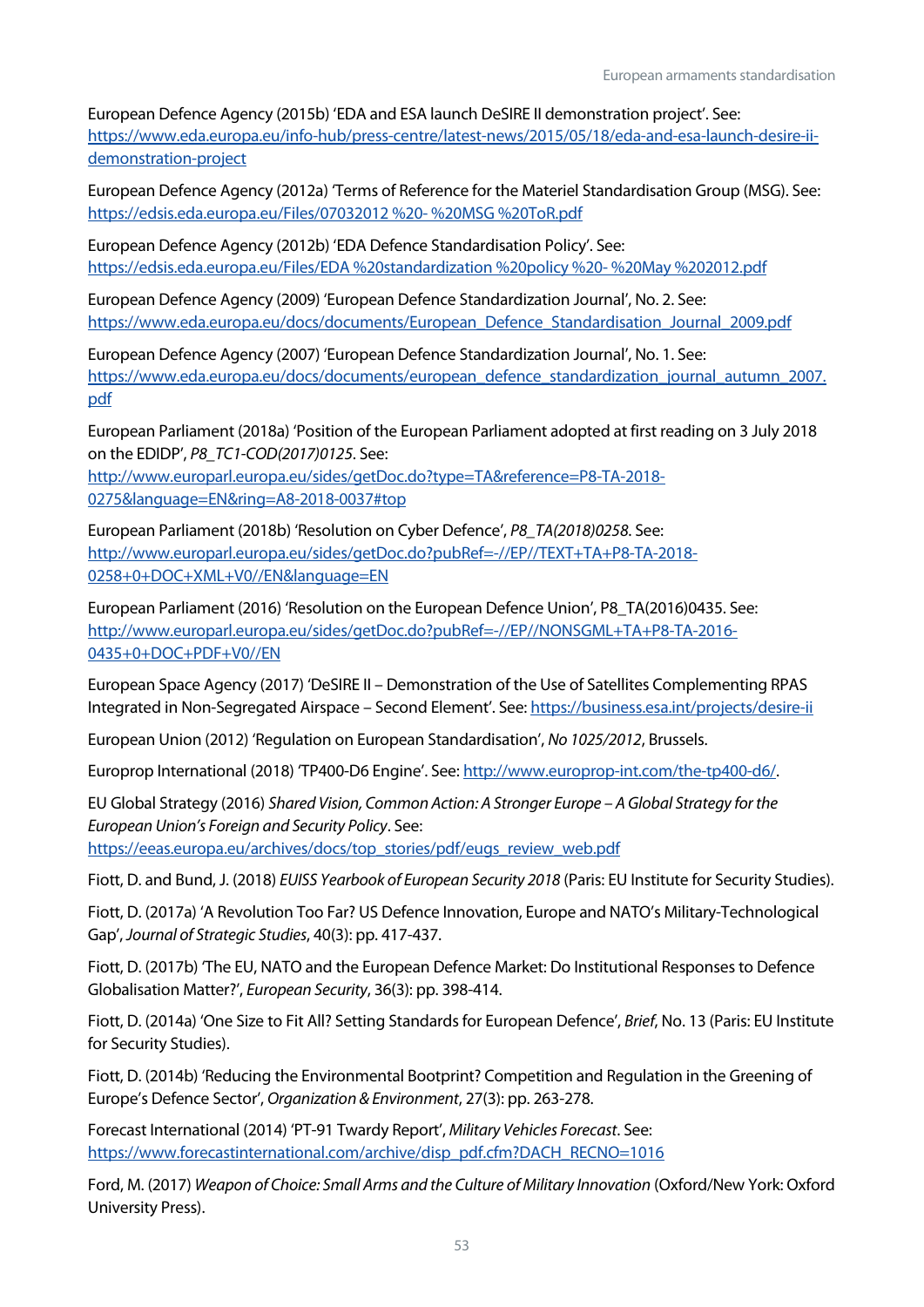European Defence Agency (2015b) 'EDA and ESA launch DeSIRE II demonstration project'. See: [https://www.eda.europa.eu/info-hub/press-centre/latest-news/2015/05/18/eda-and-esa-launch-desire-ii](https://www.eda.europa.eu/info-hub/press-centre/latest-news/2015/05/18/eda-and-esa-launch-desire-ii-demonstration-project)[demonstration-project](https://www.eda.europa.eu/info-hub/press-centre/latest-news/2015/05/18/eda-and-esa-launch-desire-ii-demonstration-project)

European Defence Agency (2012a) 'Terms of Reference for the Materiel Standardisation Group (MSG). See: [https://edsis.eda.europa.eu/Files/07032012](https://edsis.eda.europa.eu/Files/07032012%20-%20MSG%20ToR.pdf) %20- %20MSG %20ToR.pdf

European Defence Agency (2012b) 'EDA Defence Standardisation Policy'. See: [https://edsis.eda.europa.eu/Files/EDA](https://edsis.eda.europa.eu/Files/EDA%20standardization%20policy%20-%20May%202012.pdf) %20standardization %20policy %20- %20May %202012.pdf

European Defence Agency (2009) 'European Defence Standardization Journal', No. 2. See: [https://www.eda.europa.eu/docs/documents/European\\_Defence\\_Standardisation\\_Journal\\_2009.pdf](https://www.eda.europa.eu/docs/documents/European_Defence_Standardisation_Journal_2009.pdf)

European Defence Agency (2007) 'European Defence Standardization Journal', No. 1. See: [https://www.eda.europa.eu/docs/documents/european\\_defence\\_standardization\\_journal\\_autumn\\_2007.](https://www.eda.europa.eu/docs/documents/european_defence_standardization_journal_autumn_2007.pdf) [pdf](https://www.eda.europa.eu/docs/documents/european_defence_standardization_journal_autumn_2007.pdf)

European Parliament (2018a) 'Position of the European Parliament adopted at first reading on 3 July 2018 on the EDIDP', *P8\_TC1-COD(2017)0125*. See:

[http://www.europarl.europa.eu/sides/getDoc.do?type=TA&reference=P8-TA-2018-](http://www.europarl.europa.eu/sides/getDoc.do?type=TA&reference=P8-TA-2018-0275&language=EN&ring=A8-2018-0037#top) [0275&language=EN&ring=A8-2018-0037#top](http://www.europarl.europa.eu/sides/getDoc.do?type=TA&reference=P8-TA-2018-0275&language=EN&ring=A8-2018-0037#top)

European Parliament (2018b) 'Resolution on Cyber Defence', *P8\_TA(2018)0258*. See: [http://www.europarl.europa.eu/sides/getDoc.do?pubRef=-//EP//TEXT+TA+P8-TA-2018-](http://www.europarl.europa.eu/sides/getDoc.do?pubRef=-//EP//TEXT+TA+P8-TA-2018-0258+0+DOC+XML+V0//EN&language=EN) [0258+0+DOC+XML+V0//EN&language=EN](http://www.europarl.europa.eu/sides/getDoc.do?pubRef=-//EP//TEXT+TA+P8-TA-2018-0258+0+DOC+XML+V0//EN&language=EN)

European Parliament (2016) 'Resolution on the European Defence Union', P8\_TA(2016)0435. See: [http://www.europarl.europa.eu/sides/getDoc.do?pubRef=-//EP//NONSGML+TA+P8-TA-2016-](http://www.europarl.europa.eu/sides/getDoc.do?pubRef=-//EP//NONSGML+TA+P8-TA-2016-0435+0+DOC+PDF+V0//EN) [0435+0+DOC+PDF+V0//EN](http://www.europarl.europa.eu/sides/getDoc.do?pubRef=-//EP//NONSGML+TA+P8-TA-2016-0435+0+DOC+PDF+V0//EN)

European Space Agency (2017) 'DeSIRE II – Demonstration of the Use of Satellites Complementing RPAS Integrated in Non-Segregated Airspace – Second Element'. See:<https://business.esa.int/projects/desire-ii>

European Union (2012) 'Regulation on European Standardisation', *No 1025/2012*, Brussels.

Europrop International (2018) 'TP400-D6 Engine'. See[: http://www.europrop-int.com/the-tp400-d6/.](http://www.europrop-int.com/the-tp400-d6/)

EU Global Strategy (2016) *Shared Vision, Common Action: A Stronger Europe – A Global Strategy for the European Union's Foreign and Security Policy*. See: [https://eeas.europa.eu/archives/docs/top\\_stories/pdf/eugs\\_review\\_web.pdf](https://eeas.europa.eu/archives/docs/top_stories/pdf/eugs_review_web.pdf)

Fiott, D. and Bund, J. (2018) *EUISS Yearbook of European Security 2018* (Paris: EU Institute for Security Studies).

Fiott, D. (2017a) 'A Revolution Too Far? US Defence Innovation, Europe and NATO's Military-Technological Gap', *Journal of Strategic Studies*, 40(3): pp. 417-437.

Fiott, D. (2017b) 'The EU, NATO and the European Defence Market: Do Institutional Responses to Defence Globalisation Matter?', *European Security*, 36(3): pp. 398-414.

Fiott, D. (2014a) 'One Size to Fit All? Setting Standards for European Defence', *Brief*, No. 13 (Paris: EU Institute for Security Studies).

Fiott, D. (2014b) 'Reducing the Environmental Bootprint? Competition and Regulation in the Greening of Europe's Defence Sector', *Organization & Environment*, 27(3): pp. 263-278.

Forecast International (2014) 'PT-91 Twardy Report', *Military Vehicles Forecast*. See: [https://www.forecastinternational.com/archive/disp\\_pdf.cfm?DACH\\_RECNO=1016](https://www.forecastinternational.com/archive/disp_pdf.cfm?DACH_RECNO=1016)

Ford, M. (2017) *Weapon of Choice: Small Arms and the Culture of Military Innovation* (Oxford/New York: Oxford University Press).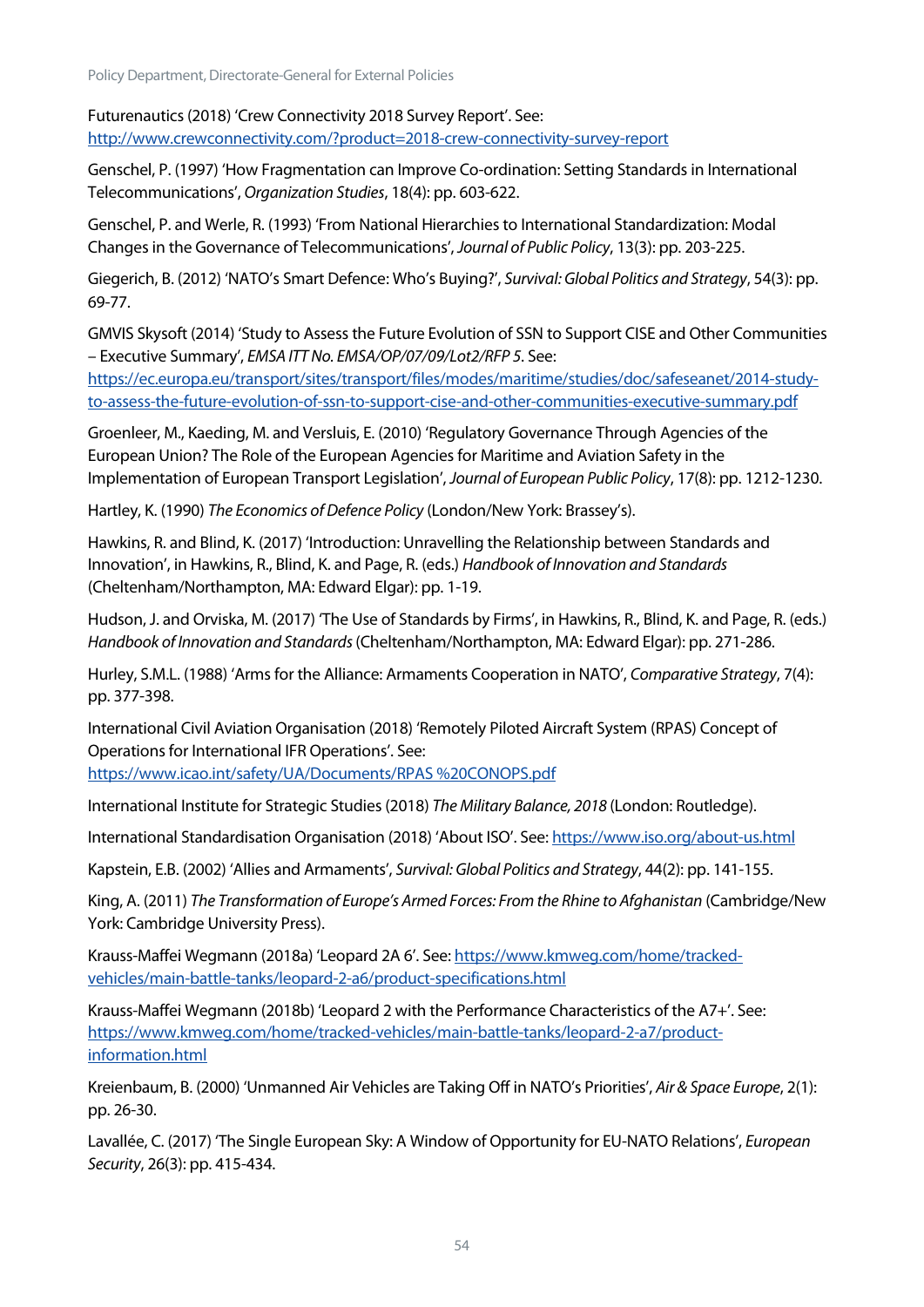Policy Department, Directorate-General for External Policies

Futurenautics (2018) 'Crew Connectivity 2018 Survey Report'. See: <http://www.crewconnectivity.com/?product=2018-crew-connectivity-survey-report>

Genschel, P. (1997) 'How Fragmentation can Improve Co-ordination: Setting Standards in International Telecommunications', *Organization Studies*, 18(4): pp. 603-622.

Genschel, P. and Werle, R. (1993) 'From National Hierarchies to International Standardization: Modal Changes in the Governance of Telecommunications', *Journal of Public Policy*, 13(3): pp. 203-225.

Giegerich, B. (2012) 'NATO's Smart Defence: Who's Buying?', *Survival: Global Politics and Strategy*, 54(3): pp. 69-77.

GMVIS Skysoft (2014) 'Study to Assess the Future Evolution of SSN to Support CISE and Other Communities – Executive Summary', *EMSA ITT No. EMSA/OP/07/09/Lot2/RFP 5*. See:

[https://ec.europa.eu/transport/sites/transport/files/modes/maritime/studies/doc/safeseanet/2014-study](https://ec.europa.eu/transport/sites/transport/files/modes/maritime/studies/doc/safeseanet/2014-study-to-assess-the-future-evolution-of-ssn-to-support-cise-and-other-communities-executive-summary.pdf)[to-assess-the-future-evolution-of-ssn-to-support-cise-and-other-communities-executive-summary.pdf](https://ec.europa.eu/transport/sites/transport/files/modes/maritime/studies/doc/safeseanet/2014-study-to-assess-the-future-evolution-of-ssn-to-support-cise-and-other-communities-executive-summary.pdf)

Groenleer, M., Kaeding, M. and Versluis, E. (2010) 'Regulatory Governance Through Agencies of the European Union? The Role of the European Agencies for Maritime and Aviation Safety in the Implementation of European Transport Legislation', *Journal of European Public Policy*, 17(8): pp. 1212-1230.

Hartley, K. (1990) *The Economics of Defence Policy* (London/New York: Brassey's).

Hawkins, R. and Blind, K. (2017) 'Introduction: Unravelling the Relationship between Standards and Innovation', in Hawkins, R., Blind, K. and Page, R. (eds.) *Handbook of Innovation and Standards*  (Cheltenham/Northampton, MA: Edward Elgar): pp. 1-19.

Hudson, J. and Orviska, M. (2017) 'The Use of Standards by Firms', in Hawkins, R., Blind, K. and Page, R. (eds.) *Handbook of Innovation and Standards* (Cheltenham/Northampton, MA: Edward Elgar): pp. 271-286.

Hurley, S.M.L. (1988) 'Arms for the Alliance: Armaments Cooperation in NATO', *Comparative Strategy*, 7(4): pp. 377-398.

International Civil Aviation Organisation (2018) 'Remotely Piloted Aircraft System (RPAS) Concept of Operations for International IFR Operations'. See:

[https://www.icao.int/safety/UA/Documents/RPAS](https://www.icao.int/safety/UA/Documents/RPAS%20CONOPS.pdf) %20CONOPS.pdf

International Institute for Strategic Studies (2018) *The Military Balance, 2018* (London: Routledge).

International Standardisation Organisation (2018) 'About ISO'. See:<https://www.iso.org/about-us.html>

Kapstein, E.B. (2002) 'Allies and Armaments', *Survival: Global Politics and Strategy*, 44(2): pp. 141-155.

King, A. (2011) *The Transformation of Europe's Armed Forces: From the Rhine to Afghanistan* (Cambridge/New York: Cambridge University Press).

Krauss-Maffei Wegmann (2018a) 'Leopard 2A 6'. See: [https://www.kmweg.com/home/tracked](https://www.kmweg.com/home/tracked-vehicles/main-battle-tanks/leopard-2-a6/product-specifications.html)[vehicles/main-battle-tanks/leopard-2-a6/product-specifications.html](https://www.kmweg.com/home/tracked-vehicles/main-battle-tanks/leopard-2-a6/product-specifications.html)

Krauss-Maffei Wegmann (2018b) 'Leopard 2 with the Performance Characteristics of the A7+'. See: [https://www.kmweg.com/home/tracked-vehicles/main-battle-tanks/leopard-2-a7/product](https://www.kmweg.com/home/tracked-vehicles/main-battle-tanks/leopard-2-a7/product-information.html)[information.html](https://www.kmweg.com/home/tracked-vehicles/main-battle-tanks/leopard-2-a7/product-information.html)

Kreienbaum, B. (2000) 'Unmanned Air Vehicles are Taking Off in NATO's Priorities', *Air & Space Europe*, 2(1): pp. 26-30.

Lavallée, C. (2017) 'The Single European Sky: A Window of Opportunity for EU-NATO Relations', *European Security*, 26(3): pp. 415-434.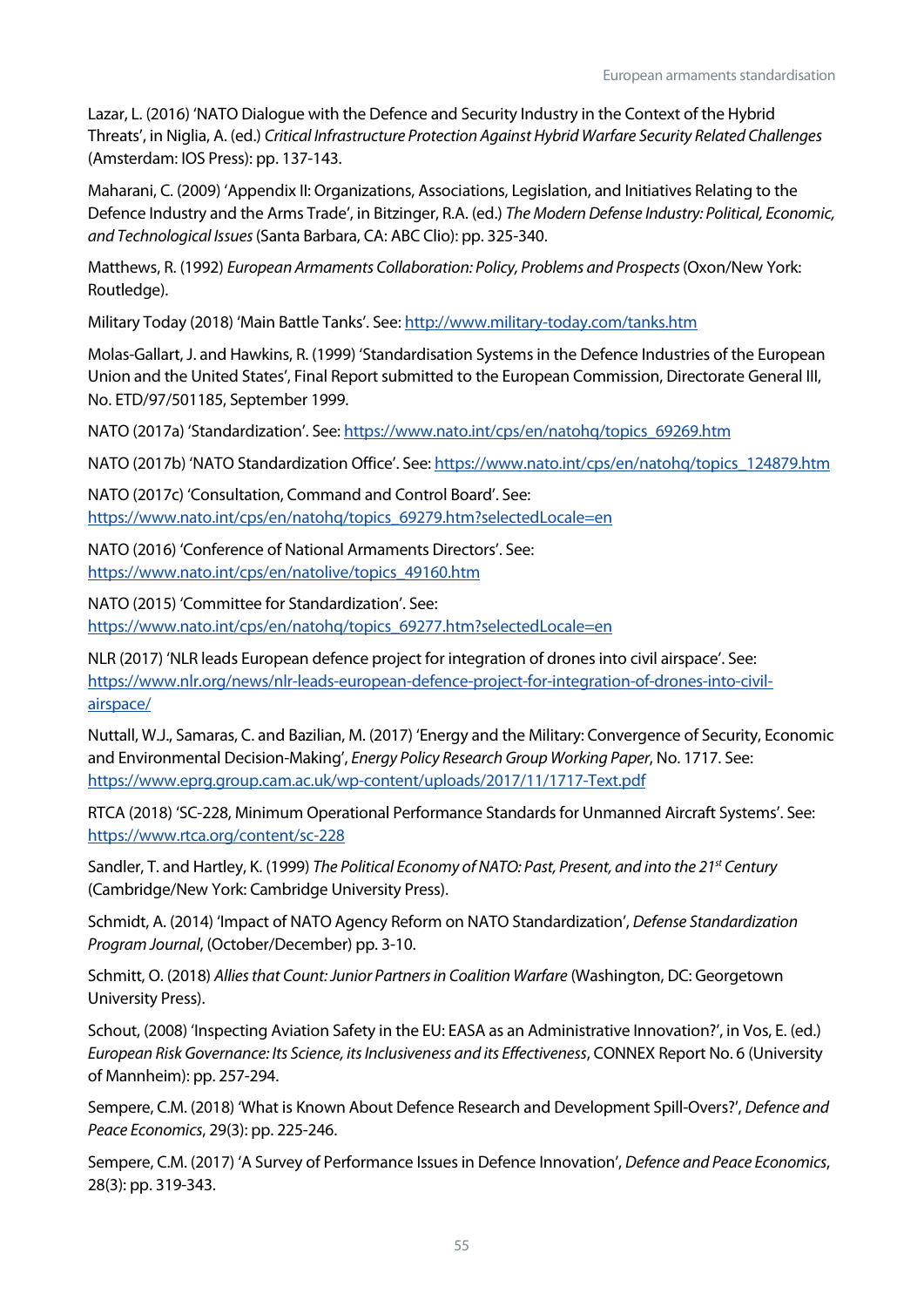Lazar, L. (2016) 'NATO Dialogue with the Defence and Security Industry in the Context of the Hybrid Threats', in Niglia, A. (ed.) *Critical Infrastructure Protection Against Hybrid Warfare Security Related Challenges*  (Amsterdam: IOS Press): pp. 137-143.

Maharani, C. (2009) 'Appendix II: Organizations, Associations, Legislation, and Initiatives Relating to the Defence Industry and the Arms Trade', in Bitzinger, R.A. (ed.) *The Modern Defense Industry: Political, Economic, and Technological Issues* (Santa Barbara, CA: ABC Clio): pp. 325-340.

Matthews, R. (1992) *European Armaments Collaboration: Policy, Problems and Prospects* (Oxon/New York: Routledge).

Military Today (2018) 'Main Battle Tanks'. See:<http://www.military-today.com/tanks.htm>

Molas-Gallart, J. and Hawkins, R. (1999) 'Standardisation Systems in the Defence Industries of the European Union and the United States', Final Report submitted to the European Commission, Directorate General III, No. ETD/97/501185, September 1999.

NATO (2017a) 'Standardization'. See[: https://www.nato.int/cps/en/natohq/topics\\_69269.htm](https://www.nato.int/cps/en/natohq/topics_69269.htm)

NATO (2017b) 'NATO Standardization Office'. See: [https://www.nato.int/cps/en/natohq/topics\\_124879.htm](https://www.nato.int/cps/en/natohq/topics_124879.htm)

NATO (2017c) 'Consultation, Command and Control Board'. See: [https://www.nato.int/cps/en/natohq/topics\\_69279.htm?selectedLocale=en](https://www.nato.int/cps/en/natohq/topics_69279.htm?selectedLocale=en)

NATO (2016) 'Conference of National Armaments Directors'. See: [https://www.nato.int/cps/en/natolive/topics\\_49160.htm](https://www.nato.int/cps/en/natolive/topics_49160.htm)

NATO (2015) 'Committee for Standardization'. See: [https://www.nato.int/cps/en/natohq/topics\\_69277.htm?selectedLocale=en](https://www.nato.int/cps/en/natohq/topics_69277.htm?selectedLocale=en)

NLR (2017) 'NLR leads European defence project for integration of drones into civil airspace'. See: [https://www.nlr.org/news/nlr-leads-european-defence-project-for-integration-of-drones-into-civil](https://www.nlr.org/news/nlr-leads-european-defence-project-for-integration-of-drones-into-civil-airspace/)[airspace/](https://www.nlr.org/news/nlr-leads-european-defence-project-for-integration-of-drones-into-civil-airspace/) 

Nuttall, W.J., Samaras, C. and Bazilian, M. (2017) 'Energy and the Military: Convergence of Security, Economic and Environmental Decision-Making', *Energy Policy Research Group Working Paper*, No. 1717. See: <https://www.eprg.group.cam.ac.uk/wp-content/uploads/2017/11/1717-Text.pdf>

RTCA (2018) 'SC-228, Minimum Operational Performance Standards for Unmanned Aircraft Systems'. See: <https://www.rtca.org/content/sc-228>

Sandler, T. and Hartley, K. (1999) *The Political Economy of NATO: Past, Present, and into the 21st Century* (Cambridge/New York: Cambridge University Press).

Schmidt, A. (2014) 'Impact of NATO Agency Reform on NATO Standardization', *Defense Standardization Program Journal*, (October/December) pp. 3-10.

Schmitt, O. (2018) *Allies that Count: Junior Partners in Coalition Warfare* (Washington, DC: Georgetown University Press).

Schout, (2008) 'Inspecting Aviation Safety in the EU: EASA as an Administrative Innovation?', in Vos, E. (ed.) *European Risk Governance: Its Science, its Inclusiveness and its Effectiveness*, CONNEX Report No. 6 (University of Mannheim): pp. 257-294.

Sempere, C.M. (2018) 'What is Known About Defence Research and Development Spill-Overs?', *Defence and Peace Economics*, 29(3): pp. 225-246.

Sempere, C.M. (2017) 'A Survey of Performance Issues in Defence Innovation', *Defence and Peace Economics*, 28(3): pp. 319-343.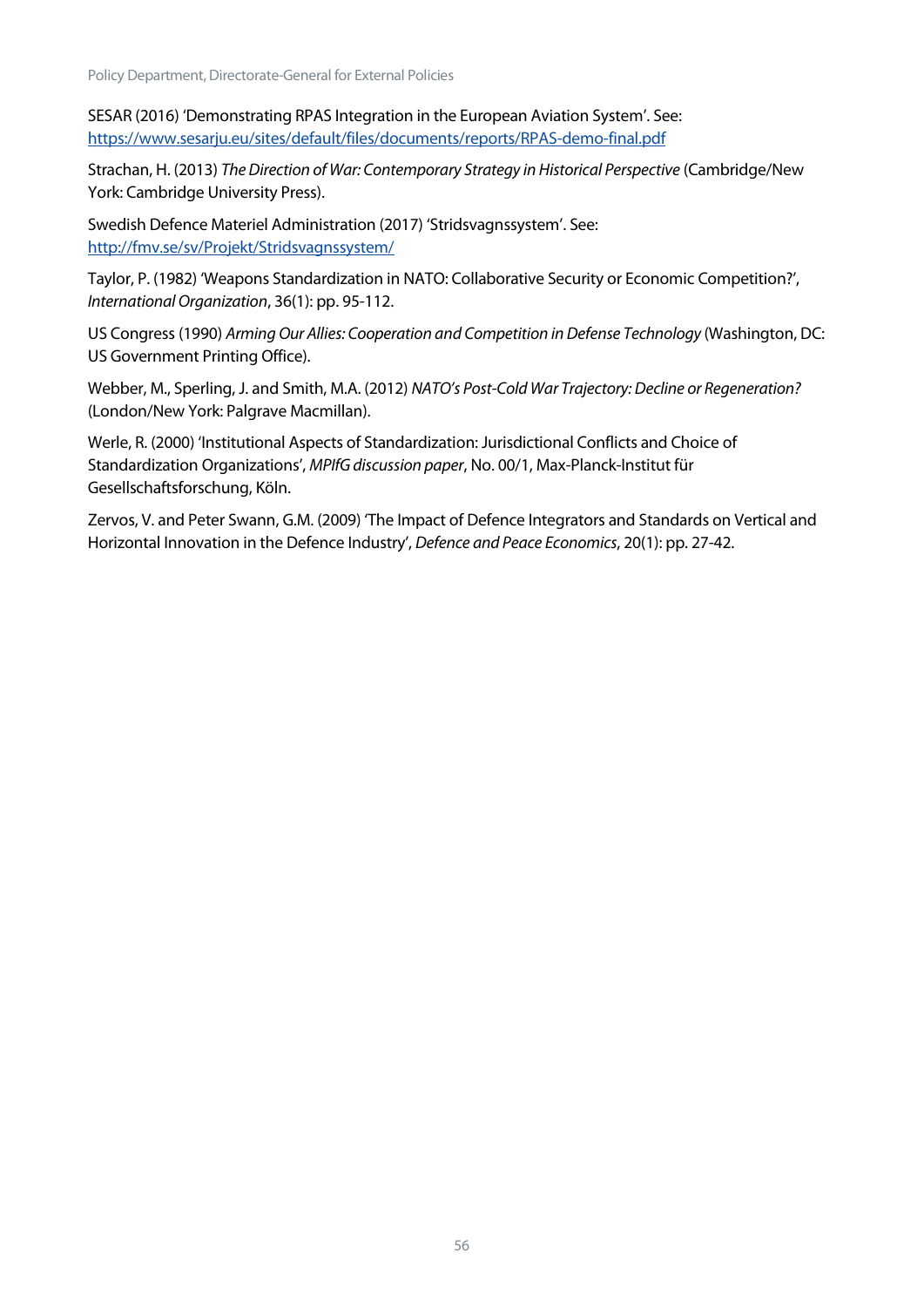Policy Department, Directorate-General for External Policies

SESAR (2016) 'Demonstrating RPAS Integration in the European Aviation System'. See: <https://www.sesarju.eu/sites/default/files/documents/reports/RPAS-demo-final.pdf>

Strachan, H. (2013) *The Direction of War: Contemporary Strategy in Historical Perspective* (Cambridge/New York: Cambridge University Press).

Swedish Defence Materiel Administration (2017) 'Stridsvagnssystem'. See: <http://fmv.se/sv/Projekt/Stridsvagnssystem/>

Taylor, P. (1982) 'Weapons Standardization in NATO: Collaborative Security or Economic Competition?', *International Organization*, 36(1): pp. 95-112.

US Congress (1990) Arming Our Allies: Cooperation and Competition in Defense Technology (Washington, DC: US Government Printing Office).

Webber, M., Sperling, J. and Smith, M.A. (2012) *NATO's Post-Cold War Trajectory: Decline or Regeneration?* (London/New York: Palgrave Macmillan).

Werle, R. (2000) 'Institutional Aspects of Standardization: Jurisdictional Conflicts and Choice of Standardization Organizations', *MPIfG discussion paper*, No. 00/1, Max-Planck-Institut für Gesellschaftsforschung, Köln.

Zervos, V. and Peter Swann, G.M. (2009) 'The Impact of Defence Integrators and Standards on Vertical and Horizontal Innovation in the Defence Industry', *Defence and Peace Economics*, 20(1): pp. 27-42.